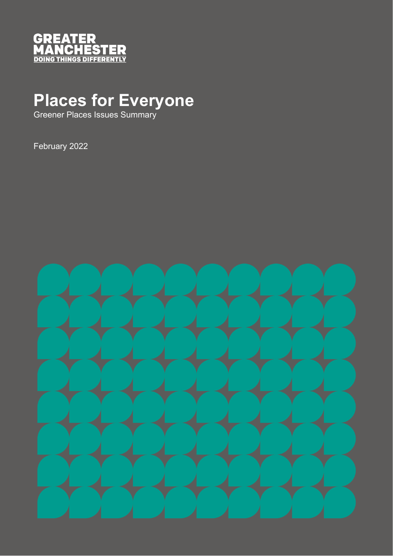

# **Places for Everyone**

Greener Places Issues Summary

February 2022

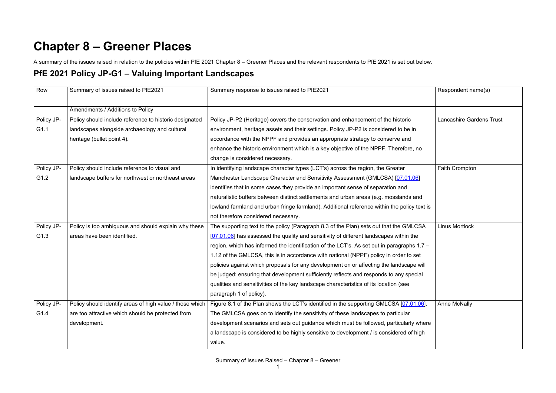## **Chapter 8 – Greener Places**

A summary of the issues raised in relation to the policies within PfE 2021 Chapter 8 – Greener Places and the relevant respondents to PfE 2021 is set out below.

#### **PfE 2021 Policy JP-G1 – Valuing Important Landscapes**

| Row        | Summary of issues raised to PfE2021                      | Summary response to issues raised to PfE2021                                                | Respondent name(s)              |
|------------|----------------------------------------------------------|---------------------------------------------------------------------------------------------|---------------------------------|
|            | Amendments / Additions to Policy                         |                                                                                             |                                 |
| Policy JP- | Policy should include reference to historic designated   | Policy JP-P2 (Heritage) covers the conservation and enhancement of the historic             | <b>Lancashire Gardens Trust</b> |
| G1.1       | landscapes alongside archaeology and cultural            | environment, heritage assets and their settings. Policy JP-P2 is considered to be in        |                                 |
|            | heritage (bullet point 4).                               | accordance with the NPPF and provides an appropriate strategy to conserve and               |                                 |
|            |                                                          | enhance the historic environment which is a key objective of the NPPF. Therefore, no        |                                 |
|            |                                                          | change is considered necessary.                                                             |                                 |
| Policy JP- | Policy should include reference to visual and            | In identifying landscape character types (LCT's) across the region, the Greater             | Faith Crompton                  |
| G1.2       | landscape buffers for northwest or northeast areas       | Manchester Landscape Character and Sensitivity Assessment (GMLCSA) [07.01.06]               |                                 |
|            |                                                          | identifies that in some cases they provide an important sense of separation and             |                                 |
|            |                                                          | naturalistic buffers between distinct settlements and urban areas (e.g. mosslands and       |                                 |
|            |                                                          | lowland farmland and urban fringe farmland). Additional reference within the policy text is |                                 |
|            |                                                          | not therefore considered necessary.                                                         |                                 |
| Policy JP- | Policy is too ambiguous and should explain why these     | The supporting text to the policy (Paragraph 8.3 of the Plan) sets out that the GMLCSA      | <b>Linus Mortlock</b>           |
| G1.3       | areas have been identified.                              | [07.01.06] has assessed the quality and sensitivity of different landscapes within the      |                                 |
|            |                                                          | region, which has informed the identification of the LCT's. As set out in paragraphs 1.7 -  |                                 |
|            |                                                          | 1.12 of the GMLCSA, this is in accordance with national (NPPF) policy in order to set       |                                 |
|            |                                                          | policies against which proposals for any development on or affecting the landscape will     |                                 |
|            |                                                          | be judged; ensuring that development sufficiently reflects and responds to any special      |                                 |
|            |                                                          | qualities and sensitivities of the key landscape characteristics of its location (see       |                                 |
|            |                                                          | paragraph 1 of policy).                                                                     |                                 |
| Policy JP- | Policy should identify areas of high value / those which | Figure 8.1 of the Plan shows the LCT's identified in the supporting GMLCSA [07.01.06].      | Anne McNally                    |
| G1.4       | are too attractive which should be protected from        | The GMLCSA goes on to identify the sensitivity of these landscapes to particular            |                                 |
|            | development.                                             | development scenarios and sets out guidance which must be followed, particularly where      |                                 |
|            |                                                          | a landscape is considered to be highly sensitive to development / is considered of high     |                                 |
|            |                                                          | value.                                                                                      |                                 |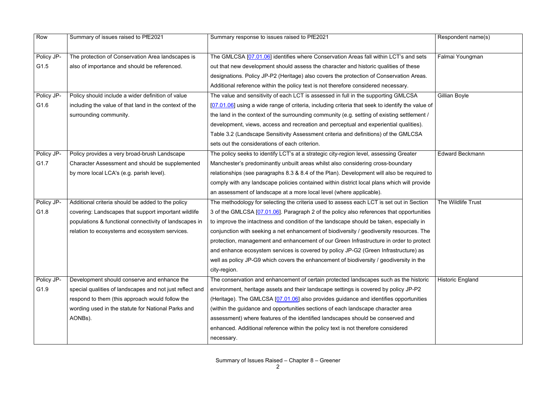| Row        | Summary of issues raised to PfE2021                      | Summary response to issues raised to PfE2021                                                     | Respondent name(s)      |
|------------|----------------------------------------------------------|--------------------------------------------------------------------------------------------------|-------------------------|
| Policy JP- | The protection of Conservation Area landscapes is        | The GMLCSA [07.01.06] identifies where Conservation Areas fall within LCT's and sets             | Falmai Youngman         |
| G1.5       | also of importance and should be referenced.             | out that new development should assess the character and historic qualities of these             |                         |
|            |                                                          | designations. Policy JP-P2 (Heritage) also covers the protection of Conservation Areas.          |                         |
|            |                                                          | Additional reference within the policy text is not therefore considered necessary.               |                         |
| Policy JP- | Policy should include a wider definition of value        | The value and sensitivity of each LCT is assessed in full in the supporting GMLCSA               | Gillian Boyle           |
| G1.6       | including the value of that land in the context of the   | [07.01.06] using a wide range of criteria, including criteria that seek to identify the value of |                         |
|            | surrounding community.                                   | the land in the context of the surrounding community (e.g. setting of existing settlement /      |                         |
|            |                                                          | development, views, access and recreation and perceptual and experiential qualities).            |                         |
|            |                                                          | Table 3.2 (Landscape Sensitivity Assessment criteria and definitions) of the GMLCSA              |                         |
|            |                                                          | sets out the considerations of each criterion.                                                   |                         |
| Policy JP- | Policy provides a very broad-brush Landscape             | The policy seeks to identify LCT's at a strategic city-region level, assessing Greater           | <b>Edward Beckmann</b>  |
| G1.7       | Character Assessment and should be supplemented          | Manchester's predominantly unbuilt areas whilst also considering cross-boundary                  |                         |
|            | by more local LCA's (e.g. parish level).                 | relationships (see paragraphs 8.3 & 8.4 of the Plan). Development will also be required to       |                         |
|            |                                                          | comply with any landscape policies contained within district local plans which will provide      |                         |
|            |                                                          | an assessment of landscape at a more local level (where applicable).                             |                         |
| Policy JP- | Additional criteria should be added to the policy        | The methodology for selecting the criteria used to assess each LCT is set out in Section         | The Wildlife Trust      |
| G1.8       | covering: Landscapes that support important wildlife     | 3 of the GMLCSA [07.01.06]. Paragraph 2 of the policy also references that opportunities         |                         |
|            | populations & functional connectivity of landscapes in   | to improve the intactness and condition of the landscape should be taken, especially in          |                         |
|            | relation to ecosystems and ecosystem services.           | conjunction with seeking a net enhancement of biodiversity / geodiversity resources. The         |                         |
|            |                                                          | protection, management and enhancement of our Green Infrastructure in order to protect           |                         |
|            |                                                          | and enhance ecosystem services is covered by policy JP-G2 (Green Infrastructure) as              |                         |
|            |                                                          | well as policy JP-G9 which covers the enhancement of biodiversity / geodiversity in the          |                         |
|            |                                                          | city-region.                                                                                     |                         |
| Policy JP- | Development should conserve and enhance the              | The conservation and enhancement of certain protected landscapes such as the historic            | <b>Historic England</b> |
| G1.9       | special qualities of landscapes and not just reflect and | environment, heritage assets and their landscape settings is covered by policy JP-P2             |                         |
|            | respond to them (this approach would follow the          | (Heritage). The GMLCSA [07.01.06] also provides guidance and identifies opportunities            |                         |
|            | wording used in the statute for National Parks and       | (within the guidance and opportunities sections of each landscape character area                 |                         |
|            | AONBs).                                                  | assessment) where features of the identified landscapes should be conserved and                  |                         |
|            |                                                          | enhanced. Additional reference within the policy text is not therefore considered                |                         |
|            |                                                          | necessary.                                                                                       |                         |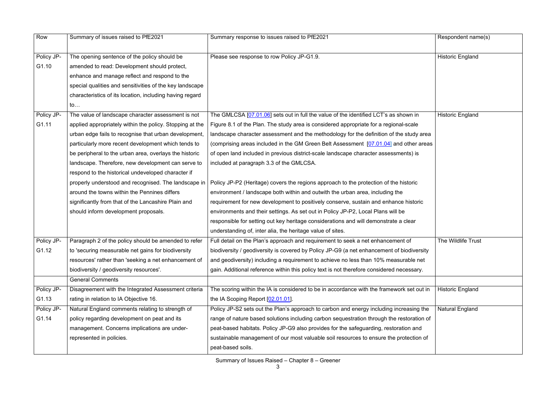| Row        | Summary of issues raised to PfE2021                      | Summary response to issues raised to PfE2021                                              | Respondent name(s)      |
|------------|----------------------------------------------------------|-------------------------------------------------------------------------------------------|-------------------------|
|            |                                                          |                                                                                           |                         |
| Policy JP- | The opening sentence of the policy should be             | Please see response to row Policy JP-G1.9.                                                | <b>Historic England</b> |
| G1.10      | amended to read: Development should protect,             |                                                                                           |                         |
|            | enhance and manage reflect and respond to the            |                                                                                           |                         |
|            | special qualities and sensitivities of the key landscape |                                                                                           |                         |
|            | characteristics of its location, including having regard |                                                                                           |                         |
|            | $\mathsf{to}$                                            |                                                                                           |                         |
| Policy JP- | The value of landscape character assessment is not       | The GMLCSA [07.01.06] sets out in full the value of the identified LCT's as shown in      | <b>Historic England</b> |
| G1.11      | applied appropriately within the policy. Stopping at the | Figure 8.1 of the Plan. The study area is considered appropriate for a regional-scale     |                         |
|            | urban edge fails to recognise that urban development,    | landscape character assessment and the methodology for the definition of the study area   |                         |
|            | particularly more recent development which tends to      | (comprising areas included in the GM Green Belt Assessment [07.01.04] and other areas     |                         |
|            | be peripheral to the urban area, overlays the historic   | of open land included in previous district-scale landscape character assessments) is      |                         |
|            | landscape. Therefore, new development can serve to       | included at paragraph 3.3 of the GMLCSA.                                                  |                         |
|            | respond to the historical undeveloped character if       |                                                                                           |                         |
|            | properly understood and recognised. The landscape in     | Policy JP-P2 (Heritage) covers the regions approach to the protection of the historic     |                         |
|            | around the towns within the Pennines differs             | environment / landscape both within and outwith the urban area, including the             |                         |
|            | significantly from that of the Lancashire Plain and      | requirement for new development to positively conserve, sustain and enhance historic      |                         |
|            | should inform development proposals.                     | environments and their settings. As set out in Policy JP-P2, Local Plans will be          |                         |
|            |                                                          | responsible for setting out key heritage considerations and will demonstrate a clear      |                         |
|            |                                                          | understanding of, inter alia, the heritage value of sites.                                |                         |
| Policy JP- | Paragraph 2 of the policy should be amended to refer     | Full detail on the Plan's approach and requirement to seek a net enhancement of           | The Wildlife Trust      |
| G1.12      | to 'securing measurable net gains for biodiversity       | biodiversity / geodiversity is covered by Policy JP-G9 (a net enhancement of biodiversity |                         |
|            | resources' rather than 'seeking a net enhancement of     | and geodiversity) including a requirement to achieve no less than 10% measurable net      |                         |
|            | biodiversity / geodiversity resources'.                  | gain. Additional reference within this policy text is not therefore considered necessary. |                         |
|            | <b>General Comments</b>                                  |                                                                                           |                         |
| Policy JP- | Disagreement with the Integrated Assessment criteria     | The scoring within the IA is considered to be in accordance with the framework set out in | <b>Historic England</b> |
| G1.13      | rating in relation to IA Objective 16.                   | the IA Scoping Report [02.01.01].                                                         |                         |
| Policy JP- | Natural England comments relating to strength of         | Policy JP-S2 sets out the Plan's approach to carbon and energy including increasing the   | Natural England         |
| G1.14      | policy regarding development on peat and its             | range of nature based solutions including carbon sequestration through the restoration of |                         |
|            | management. Concerns implications are under-             | peat-based habitats. Policy JP-G9 also provides for the safeguarding, restoration and     |                         |
|            | represented in policies.                                 | sustainable management of our most valuable soil resources to ensure the protection of    |                         |
|            |                                                          | peat-based soils.                                                                         |                         |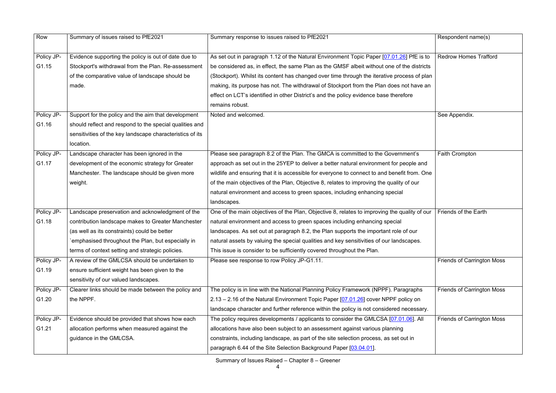| Row                 | Summary of issues raised to PfE2021                                                                                                                                                                                                                             | Summary response to issues raised to PfE2021                                                                                                                                                                                                                                                                                                                                                                                                                              | Respondent name(s)                |
|---------------------|-----------------------------------------------------------------------------------------------------------------------------------------------------------------------------------------------------------------------------------------------------------------|---------------------------------------------------------------------------------------------------------------------------------------------------------------------------------------------------------------------------------------------------------------------------------------------------------------------------------------------------------------------------------------------------------------------------------------------------------------------------|-----------------------------------|
| Policy JP-<br>G1.15 | Evidence supporting the policy is out of date due to<br>Stockport's withdrawal from the Plan. Re-assessment<br>of the comparative value of landscape should be<br>made.                                                                                         | As set out in paragraph 1.12 of the Natural Environment Topic Paper [07.01.26] PfE is to<br>be considered as, in effect, the same Plan as the GMSF albeit without one of the districts<br>(Stockport). Whilst its content has changed over time through the iterative process of plan<br>making, its purpose has not. The withdrawal of Stockport from the Plan does not have an<br>effect on LCT's identified in other District's and the policy evidence base therefore | <b>Redrow Homes Trafford</b>      |
| Policy JP-          | Support for the policy and the aim that development                                                                                                                                                                                                             | remains robust.<br>Noted and welcomed.                                                                                                                                                                                                                                                                                                                                                                                                                                    | See Appendix.                     |
| G1.16               | should reflect and respond to the special qualities and<br>sensitivities of the key landscape characteristics of its<br>location.                                                                                                                               |                                                                                                                                                                                                                                                                                                                                                                                                                                                                           |                                   |
| Policy JP-<br>G1.17 | Landscape character has been ignored in the<br>development of the economic strategy for Greater<br>Manchester. The landscape should be given more<br>weight.                                                                                                    | Please see paragraph 8.2 of the Plan. The GMCA is committed to the Government's<br>approach as set out in the 25YEP to deliver a better natural environment for people and<br>wildlife and ensuring that it is accessible for everyone to connect to and benefit from. One<br>of the main objectives of the Plan, Objective 8, relates to improving the quality of our<br>natural environment and access to green spaces, including enhancing special<br>landscapes.      | Faith Crompton                    |
| Policy JP-<br>G1.18 | Landscape preservation and acknowledgment of the<br>contribution landscape makes to Greater Manchester<br>(as well as its constraints) could be better<br>emphasised throughout the Plan, but especially in<br>terms of context setting and strategic policies. | One of the main objectives of the Plan, Objective 8, relates to improving the quality of our<br>natural environment and access to green spaces including enhancing special<br>landscapes. As set out at paragraph 8.2, the Plan supports the important role of our<br>natural assets by valuing the special qualities and key sensitivities of our landscapes.<br>This issue is consider to be sufficiently covered throughout the Plan.                                  | Friends of the Earth              |
| Policy JP-<br>G1.19 | A review of the GMLCSA should be undertaken to<br>ensure sufficient weight has been given to the<br>sensitivity of our valued landscapes.                                                                                                                       | Please see response to row Policy JP-G1.11.                                                                                                                                                                                                                                                                                                                                                                                                                               | <b>Friends of Carrington Moss</b> |
| Policy JP-<br>G1.20 | Clearer links should be made between the policy and<br>the NPPF.                                                                                                                                                                                                | The policy is in line with the National Planning Policy Framework (NPPF). Paragraphs<br>2.13 - 2.16 of the Natural Environment Topic Paper [07.01.26] cover NPPF policy on<br>landscape character and further reference within the policy is not considered necessary.                                                                                                                                                                                                    | <b>Friends of Carrington Moss</b> |
| Policy JP-<br>G1.21 | Evidence should be provided that shows how each<br>allocation performs when measured against the<br>guidance in the GMLCSA.                                                                                                                                     | The policy requires developments / applicants to consider the GMLCSA [07.01.06]. All<br>allocations have also been subject to an assessment against various planning<br>constraints, including landscape, as part of the site selection process, as set out in<br>paragraph 6.44 of the Site Selection Background Paper [03.04.01].                                                                                                                                       | <b>Friends of Carrington Moss</b> |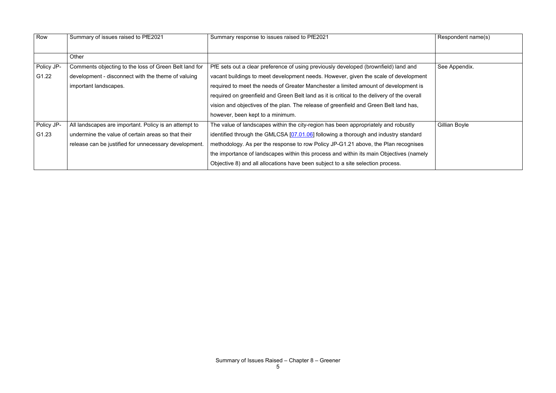| Row        | Summary of issues raised to PfE2021                   | Summary response to issues raised to PfE2021                                                | Respondent name(s) |
|------------|-------------------------------------------------------|---------------------------------------------------------------------------------------------|--------------------|
|            |                                                       |                                                                                             |                    |
|            | Other                                                 |                                                                                             |                    |
| Policy JP- | Comments objecting to the loss of Green Belt land for | PfE sets out a clear preference of using previously developed (brownfield) land and         | See Appendix.      |
| G1.22      | development - disconnect with the theme of valuing    | vacant buildings to meet development needs. However, given the scale of development         |                    |
|            | important landscapes.                                 | required to meet the needs of Greater Manchester a limited amount of development is         |                    |
|            |                                                       | required on greenfield and Green Belt land as it is critical to the delivery of the overall |                    |
|            |                                                       | vision and objectives of the plan. The release of greenfield and Green Belt land has,       |                    |
|            |                                                       | however, been kept to a minimum.                                                            |                    |
| Policy JP- | All landscapes are important. Policy is an attempt to | The value of landscapes within the city-region has been appropriately and robustly          | Gillian Boyle      |
| G1.23      | undermine the value of certain areas so that their    | identified through the GMLCSA [07.01.06] following a thorough and industry standard         |                    |
|            | release can be justified for unnecessary development. | methodology. As per the response to row Policy JP-G1.21 above, the Plan recognises          |                    |
|            |                                                       | the importance of landscapes within this process and within its main Objectives (namely     |                    |
|            |                                                       | Objective 8) and all allocations have been subject to a site selection process.             |                    |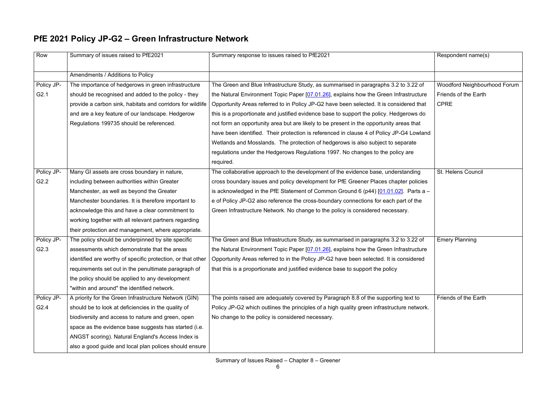### **PfE 2021 Policy JP-G2 – Green Infrastructure Network**

| Row              | Summary of issues raised to PfE2021                        | Summary response to issues raised to PfE2021                                                                                                         | Respondent name(s)                  |
|------------------|------------------------------------------------------------|------------------------------------------------------------------------------------------------------------------------------------------------------|-------------------------------------|
|                  | Amendments / Additions to Policy                           |                                                                                                                                                      |                                     |
| Policy JP-       | The importance of hedgerows in green infrastructure        | The Green and Blue Infrastructure Study, as summarised in paragraphs 3.2 to 3.22 of                                                                  | <b>Woodford Neighbourhood Forum</b> |
| G <sub>2.1</sub> | should be recognised and added to the policy - they        | the Natural Environment Topic Paper [07.01.26], explains how the Green Infrastructure                                                                | Friends of the Earth                |
|                  | provide a carbon sink, habitats and corridors for wildlife | Opportunity Areas referred to in Policy JP-G2 have been selected. It is considered that                                                              | <b>CPRE</b>                         |
|                  | and are a key feature of our landscape. Hedgerow           | this is a proportionate and justified evidence base to support the policy. Hedgerows do                                                              |                                     |
|                  | Regulations 199735 should be referenced.                   | not form an opportunity area but are likely to be present in the opportunity areas that                                                              |                                     |
|                  |                                                            | have been identified. Their protection is referenced in clause 4 of Policy JP-G4 Lowland                                                             |                                     |
|                  |                                                            | Wetlands and Mosslands. The protection of hedgerows is also subject to separate                                                                      |                                     |
|                  |                                                            | regulations under the Hedgerows Regulations 1997. No changes to the policy are                                                                       |                                     |
|                  |                                                            | required.                                                                                                                                            |                                     |
| Policy JP-       | Many GI assets are cross boundary in nature,               | The collaborative approach to the development of the evidence base, understanding                                                                    | St. Helens Council                  |
| G2.2             | including between authorities within Greater               | cross boundary issues and policy development for PfE Greener Places chapter policies                                                                 |                                     |
|                  | Manchester, as well as beyond the Greater                  | is acknowledged in the PfE Statement of Common Ground 6 (p44) $[01.01.02]$ . Parts a -                                                               |                                     |
|                  | Manchester boundaries. It is therefore important to        | e of Policy JP-G2 also reference the cross-boundary connections for each part of the                                                                 |                                     |
|                  | acknowledge this and have a clear commitment to            | Green Infrastructure Network. No change to the policy is considered necessary.                                                                       |                                     |
|                  | working together with all relevant partners regarding      |                                                                                                                                                      |                                     |
|                  | their protection and management, where appropriate.        |                                                                                                                                                      |                                     |
| Policy JP-       | The policy should be underpinned by site specific          | The Green and Blue Infrastructure Study, as summarised in paragraphs 3.2 to 3.22 of                                                                  | <b>Emery Planning</b>               |
| G2.3             | assessments which demonstrate that the areas               | the Natural Environment Topic Paper [07.01.26], explains how the Green Infrastructure                                                                |                                     |
|                  |                                                            | identified are worthy of specific protection, or that other   Opportunity Areas referred to in the Policy JP-G2 have been selected. It is considered |                                     |
|                  | requirements set out in the penultimate paragraph of       | that this is a proportionate and justified evidence base to support the policy                                                                       |                                     |
|                  | the policy should be applied to any development            |                                                                                                                                                      |                                     |
|                  | "within and around" the identified network.                |                                                                                                                                                      |                                     |
| Policy JP-       | A priority for the Green Infrastructure Network (GIN)      | The points raised are adequately covered by Paragraph 8.8 of the supporting text to                                                                  | Friends of the Earth                |
| G2.4             | should be to look at deficiencies in the quality of        | Policy JP-G2 which outlines the principles of a high quality green infrastructure network.                                                           |                                     |
|                  | biodiversity and access to nature and green, open          | No change to the policy is considered necessary.                                                                                                     |                                     |
|                  | space as the evidence base suggests has started (i.e.      |                                                                                                                                                      |                                     |
|                  | ANGST scoring). Natural England's Access Index is          |                                                                                                                                                      |                                     |
|                  | also a good guide and local plan polices should ensure     |                                                                                                                                                      |                                     |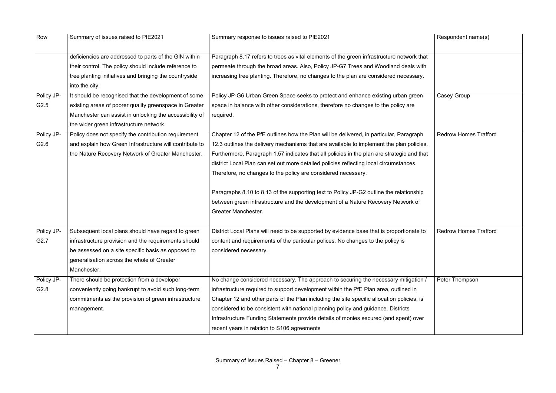| Row        | Summary of issues raised to PfE2021                     | Summary response to issues raised to PfE2021                                               | Respondent name(s)           |
|------------|---------------------------------------------------------|--------------------------------------------------------------------------------------------|------------------------------|
|            | deficiencies are addressed to parts of the GIN within   | Paragraph 8.17 refers to trees as vital elements of the green infrastructure network that  |                              |
|            | their control. The policy should include reference to   | permeate through the broad areas. Also, Policy JP-G7 Trees and Woodland deals with         |                              |
|            | tree planting initiatives and bringing the countryside  | increasing tree planting. Therefore, no changes to the plan are considered necessary.      |                              |
|            | into the city.                                          |                                                                                            |                              |
| Policy JP- | It should be recognised that the development of some    | Policy JP-G6 Urban Green Space seeks to protect and enhance existing urban green           | <b>Casey Group</b>           |
| G2.5       | existing areas of poorer quality greenspace in Greater  | space in balance with other considerations, therefore no changes to the policy are         |                              |
|            | Manchester can assist in unlocking the accessibility of | required.                                                                                  |                              |
|            | the wider green infrastructure network.                 |                                                                                            |                              |
| Policy JP- | Policy does not specify the contribution requirement    | Chapter 12 of the PfE outlines how the Plan will be delivered, in particular, Paragraph    | <b>Redrow Homes Trafford</b> |
| G2.6       | and explain how Green Infrastructure will contribute to | 12.3 outlines the delivery mechanisms that are available to implement the plan policies.   |                              |
|            | the Nature Recovery Network of Greater Manchester.      | Furthermore, Paragraph 1.57 indicates that all policies in the plan are strategic and that |                              |
|            |                                                         | district Local Plan can set out more detailed policies reflecting local circumstances.     |                              |
|            |                                                         | Therefore, no changes to the policy are considered necessary.                              |                              |
|            |                                                         |                                                                                            |                              |
|            |                                                         | Paragraphs 8.10 to 8.13 of the supporting text to Policy JP-G2 outline the relationship    |                              |
|            |                                                         | between green infrastructure and the development of a Nature Recovery Network of           |                              |
|            |                                                         | <b>Greater Manchester.</b>                                                                 |                              |
|            |                                                         |                                                                                            |                              |
| Policy JP- | Subsequent local plans should have regard to green      | District Local Plans will need to be supported by evidence base that is proportionate to   | <b>Redrow Homes Trafford</b> |
| G2.7       | infrastructure provision and the requirements should    | content and requirements of the particular polices. No changes to the policy is            |                              |
|            | be assessed on a site specific basis as opposed to      | considered necessary.                                                                      |                              |
|            | generalisation across the whole of Greater              |                                                                                            |                              |
|            | Manchester.                                             |                                                                                            |                              |
| Policy JP- | There should be protection from a developer             | No change considered necessary. The approach to securing the necessary mitigation /        | Peter Thompson               |
| G2.8       | conveniently going bankrupt to avoid such long-term     | infrastructure required to support development within the PfE Plan area, outlined in       |                              |
|            | commitments as the provision of green infrastructure    | Chapter 12 and other parts of the Plan including the site specific allocation policies, is |                              |
|            | management.                                             | considered to be consistent with national planning policy and guidance. Districts          |                              |
|            |                                                         | Infrastructure Funding Statements provide details of monies secured (and spent) over       |                              |
|            |                                                         | recent years in relation to S106 agreements                                                |                              |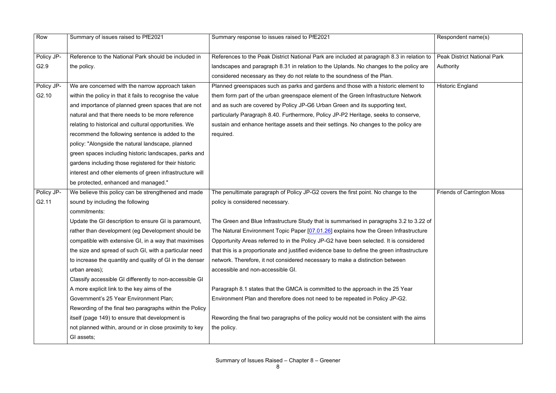| Row               | Summary of issues raised to PfE2021                       | Summary response to issues raised to PfE2021                                                | Respondent name(s)                 |
|-------------------|-----------------------------------------------------------|---------------------------------------------------------------------------------------------|------------------------------------|
|                   |                                                           |                                                                                             |                                    |
| Policy JP-        | Reference to the National Park should be included in      | References to the Peak District National Park are included at paragraph 8.3 in relation to  | <b>Peak District National Park</b> |
| G2.9              | the policy.                                               | landscapes and paragraph 8.31 in relation to the Uplands. No changes to the policy are      | Authority                          |
|                   |                                                           | considered necessary as they do not relate to the soundness of the Plan.                    |                                    |
| Policy JP-        | We are concerned with the narrow approach taken           | Planned greenspaces such as parks and gardens and those with a historic element to          | <b>Historic England</b>            |
| G <sub>2.10</sub> | within the policy in that it fails to recognise the value | them form part of the urban greenspace element of the Green Infrastructure Network          |                                    |
|                   | and importance of planned green spaces that are not       | and as such are covered by Policy JP-G6 Urban Green and its supporting text,                |                                    |
|                   | natural and that there needs to be more reference         | particularly Paragraph 8.40. Furthermore, Policy JP-P2 Heritage, seeks to conserve,         |                                    |
|                   | relating to historical and cultural opportunities. We     | sustain and enhance heritage assets and their settings. No changes to the policy are        |                                    |
|                   | recommend the following sentence is added to the          | required.                                                                                   |                                    |
|                   | policy: "Alongside the natural landscape, planned         |                                                                                             |                                    |
|                   | green spaces including historic landscapes, parks and     |                                                                                             |                                    |
|                   | gardens including those registered for their historic     |                                                                                             |                                    |
|                   | interest and other elements of green infrastructure will  |                                                                                             |                                    |
|                   | be protected, enhanced and managed."                      |                                                                                             |                                    |
| Policy JP-        | We believe this policy can be strengthened and made       | The penultimate paragraph of Policy JP-G2 covers the first point. No change to the          | <b>Friends of Carrington Moss</b>  |
| G2.11             | sound by including the following                          | policy is considered necessary.                                                             |                                    |
|                   | commitments:                                              |                                                                                             |                                    |
|                   | Update the GI description to ensure GI is paramount,      | The Green and Blue Infrastructure Study that is summarised in paragraphs 3.2 to 3.22 of     |                                    |
|                   | rather than development (eg Development should be         | The Natural Environment Topic Paper [07.01.26] explains how the Green Infrastructure        |                                    |
|                   | compatible with extensive GI, in a way that maximises     | Opportunity Areas referred to in the Policy JP-G2 have been selected. It is considered      |                                    |
|                   | the size and spread of such GI, with a particular need    | that this is a proportionate and justified evidence base to define the green infrastructure |                                    |
|                   | to increase the quantity and quality of GI in the denser  | network. Therefore, it not considered necessary to make a distinction between               |                                    |
|                   | urban areas);                                             | accessible and non-accessible GI.                                                           |                                    |
|                   | Classify accessible GI differently to non-accessible GI   |                                                                                             |                                    |
|                   | A more explicit link to the key aims of the               | Paragraph 8.1 states that the GMCA is committed to the approach in the 25 Year              |                                    |
|                   | Government's 25 Year Environment Plan;                    | Environment Plan and therefore does not need to be repeated in Policy JP-G2.                |                                    |
|                   | Rewording of the final two paragraphs within the Policy   |                                                                                             |                                    |
|                   | itself (page 149) to ensure that development is           | Rewording the final two paragraphs of the policy would not be consistent with the aims      |                                    |
|                   | not planned within, around or in close proximity to key   | the policy.                                                                                 |                                    |
|                   | GI assets;                                                |                                                                                             |                                    |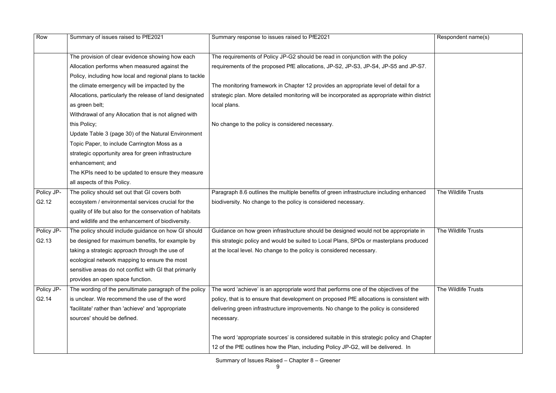| Row               | Summary of issues raised to PfE2021                       | Summary response to issues raised to PfE2021                                                 | Respondent name(s)  |
|-------------------|-----------------------------------------------------------|----------------------------------------------------------------------------------------------|---------------------|
|                   |                                                           |                                                                                              |                     |
|                   | The provision of clear evidence showing how each          | The requirements of Policy JP-G2 should be read in conjunction with the policy               |                     |
|                   | Allocation performs when measured against the             | requirements of the proposed PfE allocations, JP-S2, JP-S3, JP-S4, JP-S5 and JP-S7.          |                     |
|                   | Policy, including how local and regional plans to tackle  |                                                                                              |                     |
|                   | the climate emergency will be impacted by the             | The monitoring framework in Chapter 12 provides an appropriate level of detail for a         |                     |
|                   | Allocations, particularly the release of land designated  | strategic plan. More detailed monitoring will be incorporated as appropriate within district |                     |
|                   | as green belt;                                            | local plans.                                                                                 |                     |
|                   | Withdrawal of any Allocation that is not aligned with     |                                                                                              |                     |
|                   | this Policy;                                              | No change to the policy is considered necessary.                                             |                     |
|                   | Update Table 3 (page 30) of the Natural Environment       |                                                                                              |                     |
|                   | Topic Paper, to include Carrington Moss as a              |                                                                                              |                     |
|                   | strategic opportunity area for green infrastructure       |                                                                                              |                     |
|                   | enhancement; and                                          |                                                                                              |                     |
|                   | The KPIs need to be updated to ensure they measure        |                                                                                              |                     |
|                   | all aspects of this Policy.                               |                                                                                              |                     |
| Policy JP-        | The policy should set out that GI covers both             | Paragraph 8.6 outlines the multiple benefits of green infrastructure including enhanced      | The Wildlife Trusts |
| G2.12             | ecosystem / environmental services crucial for the        | biodiversity. No change to the policy is considered necessary.                               |                     |
|                   | quality of life but also for the conservation of habitats |                                                                                              |                     |
|                   | and wildlife and the enhancement of biodiversity.         |                                                                                              |                     |
| Policy JP-        | The policy should include guidance on how GI should       | Guidance on how green infrastructure should be designed would not be appropriate in          | The Wildlife Trusts |
| G2.13             | be designed for maximum benefits, for example by          | this strategic policy and would be suited to Local Plans, SPDs or masterplans produced       |                     |
|                   | taking a strategic approach through the use of            | at the local level. No change to the policy is considered necessary.                         |                     |
|                   | ecological network mapping to ensure the most             |                                                                                              |                     |
|                   | sensitive areas do not conflict with GI that primarily    |                                                                                              |                     |
|                   | provides an open space function.                          |                                                                                              |                     |
| Policy JP-        | The wording of the penultimate paragraph of the policy    | The word 'achieve' is an appropriate word that performs one of the objectives of the         | The Wildlife Trusts |
| G <sub>2.14</sub> | is unclear. We recommend the use of the word              | policy, that is to ensure that development on proposed PfE allocations is consistent with    |                     |
|                   | 'facilitate' rather than 'achieve' and 'appropriate       | delivering green infrastructure improvements. No change to the policy is considered          |                     |
|                   | sources' should be defined.                               | necessary.                                                                                   |                     |
|                   |                                                           |                                                                                              |                     |
|                   |                                                           | The word 'appropriate sources' is considered suitable in this strategic policy and Chapter   |                     |
|                   |                                                           | 12 of the PfE outlines how the Plan, including Policy JP-G2, will be delivered. In           |                     |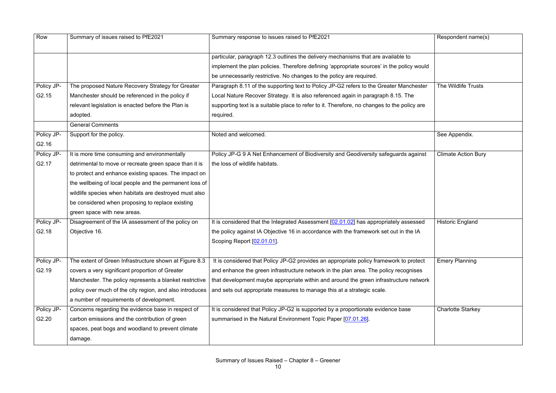| Row               | Summary of issues raised to PfE2021                      | Summary response to issues raised to PfE2021                                                | Respondent name(s)         |
|-------------------|----------------------------------------------------------|---------------------------------------------------------------------------------------------|----------------------------|
|                   |                                                          | particular, paragraph 12.3 outlines the delivery mechanisms that are available to           |                            |
|                   |                                                          | implement the plan policies. Therefore defining 'appropriate sources' in the policy would   |                            |
|                   |                                                          | be unnecessarily restrictive. No changes to the policy are required.                        |                            |
| Policy JP-        | The proposed Nature Recovery Strategy for Greater        | Paragraph 8.11 of the supporting text to Policy JP-G2 refers to the Greater Manchester      | The Wildlife Trusts        |
| G <sub>2.15</sub> | Manchester should be referenced in the policy if         | Local Nature Recover Strategy. It is also referenced again in paragraph 8.15. The           |                            |
|                   | relevant legislation is enacted before the Plan is       | supporting text is a suitable place to refer to it. Therefore, no changes to the policy are |                            |
|                   | adopted.                                                 | required.                                                                                   |                            |
|                   | <b>General Comments</b>                                  |                                                                                             |                            |
| Policy JP-        | Support for the policy.                                  | Noted and welcomed.                                                                         | See Appendix.              |
| G2.16             |                                                          |                                                                                             |                            |
| Policy JP-        | It is more time consuming and environmentally            | Policy JP-G 9 A Net Enhancement of Biodiversity and Geodiversity safeguards against         | <b>Climate Action Bury</b> |
| G2.17             | detrimental to move or recreate green space than it is   | the loss of wildlife habitats.                                                              |                            |
|                   | to protect and enhance existing spaces. The impact on    |                                                                                             |                            |
|                   | the wellbeing of local people and the permanent loss of  |                                                                                             |                            |
|                   | wildlife species when habitats are destroyed must also   |                                                                                             |                            |
|                   | be considered when proposing to replace existing         |                                                                                             |                            |
|                   | green space with new areas.                              |                                                                                             |                            |
| Policy JP-        | Disagreement of the IA assessment of the policy on       | It is considered that the Integrated Assessment [02.01.02] has appropriately assessed       | <b>Historic England</b>    |
| G2.18             | Objective 16.                                            | the policy against IA Objective 16 in accordance with the framework set out in the IA       |                            |
|                   |                                                          | Scoping Report [02.01.01].                                                                  |                            |
|                   |                                                          |                                                                                             |                            |
| Policy JP-        | The extent of Green Infrastructure shown at Figure 8.3   | It is considered that Policy JP-G2 provides an appropriate policy framework to protect      | <b>Emery Planning</b>      |
| G2.19             | covers a very significant proportion of Greater          | and enhance the green infrastructure network in the plan area. The policy recognises        |                            |
|                   | Manchester. The policy represents a blanket restrictive  | that development maybe appropriate within and around the green infrastructure network       |                            |
|                   | policy over much of the city region, and also introduces | and sets out appropriate measures to manage this at a strategic scale.                      |                            |
|                   | a number of requirements of development.                 |                                                                                             |                            |
| Policy JP-        | Concerns regarding the evidence base in respect of       | It is considered that Policy JP-G2 is supported by a proportionate evidence base            | <b>Charlotte Starkey</b>   |
| G2.20             | carbon emissions and the contribution of green           | summarised in the Natural Environment Topic Paper [07.01.26].                               |                            |
|                   | spaces, peat bogs and woodland to prevent climate        |                                                                                             |                            |
|                   | damage.                                                  |                                                                                             |                            |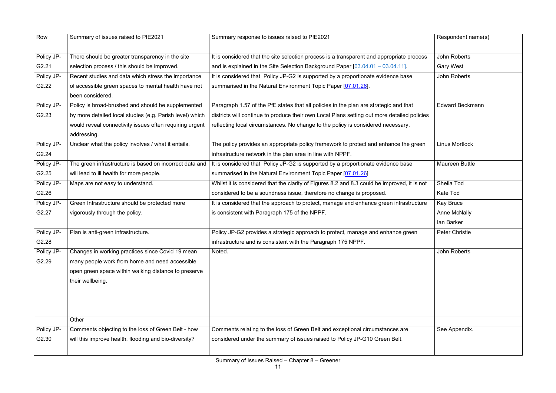| Row               | Summary of issues raised to PfE2021                      | Summary response to issues raised to PfE2021                                                 | Respondent name(s)     |
|-------------------|----------------------------------------------------------|----------------------------------------------------------------------------------------------|------------------------|
|                   |                                                          |                                                                                              |                        |
| Policy JP-        | There should be greater transparency in the site         | It is considered that the site selection process is a transparent and appropriate process    | <b>John Roberts</b>    |
| G2.21             | selection process / this should be improved.             | and is explained in the Site Selection Background Paper $[03.04.01 - 03.04.11]$ .            | <b>Gary West</b>       |
| Policy JP-        | Recent studies and data which stress the importance      | It is considered that Policy JP-G2 is supported by a proportionate evidence base             | <b>John Roberts</b>    |
| G <sub>2.22</sub> | of accessible green spaces to mental health have not     | summarised in the Natural Environment Topic Paper [07.01.26].                                |                        |
|                   | been considered.                                         |                                                                                              |                        |
| Policy JP-        | Policy is broad-brushed and should be supplemented       | Paragraph 1.57 of the PfE states that all policies in the plan are strategic and that        | <b>Edward Beckmann</b> |
| G2.23             | by more detailed local studies (e.g. Parish level) which | districts will continue to produce their own Local Plans setting out more detailed policies  |                        |
|                   | would reveal connectivity issues often requiring urgent  | reflecting local circumstances. No change to the policy is considered necessary.             |                        |
|                   | addressing.                                              |                                                                                              |                        |
| Policy JP-        | Unclear what the policy involves / what it entails.      | The policy provides an appropriate policy framework to protect and enhance the green         | <b>Linus Mortlock</b>  |
| G2.24             |                                                          | infrastructure network in the plan area in line with NPPF.                                   |                        |
| Policy JP-        | The green infrastructure is based on incorrect data and  | It is considered that Policy JP-G2 is supported by a proportionate evidence base             | <b>Maureen Buttle</b>  |
| G2.25             | will lead to ill health for more people.                 | summarised in the Natural Environment Topic Paper [07.01.26]                                 |                        |
| Policy JP-        | Maps are not easy to understand.                         | Whilst it is considered that the clarity of Figures 8.2 and 8.3 could be improved, it is not | Sheila Tod             |
| G2.26             |                                                          | considered to be a soundness issue, therefore no change is proposed.                         | Kate Tod               |
| Policy JP-        | Green Infrastructure should be protected more            | It is considered that the approach to protect, manage and enhance green infrastructure       | <b>Kay Bruce</b>       |
| G2.27             | vigorously through the policy.                           | is consistent with Paragraph 175 of the NPPF.                                                | <b>Anne McNally</b>    |
|                   |                                                          |                                                                                              | lan Barker             |
| Policy JP-        | Plan is anti-green infrastructure.                       | Policy JP-G2 provides a strategic approach to protect, manage and enhance green              | <b>Peter Christie</b>  |
| G2.28             |                                                          | infrastructure and is consistent with the Paragraph 175 NPPF.                                |                        |
| Policy JP-        | Changes in working practices since Covid 19 mean         | Noted.                                                                                       | <b>John Roberts</b>    |
| G2.29             | many people work from home and need accessible           |                                                                                              |                        |
|                   | open green space within walking distance to preserve     |                                                                                              |                        |
|                   | their wellbeing.                                         |                                                                                              |                        |
|                   |                                                          |                                                                                              |                        |
|                   |                                                          |                                                                                              |                        |
|                   |                                                          |                                                                                              |                        |
|                   | Other                                                    |                                                                                              |                        |
| Policy JP-        | Comments objecting to the loss of Green Belt - how       | Comments relating to the loss of Green Belt and exceptional circumstances are                | See Appendix.          |
| G2.30             | will this improve health, flooding and bio-diversity?    | considered under the summary of issues raised to Policy JP-G10 Green Belt.                   |                        |
|                   |                                                          |                                                                                              |                        |
|                   |                                                          |                                                                                              |                        |

|      | Respondent name(s)     |
|------|------------------------|
| ess  | <b>John Roberts</b>    |
|      | <b>Gary West</b>       |
|      | <b>John Roberts</b>    |
|      |                        |
| cies | <b>Edward Beckmann</b> |
|      |                        |
| эn   | <b>Linus Mortlock</b>  |
|      | <b>Maureen Buttle</b>  |
| าot  | Sheila Tod             |
|      | <b>Kate Tod</b>        |
| ure  | <b>Kay Bruce</b>       |
|      | <b>Anne McNally</b>    |
|      | lan Barker             |
|      | <b>Peter Christie</b>  |
|      | <b>John Roberts</b>    |
|      |                        |
|      |                        |
|      |                        |
|      |                        |
|      |                        |
|      |                        |
|      |                        |
|      | See Appendix.          |
|      |                        |
|      |                        |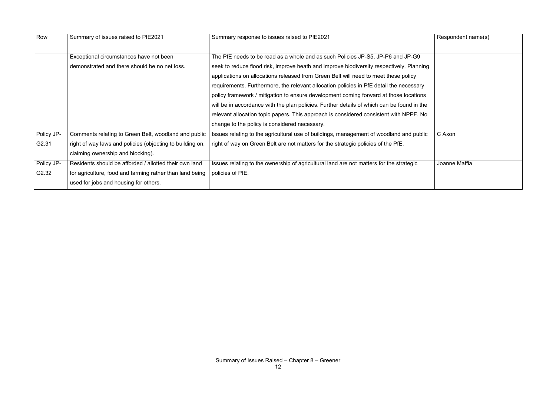| Row        | Summary of issues raised to PfE2021                       | Summary response to issues raised to PfE2021                                               | Respondent name(s) |
|------------|-----------------------------------------------------------|--------------------------------------------------------------------------------------------|--------------------|
|            | Exceptional circumstances have not been                   | The PfE needs to be read as a whole and as such Policies JP-S5, JP-P6 and JP-G9            |                    |
|            | demonstrated and there should be no net loss.             | seek to reduce flood risk, improve heath and improve biodiversity respectively. Planning   |                    |
|            |                                                           | applications on allocations released from Green Belt will need to meet these policy        |                    |
|            |                                                           | requirements. Furthermore, the relevant allocation policies in PfE detail the necessary    |                    |
|            |                                                           | policy framework / mitigation to ensure development coming forward at those locations      |                    |
|            |                                                           | will be in accordance with the plan policies. Further details of which can be found in the |                    |
|            |                                                           | relevant allocation topic papers. This approach is considered consistent with NPPF. No     |                    |
|            |                                                           | change to the policy is considered necessary.                                              |                    |
| Policy JP- | Comments relating to Green Belt, woodland and public      | Issues relating to the agricultural use of buildings, management of woodland and public    | C Axon             |
| G2.31      | right of way laws and policies (objecting to building on, | right of way on Green Belt are not matters for the strategic policies of the PfE.          |                    |
|            | claiming ownership and blocking).                         |                                                                                            |                    |
| Policy JP- | Residents should be afforded / allotted their own land    | Issues relating to the ownership of agricultural land are not matters for the strategic    | Joanne Maffia      |
| G2.32      | for agriculture, food and farming rather than land being  | policies of PfE.                                                                           |                    |
|            | used for jobs and housing for others.                     |                                                                                            |                    |

| Respondent name(s) |
|--------------------|
|                    |
|                    |
|                    |
|                    |
|                    |
|                    |
|                    |
|                    |
|                    |
| C Axon             |
|                    |
|                    |
| Joanne Maffia      |
|                    |
|                    |
|                    |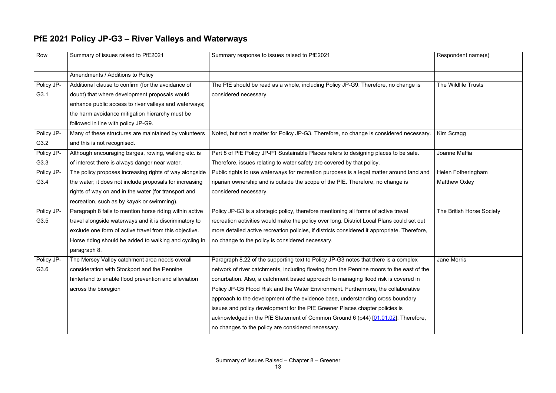#### **PfE 2021 Policy JP-G3 – River Valleys and Waterways**

| Row        | Summary of issues raised to PfE2021                     | Summary response to issues raised to PfE2021                                                 | Respondent name(s)        |
|------------|---------------------------------------------------------|----------------------------------------------------------------------------------------------|---------------------------|
|            | Amendments / Additions to Policy                        |                                                                                              |                           |
| Policy JP- | Additional clause to confirm (for the avoidance of      | The PfE should be read as a whole, including Policy JP-G9. Therefore, no change is           | The Wildlife Trusts       |
| G3.1       | doubt) that where development proposals would           | considered necessary.                                                                        |                           |
|            |                                                         |                                                                                              |                           |
|            | enhance public access to river valleys and waterways;   |                                                                                              |                           |
|            | the harm avoidance mitigation hierarchy must be         |                                                                                              |                           |
|            | followed in line with policy JP-G9.                     |                                                                                              |                           |
| Policy JP- | Many of these structures are maintained by volunteers   | Noted, but not a matter for Policy JP-G3. Therefore, no change is considered necessary.      | Kim Scragg                |
| G3.2       | and this is not recognised.                             |                                                                                              |                           |
| Policy JP- | Although encouraging barges, rowing, walking etc. is    | Part 8 of PfE Policy JP-P1 Sustainable Places refers to designing places to be safe.         | Joanne Maffia             |
| G3.3       | of interest there is always danger near water.          | Therefore, issues relating to water safety are covered by that policy.                       |                           |
| Policy JP- | The policy proposes increasing rights of way alongside  | Public rights to use waterways for recreation purposes is a legal matter around land and     | Helen Fotheringham        |
| G3.4       | the water; it does not include proposals for increasing | riparian ownership and is outside the scope of the PfE. Therefore, no change is              | <b>Matthew Oxley</b>      |
|            | rights of way on and in the water (for transport and    | considered necessary.                                                                        |                           |
|            | recreation, such as by kayak or swimming).              |                                                                                              |                           |
| Policy JP- | Paragraph 8 fails to mention horse riding within active | Policy JP-G3 is a strategic policy, therefore mentioning all forms of active travel          | The British Horse Society |
| G3.5       | travel alongside waterways and it is discriminatory to  | recreation activities would make the policy over long. District Local Plans could set out    |                           |
|            | exclude one form of active travel from this objective.  | more detailed active recreation policies, if districts considered it appropriate. Therefore, |                           |
|            | Horse riding should be added to walking and cycling in  | no change to the policy is considered necessary.                                             |                           |
|            | paragraph 8.                                            |                                                                                              |                           |
| Policy JP- | The Mersey Valley catchment area needs overall          | Paragraph 8.22 of the supporting text to Policy JP-G3 notes that there is a complex          | Jane Morris               |
| G3.6       | consideration with Stockport and the Pennine            | network of river catchments, including flowing from the Pennine moors to the east of the     |                           |
|            | hinterland to enable flood prevention and alleviation   | conurbation. Also, a catchment based approach to managing flood risk is covered in           |                           |
|            | across the bioregion                                    | Policy JP-G5 Flood Risk and the Water Environment. Furthermore, the collaborative            |                           |
|            |                                                         | approach to the development of the evidence base, understanding cross boundary               |                           |
|            |                                                         | issues and policy development for the PfE Greener Places chapter policies is                 |                           |
|            |                                                         | acknowledged in the PfE Statement of Common Ground 6 (p44) [01.01.02]. Therefore,            |                           |
|            |                                                         | no changes to the policy are considered necessary.                                           |                           |
|            |                                                         |                                                                                              |                           |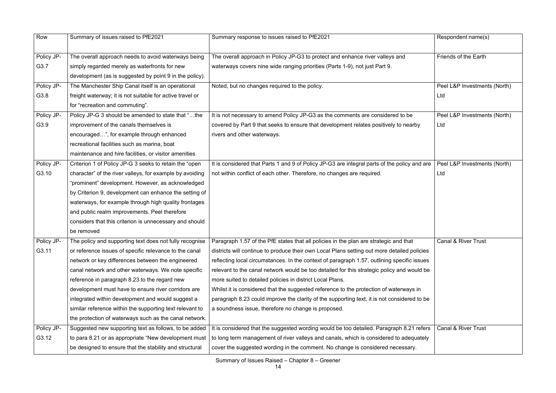| Row        | Summary of issues raised to PfE2021                       | Summary response to issues raised to PfE2021                                                                                                    | Respondent name(s)             |
|------------|-----------------------------------------------------------|-------------------------------------------------------------------------------------------------------------------------------------------------|--------------------------------|
| Policy JP- | The overall approach needs to avoid waterways being       | The overall approach in Policy JP-G3 to protect and enhance river valleys and                                                                   | Friends of the Earth           |
| G3.7       | simply regarded merely as waterfronts for new             | waterways covers nine wide ranging priorities (Parts 1-9), not just Part 9.                                                                     |                                |
|            | development (as is suggested by point 9 in the policy).   |                                                                                                                                                 |                                |
| Policy JP- | The Manchester Ship Canal itself is an operational        | Noted, but no changes required to the policy.                                                                                                   | Peel L&P Investments (North)   |
| G3.8       | freight waterway; it is not suitable for active travel or |                                                                                                                                                 | Ltd                            |
|            | for "recreation and commuting".                           |                                                                                                                                                 |                                |
| Policy JP- | Policy JP-G 3 should be amended to state that "the        | It is not necessary to amend Policy JP-G3 as the comments are considered to be                                                                  | Peel L&P Investments (North)   |
| G3.9       | improvement of the canals themselves is                   | covered by Part 9 that seeks to ensure that development relates positively to nearby                                                            | Ltd                            |
|            | encouraged", for example through enhanced                 | rivers and other waterways.                                                                                                                     |                                |
|            | recreational facilities such as marina, boat              |                                                                                                                                                 |                                |
|            | maintenance and hire facilities, or visitor amenities     |                                                                                                                                                 |                                |
| Policy JP- | Criterion 1 of Policy JP-G 3 seeks to retain the "open    | It is considered that Parts 1 and 9 of Policy JP-G3 are integral parts of the policy and are                                                    | Peel L&P Investments (North)   |
| G3.10      | character" of the river valleys, for example by avoiding  | not within conflict of each other. Therefore, no changes are required.                                                                          | Ltd                            |
|            | "prominent" development. However, as acknowledged         |                                                                                                                                                 |                                |
|            | by Criterion 9, development can enhance the setting of    |                                                                                                                                                 |                                |
|            | waterways, for example through high quality frontages     |                                                                                                                                                 |                                |
|            | and public realm improvements. Peel therefore             |                                                                                                                                                 |                                |
|            | considers that this criterion is unnecessary and should   |                                                                                                                                                 |                                |
|            | be removed                                                |                                                                                                                                                 |                                |
| Policy JP- |                                                           | The policy and supporting text does not fully recognise   Paragraph 1.57 of the PfE states that all policies in the plan are strategic and that | <b>Canal &amp; River Trust</b> |
| G3.11      | or reference issues of specific relevance to the canal    | districts will continue to produce their own Local Plans setting out more detailed policies                                                     |                                |
|            | network or key differences between the engineered         | reflecting local circumstances. In the context of paragraph 1.57, outlining specific issues                                                     |                                |
|            | canal network and other waterways. We note specific       | relevant to the canal network would be too detailed for this strategic policy and would be                                                      |                                |
|            | reference in paragraph 8.23 to the regard new             | more suited to detailed policies in district Local Plans.                                                                                       |                                |
|            | development must have to ensure river corridors are       | Whilst it is considered that the suggested reference to the protection of waterways in                                                          |                                |
|            | integrated within development and would suggest a         | paragraph 8.23 could improve the clarity of the supporting text, it is not considered to be                                                     |                                |
|            | similar reference within the supporting text relevant to  | a soundness issue, therefore no change is proposed.                                                                                             |                                |
|            | the protection of waterways such as the canal network.    |                                                                                                                                                 |                                |
| Policy JP- | Suggested new supporting text as follows, to be added     | It is considered that the suggested wording would be too detailed. Paragraph 8.21 refers                                                        | <b>Canal &amp; River Trust</b> |
| G3.12      | to para 8.21 or as appropriate "New development must      | to long term management of river valleys and canals, which is considered to adequately                                                          |                                |
|            | be designed to ensure that the stability and structural   | cover the suggested wording in the comment. No change is considered necessary.                                                                  |                                |
|            |                                                           |                                                                                                                                                 |                                |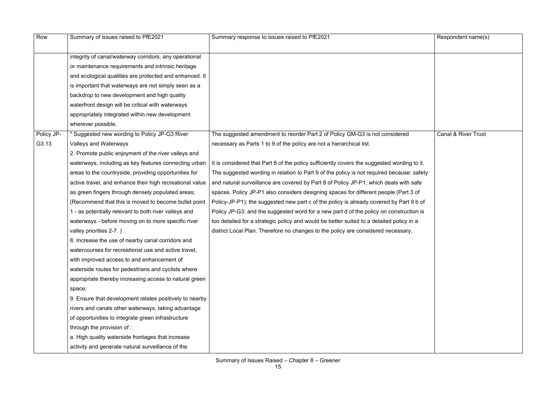|                                                                                         | Respondent name(s)             |
|-----------------------------------------------------------------------------------------|--------------------------------|
|                                                                                         |                                |
|                                                                                         | <b>Canal &amp; River Trust</b> |
| g to it.<br>: safety<br>າ safe<br>3 <sub>of</sub><br>$19b$ of<br>tion is:<br>in a<br>y. |                                |

| Row        | Summary of issues raised to PfE2021                      | Summary response to issues raised to PfE2021                                                | Respondent name(s)             |
|------------|----------------------------------------------------------|---------------------------------------------------------------------------------------------|--------------------------------|
|            |                                                          |                                                                                             |                                |
|            | integrity of canal/waterway corridors, any operational   |                                                                                             |                                |
|            | or maintenance requirements and intrinsic heritage       |                                                                                             |                                |
|            | and ecological qualities are protected and enhanced. It  |                                                                                             |                                |
|            | is important that waterways are not simply seen as a     |                                                                                             |                                |
|            | backdrop to new development and high quality             |                                                                                             |                                |
|            | waterfront design will be critical with waterways        |                                                                                             |                                |
|            | appropriately integrated within new development          |                                                                                             |                                |
|            | wherever possible.                                       |                                                                                             |                                |
| Policy JP- | " Suggested new wording to Policy JP-G3 River            | The suggested amendment to reorder Part 2 of Policy GM-G3 is not considered                 | <b>Canal &amp; River Trust</b> |
| G3.13      | Valleys and Waterways                                    | necessary as Parts 1 to 9 of the policy are not a hierarchical list.                        |                                |
|            | 2. Promote public enjoyment of the river valleys and     |                                                                                             |                                |
|            | waterways, including as key features connecting urban    | It is considered that Part 8 of the policy sufficiently covers the suggested wording to it. |                                |
|            | areas to the countryside, providing opportunities for    | The suggested wording in relation to Part 9 of the policy is not required because: safety   |                                |
|            | active travel, and enhance their high recreational value | and natural surveillance are covered by Part 8 of Policy JP-P1, which deals with safe       |                                |
|            | as green fingers through densely populated areas;        | spaces. Policy JP-P1 also considers designing spaces for different people (Part 3 of        |                                |
|            | (Recommend that this is moved to become bullet point     | Policy-JP-P1); the suggested new part c of the policy is already covered by Part 9 b of     |                                |
|            | 1 - as potentially relevant to both river valleys and    | Policy JP-G3; and the suggested word for a new part d of the policy on construction is      |                                |
|            | waterways - before moving on to more specific river      | too detailed for a strategic policy and would be better suited to a detailed policy in a    |                                |
|            | valley priorities 2-7.)                                  | district Local Plan. Therefore no changes to the policy are considered necessary.           |                                |
|            | 8. Increase the use of nearby canal corridors and        |                                                                                             |                                |
|            | watercourses for recreational use and active travel,     |                                                                                             |                                |
|            | with improved access to and enhancement of               |                                                                                             |                                |
|            | waterside routes for pedestrians and cyclists where      |                                                                                             |                                |
|            | appropriate thereby increasing access to natural green   |                                                                                             |                                |
|            | space;                                                   |                                                                                             |                                |
|            | 9. Ensure that development relates positively to nearby  |                                                                                             |                                |
|            | rivers and canals other waterways, taking advantage      |                                                                                             |                                |
|            | of opportunities to integrate green infrastructure       |                                                                                             |                                |
|            | through the provision of :                               |                                                                                             |                                |
|            | a. High quality waterside frontages that increase        |                                                                                             |                                |
|            | activity and generate natural surveillance of the        |                                                                                             |                                |
|            |                                                          |                                                                                             |                                |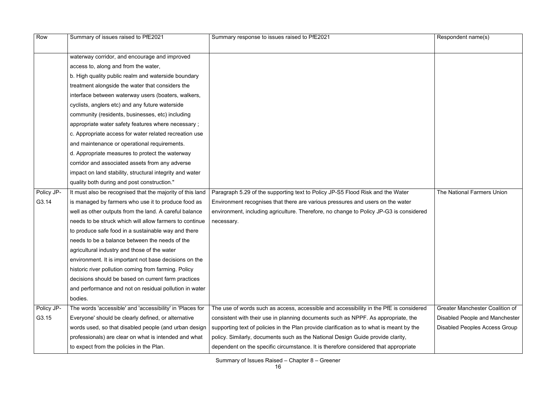| Row        | Summary of issues raised to PfE2021                       | Summary response to issues raised to PfE2021                                             | Respondent name(s)         |
|------------|-----------------------------------------------------------|------------------------------------------------------------------------------------------|----------------------------|
|            | waterway corridor, and encourage and improved             |                                                                                          |                            |
|            | access to, along and from the water,                      |                                                                                          |                            |
|            | b. High quality public realm and waterside boundary       |                                                                                          |                            |
|            | treatment alongside the water that considers the          |                                                                                          |                            |
|            | interface between waterway users (boaters, walkers,       |                                                                                          |                            |
|            | cyclists, anglers etc) and any future waterside           |                                                                                          |                            |
|            | community (residents, businesses, etc) including          |                                                                                          |                            |
|            | appropriate water safety features where necessary;        |                                                                                          |                            |
|            | c. Appropriate access for water related recreation use    |                                                                                          |                            |
|            | and maintenance or operational requirements.              |                                                                                          |                            |
|            | d. Appropriate measures to protect the waterway           |                                                                                          |                            |
|            | corridor and associated assets from any adverse           |                                                                                          |                            |
|            | impact on land stability, structural integrity and water  |                                                                                          |                            |
|            | quality both during and post construction."               |                                                                                          |                            |
| Policy JP- | It must also be recognised that the majority of this land | Paragraph 5.29 of the supporting text to Policy JP-S5 Flood Risk and the Water           | The National Farmer        |
| G3.14      | is managed by farmers who use it to produce food as       | Environment recognises that there are various pressures and users on the water           |                            |
|            | well as other outputs from the land. A careful balance    | environment, including agriculture. Therefore, no change to Policy JP-G3 is considered   |                            |
|            | needs to be struck which will allow farmers to continue   | necessary.                                                                               |                            |
|            | to produce safe food in a sustainable way and there       |                                                                                          |                            |
|            | needs to be a balance between the needs of the            |                                                                                          |                            |
|            | agricultural industry and those of the water              |                                                                                          |                            |
|            | environment. It is important not base decisions on the    |                                                                                          |                            |
|            | historic river pollution coming from farming. Policy      |                                                                                          |                            |
|            | decisions should be based on current farm practices       |                                                                                          |                            |
|            | and performance and not on residual pollution in water    |                                                                                          |                            |
|            | bodies.                                                   |                                                                                          |                            |
| Policy JP- | The words 'accessible' and 'accessibility' in 'Places for | The use of words such as access, accessible and accessibility in the PfE is considered   | <b>Greater Manchester</b>  |
| G3.15      | Everyone' should be clearly defined, or alternative       | consistent with their use in planning documents such as NPPF. As appropriate, the        | <b>Disabled People and</b> |
|            | words used, so that disabled people (and urban design     | supporting text of policies in the Plan provide clarification as to what is meant by the | <b>Disabled Peoples Ac</b> |
|            | professionals) are clear on what is intended and what     | policy. Similarly, documents such as the National Design Guide provide clarity,          |                            |
|            | to expect from the policies in the Plan.                  | dependent on the specific circumstance. It is therefore considered that appropriate      |                            |

|      | Respondent name(s)                     |
|------|----------------------------------------|
|      |                                        |
|      |                                        |
|      |                                        |
|      |                                        |
|      |                                        |
|      |                                        |
|      |                                        |
|      |                                        |
|      |                                        |
|      |                                        |
|      |                                        |
|      |                                        |
|      |                                        |
|      |                                        |
|      |                                        |
|      | The National Farmers Union             |
|      |                                        |
| ered |                                        |
|      |                                        |
|      |                                        |
|      |                                        |
|      |                                        |
|      |                                        |
|      |                                        |
|      |                                        |
|      |                                        |
|      |                                        |
|      |                                        |
| ered | <b>Greater Manchester Coalition of</b> |
| è    | Disabled People and Manchester         |
| е    | <b>Disabled Peoples Access Group</b>   |
|      |                                        |
|      |                                        |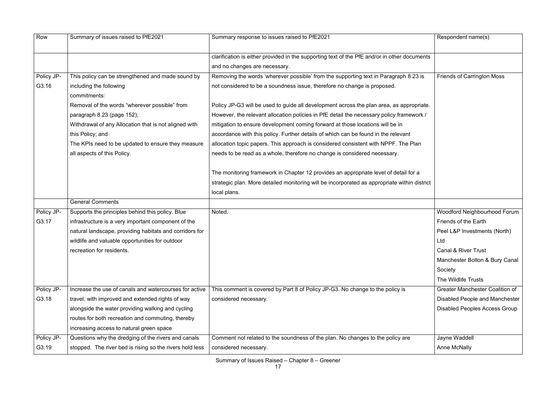| Row        | Summary of issues raised to PfE2021                      | Summary response to issues raised to PfE2021                                                 | Respondent name(s)                     |
|------------|----------------------------------------------------------|----------------------------------------------------------------------------------------------|----------------------------------------|
|            |                                                          | clarification is either provided in the supporting text of the PfE and/or in other documents |                                        |
|            |                                                          | and no changes are necessary.                                                                |                                        |
| Policy JP- | This policy can be strengthened and made sound by        | Removing the words 'wherever possible' from the supporting text in Paragraph 8.23 is         | <b>Friends of Carrington Moss</b>      |
| G3.16      | including the following                                  | not considered to be a soundness issue, therefore no change is proposed.                     |                                        |
|            | commitments:                                             |                                                                                              |                                        |
|            | Removal of the words "wherever possible" from            | Policy JP-G3 will be used to guide all development across the plan area, as appropriate.     |                                        |
|            | paragraph 8.23 (page 152);                               | However, the relevant allocation policies in PfE detail the necessary policy framework /     |                                        |
|            | Withdrawal of any Allocation that is not aligned with    | mitigation to ensure development coming forward at those locations will be in                |                                        |
|            | this Policy; and                                         | accordance with this policy. Further details of which can be found in the relevant           |                                        |
|            | The KPIs need to be updated to ensure they measure       | allocation topic papers. This approach is considered consistent with NPPF. The Plan          |                                        |
|            | all aspects of this Policy.                              | needs to be read as a whole, therefore no change is considered necessary.                    |                                        |
|            |                                                          | The monitoring framework in Chapter 12 provides an appropriate level of detail for a         |                                        |
|            |                                                          | strategic plan. More detailed monitoring will be incorporated as appropriate within district |                                        |
|            |                                                          | local plans.                                                                                 |                                        |
|            | <b>General Comments</b>                                  |                                                                                              |                                        |
| Policy JP- | Supports the principles behind this policy. Blue         | Noted.                                                                                       | Woodford Neighbourhood Forum           |
| G3.17      | infrastructure is a very important component of the      |                                                                                              | Friends of the Earth                   |
|            | natural landscape, providing habitats and corridors for  |                                                                                              | Peel L&P Investments (North)           |
|            | wildlife and valuable opportunities for outdoor          |                                                                                              | Ltd                                    |
|            | recreation for residents.                                |                                                                                              | <b>Canal &amp; River Trust</b>         |
|            |                                                          |                                                                                              | Manchester Bolton & Bury Canal         |
|            |                                                          |                                                                                              | Society                                |
|            |                                                          |                                                                                              | The Wildlife Trusts                    |
| Policy JP- | Increase the use of canals and watercourses for active   | This comment is covered by Part 8 of Policy JP-G3. No change to the policy is                | <b>Greater Manchester Coalition of</b> |
| G3.18      | travel, with improved and extended rights of way         | considered necessary.                                                                        | <b>Disabled People and Manchester</b>  |
|            | alongside the water providing walking and cycling        |                                                                                              | <b>Disabled Peoples Access Group</b>   |
|            | routes for both recreation and commuting, thereby        |                                                                                              |                                        |
|            | increasing access to natural green space                 |                                                                                              |                                        |
| Policy JP- | Questions why the dredging of the rivers and canals      | Comment not related to the soundness of the plan. No changes to the policy are               | Jayne Waddell                          |
| G3.19      | stopped. The river bed is rising so the rivers hold less | considered necessary.                                                                        | <b>Anne McNally</b>                    |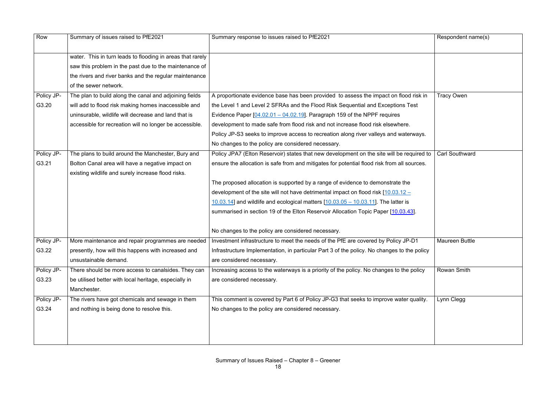| Row        | Summary of issues raised to PfE2021                        | Summary response to issues raised to PfE2021                                                                                           | Respondent name(s)    |
|------------|------------------------------------------------------------|----------------------------------------------------------------------------------------------------------------------------------------|-----------------------|
|            | water. This in turn leads to flooding in areas that rarely |                                                                                                                                        |                       |
|            | saw this problem in the past due to the maintenance of     |                                                                                                                                        |                       |
|            | the rivers and river banks and the regular maintenance     |                                                                                                                                        |                       |
|            | of the sewer network.                                      |                                                                                                                                        |                       |
| Policy JP- | The plan to build along the canal and adjoining fields     | A proportionate evidence base has been provided to assess the impact on flood risk in                                                  | <b>Tracy Owen</b>     |
| G3.20      | will add to flood risk making homes inaccessible and       | the Level 1 and Level 2 SFRAs and the Flood Risk Sequential and Exceptions Test                                                        |                       |
|            | uninsurable, wildlife will decrease and land that is       | Evidence Paper $[04.02.01 - 04.02.19]$ . Paragraph 159 of the NPPF requires                                                            |                       |
|            | accessible for recreation will no longer be accessible.    | development to made safe from flood risk and not increase flood risk elsewhere.                                                        |                       |
|            |                                                            | Policy JP-S3 seeks to improve access to recreation along river valleys and waterways.                                                  |                       |
|            |                                                            | No changes to the policy are considered necessary.                                                                                     |                       |
| Policy JP- | The plans to build around the Manchester, Bury and         | Policy JPA7 (Elton Reservoir) states that new development on the site will be required to                                              | <b>Carl Southward</b> |
| G3.21      | Bolton Canal area will have a negative impact on           | ensure the allocation is safe from and mitigates for potential flood risk from all sources.                                            |                       |
|            | existing wildlife and surely increase flood risks.         |                                                                                                                                        |                       |
|            |                                                            | The proposed allocation is supported by a range of evidence to demonstrate the                                                         |                       |
|            |                                                            | development of the site will not have detrimental impact on flood risk $10.03.12 -$                                                    |                       |
|            |                                                            | $\underline{10.03.14}$ and wildlife and ecological matters $\underline{10.03.05} - \underline{10.03.11}$ . The latter is               |                       |
|            |                                                            | summarised in section 19 of the Elton Reservoir Allocation Topic Paper [10.03.43].                                                     |                       |
|            |                                                            |                                                                                                                                        |                       |
|            |                                                            | No changes to the policy are considered necessary.                                                                                     |                       |
| Policy JP- |                                                            | More maintenance and repair programmes are needed   Investment infrastructure to meet the needs of the PfE are covered by Policy JP-D1 | <b>Maureen Buttle</b> |
| G3.22      | presently, how will this happens with increased and        | Infrastructure Implementation, in particular Part 3 of the policy. No changes to the policy                                            |                       |
|            | unsustainable demand.                                      | are considered necessary.                                                                                                              |                       |
| Policy JP- | There should be more access to canalsides. They can        | Increasing access to the waterways is a priority of the policy. No changes to the policy                                               | <b>Rowan Smith</b>    |
| G3.23      | be utilised better with local heritage, especially in      | are considered necessary.                                                                                                              |                       |
|            | Manchester.                                                |                                                                                                                                        |                       |
| Policy JP- | The rivers have got chemicals and sewage in them           | This comment is covered by Part 6 of Policy JP-G3 that seeks to improve water quality.                                                 | Lynn Clegg            |
| G3.24      | and nothing is being done to resolve this.                 | No changes to the policy are considered necessary.                                                                                     |                       |
|            |                                                            |                                                                                                                                        |                       |
|            |                                                            |                                                                                                                                        |                       |
|            |                                                            |                                                                                                                                        |                       |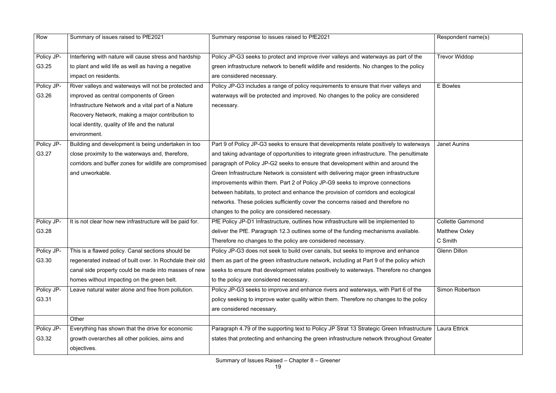| Row        | Summary of issues raised to PfE2021                      | Summary response to issues raised to PfE2021                                               | Respondent name(s)      |
|------------|----------------------------------------------------------|--------------------------------------------------------------------------------------------|-------------------------|
| Policy JP- | Interfering with nature will cause stress and hardship   | Policy JP-G3 seeks to protect and improve river valleys and waterways as part of the       | <b>Trevor Widdop</b>    |
| G3.25      | to plant and wild life as well as having a negative      | green infrastructure network to benefit wildlife and residents. No changes to the policy   |                         |
|            | impact on residents.                                     | are considered necessary.                                                                  |                         |
| Policy JP- | River valleys and waterways will not be protected and    | Policy JP-G3 includes a range of policy requirements to ensure that river valleys and      | E Bowles                |
| G3.26      | improved as central components of Green                  | waterways will be protected and improved. No changes to the policy are considered          |                         |
|            | Infrastructure Network and a vital part of a Nature      | necessary.                                                                                 |                         |
|            | Recovery Network, making a major contribution to         |                                                                                            |                         |
|            | local identity, quality of life and the natural          |                                                                                            |                         |
|            | environment.                                             |                                                                                            |                         |
| Policy JP- | Building and development is being undertaken in too      | Part 9 of Policy JP-G3 seeks to ensure that developments relate positively to waterways    | <b>Janet Aunins</b>     |
| G3.27      | close proximity to the waterways and, therefore,         | and taking advantage of opportunities to integrate green infrastructure. The penultimate   |                         |
|            | corridors and buffer zones for wildlife are compromised  | paragraph of Policy JP-G2 seeks to ensure that development within and around the           |                         |
|            | and unworkable.                                          | Green Infrastructure Network is consistent with delivering major green infrastructure      |                         |
|            |                                                          | improvements within them. Part 2 of Policy JP-G9 seeks to improve connections              |                         |
|            |                                                          | between habitats, to protect and enhance the provision of corridors and ecological         |                         |
|            |                                                          | networks. These policies sufficiently cover the concerns raised and therefore no           |                         |
|            |                                                          | changes to the policy are considered necessary.                                            |                         |
| Policy JP- | It is not clear how new infrastructure will be paid for. | PfE Policy JP-D1 Infrastructure, outlines how infrastructure will be implemented to        | <b>Collette Gammond</b> |
| G3.28      |                                                          | deliver the PfE. Paragraph 12.3 outlines some of the funding mechanisms available.         | <b>Matthew Oxley</b>    |
|            |                                                          | Therefore no changes to the policy are considered necessary.                               | C Smith                 |
| Policy JP- | This is a flawed policy. Canal sections should be        | Policy JP-G3 does not seek to build over canals, but seeks to improve and enhance          | <b>Glenn Dillon</b>     |
| G3.30      | regenerated instead of built over. In Rochdale their old | them as part of the green infrastructure network, including at Part 9 of the policy which  |                         |
|            | canal side property could be made into masses of new     | seeks to ensure that development relates positively to waterways. Therefore no changes     |                         |
|            | homes without impacting on the green belt.               | to the policy are considered necessary.                                                    |                         |
| Policy JP- | Leave natural water alone and free from pollution.       | Policy JP-G3 seeks to improve and enhance rivers and waterways, with Part 6 of the         | Simon Robertson         |
| G3.31      |                                                          | policy seeking to improve water quality within them. Therefore no changes to the policy    |                         |
|            |                                                          | are considered necessary.                                                                  |                         |
|            | Other                                                    |                                                                                            |                         |
| Policy JP- | Everything has shown that the drive for economic         | Paragraph 4.79 of the supporting text to Policy JP Strat 13 Strategic Green Infrastructure | <b>Laura Ettrick</b>    |
| G3.32      | growth overarches all other policies, aims and           | states that protecting and enhancing the green infrastructure network throughout Greater   |                         |
|            | objectives.                                              |                                                                                            |                         |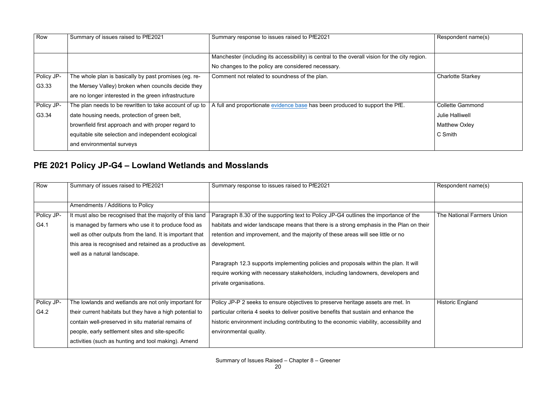| Row        | Summary of issues raised to PfE2021                     | Summary response to issues raised to PfE2021                                                   | Respondent name(s)       |
|------------|---------------------------------------------------------|------------------------------------------------------------------------------------------------|--------------------------|
|            |                                                         |                                                                                                |                          |
|            |                                                         | Manchester (including its accessibility) is central to the overall vision for the city region. |                          |
|            |                                                         | No changes to the policy are considered necessary.                                             |                          |
| Policy JP- | The whole plan is basically by past promises (eg. re-   | Comment not related to soundness of the plan.                                                  | <b>Charlotte Starkey</b> |
| G3.33      | the Mersey Valley) broken when councils decide they     |                                                                                                |                          |
|            | are no longer interested in the green infrastructure    |                                                                                                |                          |
| Policy JP- | The plan needs to be rewritten to take account of up to | A full and proportionate evidence base has been produced to support the PfE.                   | <b>Collette Gammond</b>  |
| G3.34      | date housing needs, protection of green belt,           |                                                                                                | <b>Julie Halliwell</b>   |
|            | brownfield first approach and with proper regard to     |                                                                                                | <b>Matthew Oxley</b>     |
|            | equitable site selection and independent ecological     |                                                                                                | C Smith                  |
|            | and environmental surveys                               |                                                                                                |                          |

### **PfE 2021 Policy JP-G4 – Lowland Wetlands and Mosslands**

| Row        | Summary of issues raised to PfE2021                       | Summary response to issues raised to PfE2021                                             | Respondent name(s)         |
|------------|-----------------------------------------------------------|------------------------------------------------------------------------------------------|----------------------------|
|            |                                                           |                                                                                          |                            |
|            | Amendments / Additions to Policy                          |                                                                                          |                            |
| Policy JP- | It must also be recognised that the majority of this land | Paragraph 8.30 of the supporting text to Policy JP-G4 outlines the importance of the     | The National Farmers Union |
| G4.1       | is managed by farmers who use it to produce food as       | habitats and wider landscape means that there is a strong emphasis in the Plan on their  |                            |
|            | well as other outputs from the land. It is important that | retention and improvement, and the majority of these areas will see little or no         |                            |
|            | this area is recognised and retained as a productive as   | development.                                                                             |                            |
|            | well as a natural landscape.                              |                                                                                          |                            |
|            |                                                           | Paragraph 12.3 supports implementing policies and proposals within the plan. It will     |                            |
|            |                                                           | require working with necessary stakeholders, including landowners, developers and        |                            |
|            |                                                           | private organisations.                                                                   |                            |
|            |                                                           |                                                                                          |                            |
| Policy JP- | The lowlands and wetlands are not only important for      | Policy JP-P 2 seeks to ensure objectives to preserve heritage assets are met. In         | <b>Historic England</b>    |
| G4.2       | their current habitats but they have a high potential to  | particular criteria 4 seeks to deliver positive benefits that sustain and enhance the    |                            |
|            | contain well-preserved in situ material remains of        | historic environment including contributing to the economic viability, accessibility and |                            |
|            | people, early settlement sites and site-specific          | environmental quality.                                                                   |                            |
|            | activities (such as hunting and tool making). Amend       |                                                                                          |                            |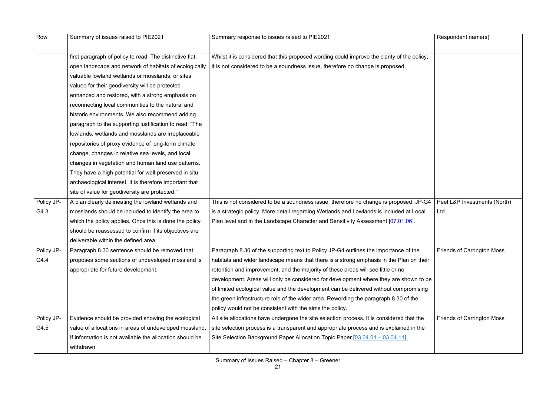| Row        | Summary of issues raised to PfE2021                      | Summary response to issues raised to PfE2021                                                | Respondent name(s)                |
|------------|----------------------------------------------------------|---------------------------------------------------------------------------------------------|-----------------------------------|
|            |                                                          |                                                                                             |                                   |
|            | first paragraph of policy to read: The distinctive flat, | Whilst it is considered that this proposed wording could improve the clarity of the policy, |                                   |
|            | open landscape and network of habitats of ecologically   | it is not considered to be a soundness issue, therefore no change is proposed.              |                                   |
|            | valuable lowland wetlands or mosslands, or sites         |                                                                                             |                                   |
|            | valued for their geodiversity will be protected          |                                                                                             |                                   |
|            | enhanced and restored, with a strong emphasis on         |                                                                                             |                                   |
|            | reconnecting local communities to the natural and        |                                                                                             |                                   |
|            | historic environments. We also recommend adding          |                                                                                             |                                   |
|            | paragraph to the supporting justification to read: "The  |                                                                                             |                                   |
|            | lowlands, wetlands and mosslands are irreplaceable       |                                                                                             |                                   |
|            | repositories of proxy evidence of long-term climate      |                                                                                             |                                   |
|            | change, changes in relative sea levels, and local        |                                                                                             |                                   |
|            | changes in vegetation and human land use patterns.       |                                                                                             |                                   |
|            | They have a high potential for well-preserved in situ    |                                                                                             |                                   |
|            | archaeological interest. It is therefore important that  |                                                                                             |                                   |
|            | site of value for geodiversity are protected."           |                                                                                             |                                   |
| Policy JP- | A plan clearly delineating the lowland wetlands and      | This is not considered to be a soundness issue, therefore no change is proposed. JP-G4      | Peel L&P Investments (North)      |
| G4.3       | mosslands should be included to identify the area to     | is a strategic policy. More detail regarding Wetlands and Lowlands is included at Local     | Ltd                               |
|            | which the policy applies. Once this is done the policy   | Plan level and in the Landscape Character and Sensitivity Assessment [07.01.06].            |                                   |
|            | should be reassessed to confirm if its objectives are    |                                                                                             |                                   |
|            | deliverable within the defined area.                     |                                                                                             |                                   |
| Policy JP- | Paragraph 8.30 sentence should be removed that           | Paragraph 8.30 of the supporting text to Policy JP-G4 outlines the importance of the        | <b>Friends of Carrington Moss</b> |
| G4.4       | proposes some sections of undeveloped mossland is        | habitats and wider landscape means that there is a strong emphasis in the Plan on their     |                                   |
|            | appropriate for future development.                      | retention and improvement, and the majority of these areas will see little or no            |                                   |
|            |                                                          | development. Areas will only be considered for development where they are shown to be       |                                   |
|            |                                                          | of limited ecological value and the development can be delivered without compromising       |                                   |
|            |                                                          | the green infrastructure role of the wider area. Rewording the paragraph 8.30 of the        |                                   |
|            |                                                          | policy would not be consistent with the aims the policy.                                    |                                   |
| Policy JP- | Evidence should be provided showing the ecological       | All site allocations have undergone the site selection process. It is considered that the   | <b>Friends of Carrington Moss</b> |
| G4.5       | value of allocations in areas of undeveloped mossland    | site selection process is a transparent and appropriate process and is explained in the     |                                   |
|            | If information is not available the allocation should be | Site Selection Background Paper Allocation Topic Paper [03.04.01 - 03.04.11].               |                                   |
|            | withdrawn.                                               |                                                                                             |                                   |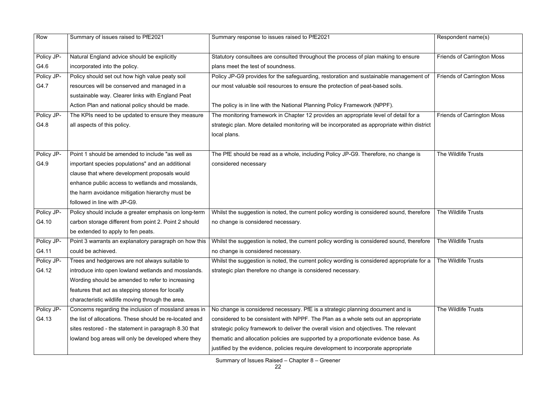| Row        | Summary of issues raised to PfE2021                     | Summary response to issues raised to PfE2021                                                                                                                            | Respondent name(s)           |
|------------|---------------------------------------------------------|-------------------------------------------------------------------------------------------------------------------------------------------------------------------------|------------------------------|
| Policy JP- | Natural England advice should be explicitly             | Statutory consultees are consulted throughout the process of plan making to ensure                                                                                      | <b>Friends of Carringtor</b> |
| G4.6       | incorporated into the policy.                           | plans meet the test of soundness.                                                                                                                                       |                              |
| Policy JP- | Policy should set out how high value peaty soil         | Policy JP-G9 provides for the safeguarding, restoration and sustainable management of                                                                                   | <b>Friends of Carringtor</b> |
| G4.7       | resources will be conserved and managed in a            | our most valuable soil resources to ensure the protection of peat-based soils.                                                                                          |                              |
|            | sustainable way. Clearer links with England Peat        |                                                                                                                                                                         |                              |
|            | Action Plan and national policy should be made.         | The policy is in line with the National Planning Policy Framework (NPPF).                                                                                               |                              |
| Policy JP- | The KPIs need to be updated to ensure they measure      | The monitoring framework in Chapter 12 provides an appropriate level of detail for a                                                                                    | <b>Friends of Carringtor</b> |
| G4.8       | all aspects of this policy.                             | strategic plan. More detailed monitoring will be incorporated as appropriate within district                                                                            |                              |
|            |                                                         | local plans.                                                                                                                                                            |                              |
| Policy JP- | Point 1 should be amended to include "as well as        | The PfE should be read as a whole, including Policy JP-G9. Therefore, no change is                                                                                      | The Wildlife Trusts          |
| G4.9       | important species populations" and an additional        | considered necessary                                                                                                                                                    |                              |
|            | clause that where development proposals would           |                                                                                                                                                                         |                              |
|            | enhance public access to wetlands and mosslands,        |                                                                                                                                                                         |                              |
|            | the harm avoidance mitigation hierarchy must be         |                                                                                                                                                                         |                              |
|            | followed in line with JP-G9.                            |                                                                                                                                                                         |                              |
| Policy JP- | Policy should include a greater emphasis on long-term   | Whilst the suggestion is noted, the current policy wording is considered sound, therefore                                                                               | The Wildlife Trusts          |
| G4.10      | carbon storage different from point 2. Point 2 should   | no change is considered necessary.                                                                                                                                      |                              |
|            | be extended to apply to fen peats.                      |                                                                                                                                                                         |                              |
| Policy JP- |                                                         | Point 3 warrants an explanatory paragraph on how this   Whilst the suggestion is noted, the current policy wording is considered sound, therefore   The Wildlife Trusts |                              |
| G4.11      | could be achieved.                                      | no change is considered necessary.                                                                                                                                      |                              |
| Policy JP- | Trees and hedgerows are not always suitable to          | Whilst the suggestion is noted, the current policy wording is considered appropriate for a                                                                              | The Wildlife Trusts          |
| G4.12      | introduce into open lowland wetlands and mosslands.     | strategic plan therefore no change is considered necessary.                                                                                                             |                              |
|            | Wording should be amended to refer to increasing        |                                                                                                                                                                         |                              |
|            | features that act as stepping stones for locally        |                                                                                                                                                                         |                              |
|            | characteristic wildlife moving through the area.        |                                                                                                                                                                         |                              |
| Policy JP- | Concerns regarding the inclusion of mossland areas in   | No change is considered necessary. PfE is a strategic planning document and is                                                                                          | The Wildlife Trusts          |
| G4.13      | the list of allocations. These should be re-located and | considered to be consistent with NPPF. The Plan as a whole sets out an appropriate                                                                                      |                              |
|            | sites restored - the statement in paragraph 8.30 that   | strategic policy framework to deliver the overall vision and objectives. The relevant                                                                                   |                              |
|            | lowland bog areas will only be developed where they     | thematic and allocation policies are supported by a proportionate evidence base. As                                                                                     |                              |
|            |                                                         | justified by the evidence, policies require development to incorporate appropriate                                                                                      |                              |

|        | Respondent name(s)                |
|--------|-----------------------------------|
|        | <b>Friends of Carrington Moss</b> |
| nt of  | <b>Friends of Carrington Moss</b> |
| strict | <b>Friends of Carrington Moss</b> |
|        | The Wildlife Trusts               |
| fore   | The Wildlife Trusts               |
| fore   | The Wildlife Trusts               |
| for a  | The Wildlife Trusts               |
|        | The Wildlife Trusts               |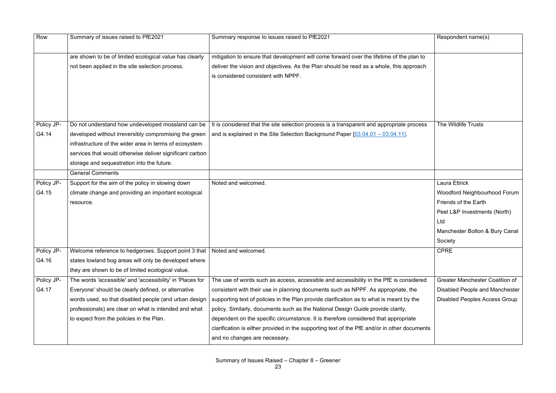|           | Respondent name(s)                     |
|-----------|----------------------------------------|
| to        |                                        |
| ch        |                                        |
|           |                                        |
|           |                                        |
|           |                                        |
|           |                                        |
|           |                                        |
| <b>SS</b> | The Wildlife Trusts                    |
|           |                                        |
|           |                                        |
|           |                                        |
|           |                                        |
|           |                                        |
|           | <b>Laura Ettrick</b>                   |
|           | Woodford Neighbourhood Forum           |
|           | <b>Friends of the Earth</b>            |
|           | Peel L&P Investments (North)           |
|           | Ltd                                    |
|           | Manchester Bolton & Bury Canal         |
|           | Society                                |
|           | <b>CPRE</b>                            |
|           |                                        |
|           |                                        |
| ed        | <b>Greater Manchester Coalition of</b> |
|           | <b>Disabled People and Manchester</b>  |
|           | <b>Disabled Peoples Access Group</b>   |
|           |                                        |
|           |                                        |
| ents      |                                        |
|           |                                        |

| Row        | Summary of issues raised to PfE2021                                                                        | Summary response to issues raised to PfE2021                                                                                                                                        | Respondent name(s)         |
|------------|------------------------------------------------------------------------------------------------------------|-------------------------------------------------------------------------------------------------------------------------------------------------------------------------------------|----------------------------|
|            | are shown to be of limited ecological value has clearly<br>not been applied in the site selection process. | mitigation to ensure that development will come forward over the lifetime of the plan to<br>deliver the vision and objectives. As the Plan should be read as a whole, this approach |                            |
|            |                                                                                                            | is considered consistent with NPPF.                                                                                                                                                 |                            |
| Policy JP- | Do not understand how undeveloped mossland can be                                                          | It is considered that the site selection process is a transparent and appropriate process                                                                                           | The Wildlife Trusts        |
| G4.14      | developed without irreversibly compromising the green                                                      | and is explained in the Site Selection Background Paper $[03.04.01 - 03.04.11]$ .                                                                                                   |                            |
|            | infrastructure of the wider area in terms of ecosystem                                                     |                                                                                                                                                                                     |                            |
|            | services that would otherwise deliver significant carbon                                                   |                                                                                                                                                                                     |                            |
|            | storage and sequestration into the future.                                                                 |                                                                                                                                                                                     |                            |
|            | <b>General Comments</b>                                                                                    |                                                                                                                                                                                     |                            |
| Policy JP- | Support for the aim of the policy in slowing down                                                          | Noted and welcomed.                                                                                                                                                                 | Laura Ettrick              |
| G4.15      | climate change and providing an important ecological                                                       |                                                                                                                                                                                     | <b>Woodford Neighbour</b>  |
|            | resource.                                                                                                  |                                                                                                                                                                                     | Friends of the Earth       |
|            |                                                                                                            |                                                                                                                                                                                     | Peel L&P Investment        |
|            |                                                                                                            |                                                                                                                                                                                     | Ltd                        |
|            |                                                                                                            |                                                                                                                                                                                     | Manchester Bolton &        |
|            |                                                                                                            |                                                                                                                                                                                     | Society                    |
| Policy JP- | Welcome reference to hedgerows. Support point 3 that                                                       | Noted and welcomed.                                                                                                                                                                 | <b>CPRE</b>                |
| G4.16      | states lowland bog areas will only be developed where                                                      |                                                                                                                                                                                     |                            |
|            | they are shown to be of limited ecological value.                                                          |                                                                                                                                                                                     |                            |
| Policy JP- | The words 'accessible' and 'accessibility' in 'Places for                                                  | The use of words such as access, accessible and accessibility in the PfE is considered                                                                                              | <b>Greater Manchester</b>  |
| G4.17      | Everyone' should be clearly defined, or alternative                                                        | consistent with their use in planning documents such as NPPF. As appropriate, the                                                                                                   | Disabled People and        |
|            | words used, so that disabled people (and urban design                                                      | supporting text of policies in the Plan provide clarification as to what is meant by the                                                                                            | <b>Disabled Peoples Ac</b> |
|            | professionals) are clear on what is intended and what                                                      | policy. Similarly, documents such as the National Design Guide provide clarity,                                                                                                     |                            |
|            | to expect from the policies in the Plan.                                                                   | dependent on the specific circumstance. It is therefore considered that appropriate                                                                                                 |                            |
|            |                                                                                                            | clarification is either provided in the supporting text of the PfE and/or in other documents                                                                                        |                            |
|            |                                                                                                            | and no changes are necessary.                                                                                                                                                       |                            |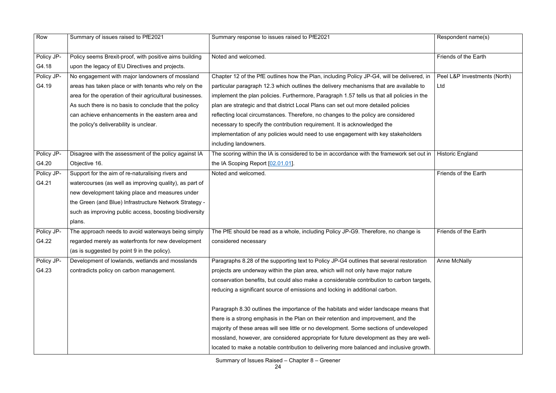| Row        | Summary of issues raised to PfE2021                      | Summary response to issues raised to PfE2021                                               | Respondent name(s)           |
|------------|----------------------------------------------------------|--------------------------------------------------------------------------------------------|------------------------------|
| Policy JP- | Policy seems Brexit-proof, with positive aims building   | Noted and welcomed.                                                                        | <b>Friends of the Earth</b>  |
| G4.18      | upon the legacy of EU Directives and projects.           |                                                                                            |                              |
| Policy JP- | No engagement with major landowners of mossland          | Chapter 12 of the PfE outlines how the Plan, including Policy JP-G4, will be delivered, in | Peel L&P Investments (North) |
| G4.19      | areas has taken place or with tenants who rely on the    | particular paragraph 12.3 which outlines the delivery mechanisms that are available to     | Ltd                          |
|            | area for the operation of their agricultural businesses. | implement the plan policies. Furthermore, Paragraph 1.57 tells us that all policies in the |                              |
|            | As such there is no basis to conclude that the policy    | plan are strategic and that district Local Plans can set out more detailed policies        |                              |
|            | can achieve enhancements in the eastern area and         | reflecting local circumstances. Therefore, no changes to the policy are considered         |                              |
|            | the policy's deliverability is unclear.                  | necessary to specify the contribution requirement. It is acknowledged the                  |                              |
|            |                                                          | implementation of any policies would need to use engagement with key stakeholders          |                              |
|            |                                                          | including landowners.                                                                      |                              |
| Policy JP- | Disagree with the assessment of the policy against IA    | The scoring within the IA is considered to be in accordance with the framework set out in  | <b>Historic England</b>      |
| G4.20      | Objective 16.                                            | the IA Scoping Report [02.01.01].                                                          |                              |
| Policy JP- | Support for the aim of re-naturalising rivers and        | Noted and welcomed.                                                                        | <b>Friends of the Earth</b>  |
| G4.21      | watercourses (as well as improving quality), as part of  |                                                                                            |                              |
|            | new development taking place and measures under          |                                                                                            |                              |
|            | the Green (and Blue) Infrastructure Network Strategy -   |                                                                                            |                              |
|            | such as improving public access, boosting biodiversity   |                                                                                            |                              |
|            | plans.                                                   |                                                                                            |                              |
| Policy JP- | The approach needs to avoid waterways being simply       | The PfE should be read as a whole, including Policy JP-G9. Therefore, no change is         | <b>Friends of the Earth</b>  |
| G4.22      | regarded merely as waterfronts for new development       | considered necessary                                                                       |                              |
|            | (as is suggested by point 9 in the policy).              |                                                                                            |                              |
| Policy JP- | Development of lowlands, wetlands and mosslands          | Paragraphs 8.28 of the supporting text to Policy JP-G4 outlines that several restoration   | <b>Anne McNally</b>          |
| G4.23      | contradicts policy on carbon management.                 | projects are underway within the plan area, which will not only have major nature          |                              |
|            |                                                          | conservation benefits, but could also make a considerable contribution to carbon targets,  |                              |
|            |                                                          | reducing a significant source of emissions and locking in additional carbon.               |                              |
|            |                                                          |                                                                                            |                              |
|            |                                                          | Paragraph 8.30 outlines the importance of the habitats and wider landscape means that      |                              |
|            |                                                          | there is a strong emphasis in the Plan on their retention and improvement, and the         |                              |
|            |                                                          | majority of these areas will see little or no development. Some sections of undeveloped    |                              |
|            |                                                          | mossland, however, are considered appropriate for future development as they are well-     |                              |
|            |                                                          | located to make a notable contribution to delivering more balanced and inclusive growth.   |                              |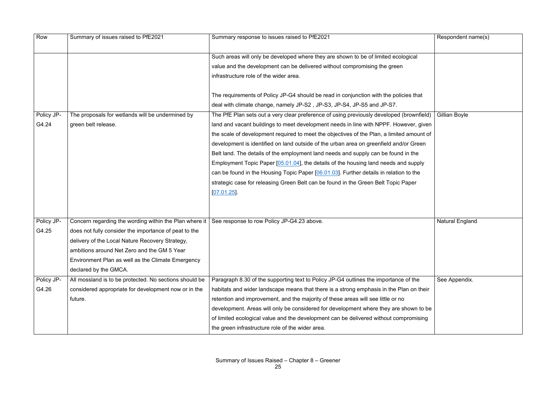|                             | Respondent name(s)     |
|-----------------------------|------------------------|
|                             |                        |
|                             |                        |
| t                           |                        |
|                             |                        |
| $\overline{\mathsf{ield}})$ | <b>Gillian Boyle</b>   |
| jiven                       |                        |
| nt of                       |                        |
| en                          |                        |
|                             |                        |
| ly                          |                        |
|                             |                        |
|                             |                        |
|                             |                        |
|                             |                        |
|                             | <b>Natural England</b> |
|                             |                        |
|                             |                        |
|                             |                        |
|                             |                        |
|                             | See Appendix.          |
| heir                        |                        |
|                             |                        |
| o be<br>ing                 |                        |
|                             |                        |
|                             |                        |

| Such areas will only be developed where they are shown to be of limited ecological<br>value and the development can be delivered without compromising the green<br>infrastructure role of the wider area.<br>The requirements of Policy JP-G4 should be read in conjunction with the policies that<br>deal with climate change, namely JP-S2, JP-S3, JP-S4, JP-S5 and JP-S7.<br>Policy JP-<br>The proposals for wetlands will be undermined by<br>Gillian Boyle<br>The PfE Plan sets out a very clear preference of using previously developed (brownfield)<br>G4.24<br>green belt release.<br>land and vacant buildings to meet development needs in line with NPPF. However, given<br>the scale of development required to meet the objectives of the Plan, a limited amount of<br>development is identified on land outside of the urban area on greenfield and/or Green<br>Belt land. The details of the employment land needs and supply can be found in the<br>Employment Topic Paper [05.01.04], the details of the housing land needs and supply<br>can be found in the Housing Topic Paper [06.01.03]. Further details in relation to the<br>strategic case for releasing Green Belt can be found in the Green Belt Topic Paper<br>[07.01.25]<br>Policy JP-<br>Concern regarding the wording within the Plan where it $\vert$ See response to row Policy JP-G4.23 above.<br><b>Natural England</b><br>G4.25<br>does not fully consider the importance of peat to the |
|-------------------------------------------------------------------------------------------------------------------------------------------------------------------------------------------------------------------------------------------------------------------------------------------------------------------------------------------------------------------------------------------------------------------------------------------------------------------------------------------------------------------------------------------------------------------------------------------------------------------------------------------------------------------------------------------------------------------------------------------------------------------------------------------------------------------------------------------------------------------------------------------------------------------------------------------------------------------------------------------------------------------------------------------------------------------------------------------------------------------------------------------------------------------------------------------------------------------------------------------------------------------------------------------------------------------------------------------------------------------------------------------------------------------------------------------------------------------------------|
|                                                                                                                                                                                                                                                                                                                                                                                                                                                                                                                                                                                                                                                                                                                                                                                                                                                                                                                                                                                                                                                                                                                                                                                                                                                                                                                                                                                                                                                                               |
|                                                                                                                                                                                                                                                                                                                                                                                                                                                                                                                                                                                                                                                                                                                                                                                                                                                                                                                                                                                                                                                                                                                                                                                                                                                                                                                                                                                                                                                                               |
|                                                                                                                                                                                                                                                                                                                                                                                                                                                                                                                                                                                                                                                                                                                                                                                                                                                                                                                                                                                                                                                                                                                                                                                                                                                                                                                                                                                                                                                                               |
|                                                                                                                                                                                                                                                                                                                                                                                                                                                                                                                                                                                                                                                                                                                                                                                                                                                                                                                                                                                                                                                                                                                                                                                                                                                                                                                                                                                                                                                                               |
|                                                                                                                                                                                                                                                                                                                                                                                                                                                                                                                                                                                                                                                                                                                                                                                                                                                                                                                                                                                                                                                                                                                                                                                                                                                                                                                                                                                                                                                                               |
|                                                                                                                                                                                                                                                                                                                                                                                                                                                                                                                                                                                                                                                                                                                                                                                                                                                                                                                                                                                                                                                                                                                                                                                                                                                                                                                                                                                                                                                                               |
|                                                                                                                                                                                                                                                                                                                                                                                                                                                                                                                                                                                                                                                                                                                                                                                                                                                                                                                                                                                                                                                                                                                                                                                                                                                                                                                                                                                                                                                                               |
|                                                                                                                                                                                                                                                                                                                                                                                                                                                                                                                                                                                                                                                                                                                                                                                                                                                                                                                                                                                                                                                                                                                                                                                                                                                                                                                                                                                                                                                                               |
|                                                                                                                                                                                                                                                                                                                                                                                                                                                                                                                                                                                                                                                                                                                                                                                                                                                                                                                                                                                                                                                                                                                                                                                                                                                                                                                                                                                                                                                                               |
|                                                                                                                                                                                                                                                                                                                                                                                                                                                                                                                                                                                                                                                                                                                                                                                                                                                                                                                                                                                                                                                                                                                                                                                                                                                                                                                                                                                                                                                                               |
|                                                                                                                                                                                                                                                                                                                                                                                                                                                                                                                                                                                                                                                                                                                                                                                                                                                                                                                                                                                                                                                                                                                                                                                                                                                                                                                                                                                                                                                                               |
|                                                                                                                                                                                                                                                                                                                                                                                                                                                                                                                                                                                                                                                                                                                                                                                                                                                                                                                                                                                                                                                                                                                                                                                                                                                                                                                                                                                                                                                                               |
|                                                                                                                                                                                                                                                                                                                                                                                                                                                                                                                                                                                                                                                                                                                                                                                                                                                                                                                                                                                                                                                                                                                                                                                                                                                                                                                                                                                                                                                                               |
|                                                                                                                                                                                                                                                                                                                                                                                                                                                                                                                                                                                                                                                                                                                                                                                                                                                                                                                                                                                                                                                                                                                                                                                                                                                                                                                                                                                                                                                                               |
|                                                                                                                                                                                                                                                                                                                                                                                                                                                                                                                                                                                                                                                                                                                                                                                                                                                                                                                                                                                                                                                                                                                                                                                                                                                                                                                                                                                                                                                                               |
|                                                                                                                                                                                                                                                                                                                                                                                                                                                                                                                                                                                                                                                                                                                                                                                                                                                                                                                                                                                                                                                                                                                                                                                                                                                                                                                                                                                                                                                                               |
|                                                                                                                                                                                                                                                                                                                                                                                                                                                                                                                                                                                                                                                                                                                                                                                                                                                                                                                                                                                                                                                                                                                                                                                                                                                                                                                                                                                                                                                                               |
| delivery of the Local Nature Recovery Strategy,                                                                                                                                                                                                                                                                                                                                                                                                                                                                                                                                                                                                                                                                                                                                                                                                                                                                                                                                                                                                                                                                                                                                                                                                                                                                                                                                                                                                                               |
| ambitions around Net Zero and the GM 5 Year                                                                                                                                                                                                                                                                                                                                                                                                                                                                                                                                                                                                                                                                                                                                                                                                                                                                                                                                                                                                                                                                                                                                                                                                                                                                                                                                                                                                                                   |
| Environment Plan as well as the Climate Emergency                                                                                                                                                                                                                                                                                                                                                                                                                                                                                                                                                                                                                                                                                                                                                                                                                                                                                                                                                                                                                                                                                                                                                                                                                                                                                                                                                                                                                             |
| declared by the GMCA.                                                                                                                                                                                                                                                                                                                                                                                                                                                                                                                                                                                                                                                                                                                                                                                                                                                                                                                                                                                                                                                                                                                                                                                                                                                                                                                                                                                                                                                         |
| Policy JP-<br>Paragraph 8.30 of the supporting text to Policy JP-G4 outlines the importance of the<br>All mossland is to be protected. No sections should be<br>See Appendix.                                                                                                                                                                                                                                                                                                                                                                                                                                                                                                                                                                                                                                                                                                                                                                                                                                                                                                                                                                                                                                                                                                                                                                                                                                                                                                 |
| G4.26<br>considered appropriate for development now or in the<br>habitats and wider landscape means that there is a strong emphasis in the Plan on their                                                                                                                                                                                                                                                                                                                                                                                                                                                                                                                                                                                                                                                                                                                                                                                                                                                                                                                                                                                                                                                                                                                                                                                                                                                                                                                      |
| retention and improvement, and the majority of these areas will see little or no<br>future.                                                                                                                                                                                                                                                                                                                                                                                                                                                                                                                                                                                                                                                                                                                                                                                                                                                                                                                                                                                                                                                                                                                                                                                                                                                                                                                                                                                   |
| development. Areas will only be considered for development where they are shown to be                                                                                                                                                                                                                                                                                                                                                                                                                                                                                                                                                                                                                                                                                                                                                                                                                                                                                                                                                                                                                                                                                                                                                                                                                                                                                                                                                                                         |
| of limited ecological value and the development can be delivered without compromising                                                                                                                                                                                                                                                                                                                                                                                                                                                                                                                                                                                                                                                                                                                                                                                                                                                                                                                                                                                                                                                                                                                                                                                                                                                                                                                                                                                         |
| the green infrastructure role of the wider area.                                                                                                                                                                                                                                                                                                                                                                                                                                                                                                                                                                                                                                                                                                                                                                                                                                                                                                                                                                                                                                                                                                                                                                                                                                                                                                                                                                                                                              |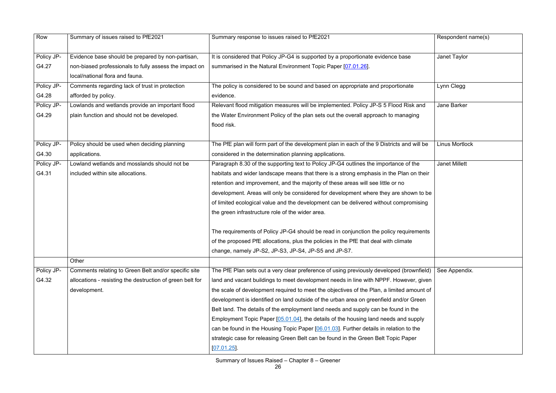| Row        | Summary of issues raised to PfE2021                       | Summary response to issues raised to PfE2021                                               | Respondent name(s)    |
|------------|-----------------------------------------------------------|--------------------------------------------------------------------------------------------|-----------------------|
|            |                                                           |                                                                                            |                       |
| Policy JP- | Evidence base should be prepared by non-partisan,         | It is considered that Policy JP-G4 is supported by a proportionate evidence base           | Janet Taylor          |
| G4.27      | non-biased professionals to fully assess the impact on    | summarised in the Natural Environment Topic Paper [07.01.26].                              |                       |
|            | local/national flora and fauna.                           |                                                                                            |                       |
| Policy JP- | Comments regarding lack of trust in protection            | The policy is considered to be sound and based on appropriate and proportionate            | Lynn Clegg            |
| G4.28      | afforded by policy.                                       | evidence.                                                                                  |                       |
| Policy JP- | Lowlands and wetlands provide an important flood          | Relevant flood mitigation measures will be implemented. Policy JP-S 5 Flood Risk and       | Jane Barker           |
| G4.29      | plain function and should not be developed.               | the Water Environment Policy of the plan sets out the overall approach to managing         |                       |
|            |                                                           | flood risk.                                                                                |                       |
|            |                                                           |                                                                                            |                       |
| Policy JP- | Policy should be used when deciding planning              | The PfE plan will form part of the development plan in each of the 9 Districts and will be | <b>Linus Mortlock</b> |
| G4.30      | applications.                                             | considered in the determination planning applications.                                     |                       |
| Policy JP- | Lowland wetlands and mosslands should not be              | Paragraph 8.30 of the supporting text to Policy JP-G4 outlines the importance of the       | <b>Janet Millett</b>  |
| G4.31      | included within site allocations.                         | habitats and wider landscape means that there is a strong emphasis in the Plan on their    |                       |
|            |                                                           | retention and improvement, and the majority of these areas will see little or no           |                       |
|            |                                                           | development. Areas will only be considered for development where they are shown to be      |                       |
|            |                                                           | of limited ecological value and the development can be delivered without compromising      |                       |
|            |                                                           | the green infrastructure role of the wider area.                                           |                       |
|            |                                                           |                                                                                            |                       |
|            |                                                           | The requirements of Policy JP-G4 should be read in conjunction the policy requirements     |                       |
|            |                                                           | of the proposed PfE allocations, plus the policies in the PfE that deal with climate       |                       |
|            |                                                           | change, namely JP-S2, JP-S3, JP-S4, JP-S5 and JP-S7.                                       |                       |
|            | Other                                                     |                                                                                            |                       |
| Policy JP- | Comments relating to Green Belt and/or specific site      | The PfE Plan sets out a very clear preference of using previously developed (brownfield)   | See Appendix.         |
| G4.32      | allocations - resisting the destruction of green belt for | land and vacant buildings to meet development needs in line with NPPF. However, given      |                       |
|            | development.                                              | the scale of development required to meet the objectives of the Plan, a limited amount of  |                       |
|            |                                                           | development is identified on land outside of the urban area on greenfield and/or Green     |                       |
|            |                                                           | Belt land. The details of the employment land needs and supply can be found in the         |                       |
|            |                                                           | Employment Topic Paper [05.01.04], the details of the housing land needs and supply        |                       |
|            |                                                           | can be found in the Housing Topic Paper [06.01.03]. Further details in relation to the     |                       |
|            |                                                           | strategic case for releasing Green Belt can be found in the Green Belt Topic Paper         |                       |
|            |                                                           | [07.01.25]                                                                                 |                       |
|            |                                                           |                                                                                            |                       |

|                                                                              | Respondent name(s)    |
|------------------------------------------------------------------------------|-----------------------|
|                                                                              | Janet Taylor          |
|                                                                              | Lynn Clegg            |
| and<br>g                                                                     | Jane Barker           |
| $\overline{u}$ ll be                                                         | <b>Linus Mortlock</b> |
| e<br><b>their</b>                                                            | <b>Janet Millett</b>  |
| to be<br>ising                                                               |                       |
| nents                                                                        |                       |
| $\overline{\mathsf{nfield}})$<br>, given<br>ount of<br>een<br>e<br>ply<br>ιe | See Appendix.         |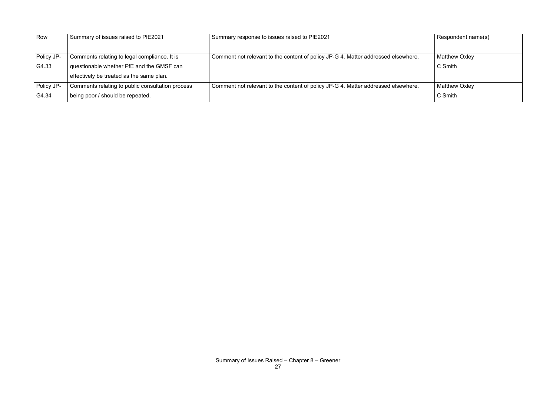| Row        | Summary of issues raised to PfE2021              | Summary response to issues raised to PfE2021                                      | Respondent name(s)   |
|------------|--------------------------------------------------|-----------------------------------------------------------------------------------|----------------------|
|            |                                                  |                                                                                   |                      |
| Policy JP- | Comments relating to legal compliance. It is     | Comment not relevant to the content of policy JP-G 4. Matter addressed elsewhere. | Matthew Oxley        |
| G4.33      | questionable whether PfE and the GMSF can        |                                                                                   | C Smith              |
|            | effectively be treated as the same plan.         |                                                                                   |                      |
| Policy JP- | Comments relating to public consultation process | Comment not relevant to the content of policy JP-G 4. Matter addressed elsewhere. | <b>Matthew Oxley</b> |
| G4.34      | being poor / should be repeated.                 |                                                                                   | C Smith              |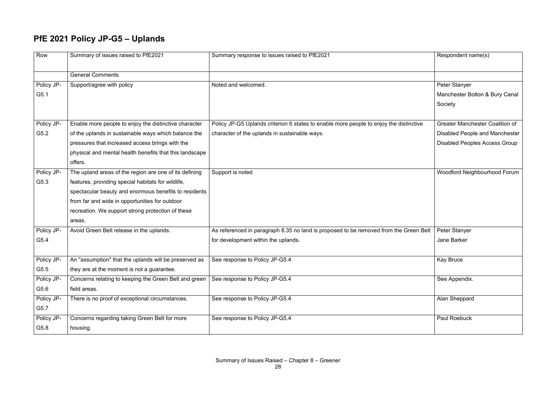#### **PfE 2021 Policy JP-G5 – Uplands**

|        | Respondent name(s)                     |
|--------|----------------------------------------|
|        |                                        |
|        | Peter Stanyer                          |
|        | Manchester Bolton & Bury Canal         |
|        | Society                                |
|        |                                        |
| ive    | <b>Greater Manchester Coalition of</b> |
|        | <b>Disabled People and Manchester</b>  |
|        | <b>Disabled Peoples Access Group</b>   |
|        |                                        |
|        |                                        |
|        | <b>Woodford Neighbourhood Forum</b>    |
|        |                                        |
|        |                                        |
|        |                                        |
|        |                                        |
|        |                                        |
| n Belt | Peter Stanyer                          |
|        | <b>Jane Barker</b>                     |
|        |                                        |
|        | Kay Bruce                              |
|        |                                        |
|        | See Appendix.                          |
|        |                                        |
|        | Alan Sheppard                          |
|        |                                        |
|        | <b>Paul Roebuck</b>                    |
|        |                                        |

| Row        | Summary of issues raised to PfE2021                     | Summary response to issues raised to PfE2021                                           | Respondent name(s)                     |
|------------|---------------------------------------------------------|----------------------------------------------------------------------------------------|----------------------------------------|
|            | <b>General Comments</b>                                 |                                                                                        |                                        |
| Policy JP- | Support/agree with policy                               | Noted and welcomed.                                                                    | Peter Stanyer                          |
| G5.1       |                                                         |                                                                                        | Manchester Bolton & Bury Canal         |
|            |                                                         |                                                                                        | Society                                |
| Policy JP- | Enable more people to enjoy the distinctive character   | Policy JP-G5 Uplands criterion 6 states to enable more people to enjoy the distinctive | <b>Greater Manchester Coalition of</b> |
| G5.2       | of the uplands in sustainable ways which balance the    | character of the uplands in sustainable ways.                                          | <b>Disabled People and Manchester</b>  |
|            | pressures that increased access brings with the         |                                                                                        | <b>Disabled Peoples Access Group</b>   |
|            | physical and mental health benefits that this landscape |                                                                                        |                                        |
|            | offers.                                                 |                                                                                        |                                        |
| Policy JP- | The upland areas of the region are one of its defining  | Support is noted                                                                       | <b>Woodford Neighbourhood Forum</b>    |
| G5.3       | features, providing special habitats for wildlife,      |                                                                                        |                                        |
|            | spectacular beauty and enormous benefits to residents   |                                                                                        |                                        |
|            | from far and wide in opportunities for outdoor          |                                                                                        |                                        |
|            | recreation. We support strong protection of these       |                                                                                        |                                        |
|            | areas.                                                  |                                                                                        |                                        |
| Policy JP- | Avoid Green Belt release in the uplands.                | As referenced in paragraph 8.35 no land is proposed to be removed from the Green Belt  | Peter Stanyer                          |
| G5.4       |                                                         | for development within the uplands.                                                    | <b>Jane Barker</b>                     |
| Policy JP- | An "assumption" that the uplands will be preserved as   | See response to Policy JP-G5.4                                                         | <b>Kay Bruce</b>                       |
| G5.5       | they are at the moment is not a guarantee.              |                                                                                        |                                        |
| Policy JP- | Concerns relating to keeping the Green Belt and green   | See response to Policy JP-G5.4                                                         | See Appendix.                          |
| G5.6       | field areas.                                            |                                                                                        |                                        |
| Policy JP- | There is no proof of exceptional circumstances.         | See response to Policy JP-G5.4                                                         | Alan Sheppard                          |
| G5.7       |                                                         |                                                                                        |                                        |
| Policy JP- | Concerns regarding taking Green Belt for more           | See response to Policy JP-G5.4                                                         | <b>Paul Roebuck</b>                    |
| G5.8       | housing.                                                |                                                                                        |                                        |
|            |                                                         |                                                                                        |                                        |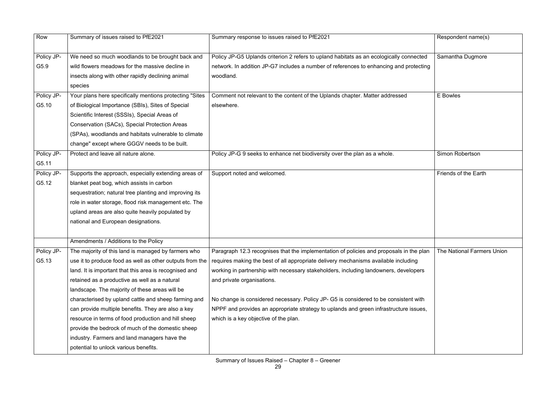| Row        | Summary of issues raised to PfE2021                      | Summary response to issues raised to PfE2021                                            | Respondent name(s)         |
|------------|----------------------------------------------------------|-----------------------------------------------------------------------------------------|----------------------------|
| Policy JP- | We need so much woodlands to be brought back and         | Policy JP-G5 Uplands criterion 2 refers to upland habitats as an ecologically connected | Samantha Dugmore           |
| G5.9       | wild flowers meadows for the massive decline in          | network. In addition JP-G7 includes a number of references to enhancing and protecting  |                            |
|            | insects along with other rapidly declining animal        | woodland.                                                                               |                            |
|            | species                                                  |                                                                                         |                            |
| Policy JP- | Your plans here specifically mentions protecting "Sites  | Comment not relevant to the content of the Uplands chapter. Matter addressed            | E Bowles                   |
| G5.10      | of Biological Importance (SBIs), Sites of Special        | elsewhere.                                                                              |                            |
|            | Scientific Interest (SSSIs), Special Areas of            |                                                                                         |                            |
|            | Conservation (SACs), Special Protection Areas            |                                                                                         |                            |
|            | (SPAs), woodlands and habitats vulnerable to climate     |                                                                                         |                            |
|            | change" except where GGGV needs to be built.             |                                                                                         |                            |
| Policy JP- | Protect and leave all nature alone.                      | Policy JP-G 9 seeks to enhance net biodiversity over the plan as a whole.               | <b>Simon Robertson</b>     |
| G5.11      |                                                          |                                                                                         |                            |
| Policy JP- | Supports the approach, especially extending areas of     | Support noted and welcomed.                                                             | Friends of the Earth       |
| G5.12      | blanket peat bog, which assists in carbon                |                                                                                         |                            |
|            | sequestration; natural tree planting and improving its   |                                                                                         |                            |
|            | role in water storage, flood risk management etc. The    |                                                                                         |                            |
|            | upland areas are also quite heavily populated by         |                                                                                         |                            |
|            | national and European designations.                      |                                                                                         |                            |
|            |                                                          |                                                                                         |                            |
|            | Amendments / Additions to the Policy                     |                                                                                         |                            |
| Policy JP- | The majority of this land is managed by farmers who      | Paragraph 12.3 recognises that the implementation of policies and proposals in the plan | The National Farmers Union |
| G5.13      | use it to produce food as well as other outputs from the | requires making the best of all appropriate delivery mechanisms available including     |                            |
|            | land. It is important that this area is recognised and   | working in partnership with necessary stakeholders, including landowners, developers    |                            |
|            | retained as a productive as well as a natural            | and private organisations.                                                              |                            |
|            | landscape. The majority of these areas will be           |                                                                                         |                            |
|            | characterised by upland cattle and sheep farming and     | No change is considered necessary. Policy JP- G5 is considered to be consistent with    |                            |
|            | can provide multiple benefits. They are also a key       | NPPF and provides an appropriate strategy to uplands and green infrastructure issues,   |                            |
|            | resource in terms of food production and hill sheep      | which is a key objective of the plan.                                                   |                            |
|            | provide the bedrock of much of the domestic sheep        |                                                                                         |                            |
|            | industry. Farmers and land managers have the             |                                                                                         |                            |
|            | potential to unlock various benefits.                    |                                                                                         |                            |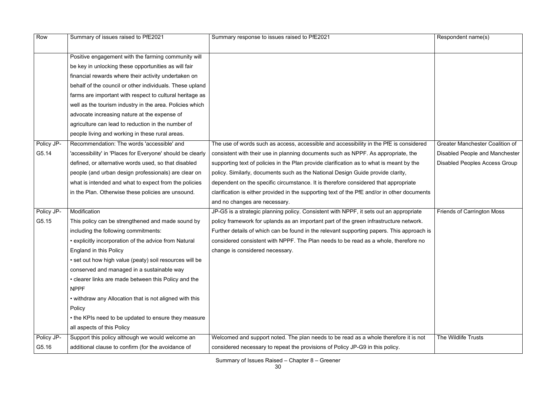| Row        | Summary of issues raised to PfE2021                        | Summary response to issues raised to PfE2021                                                 | Respondent name(s)                     |
|------------|------------------------------------------------------------|----------------------------------------------------------------------------------------------|----------------------------------------|
|            |                                                            |                                                                                              |                                        |
|            | Positive engagement with the farming community will        |                                                                                              |                                        |
|            | be key in unlocking these opportunities as will fair       |                                                                                              |                                        |
|            | financial rewards where their activity undertaken on       |                                                                                              |                                        |
|            | behalf of the council or other individuals. These upland   |                                                                                              |                                        |
|            | farms are important with respect to cultural heritage as   |                                                                                              |                                        |
|            | well as the tourism industry in the area. Policies which   |                                                                                              |                                        |
|            | advocate increasing nature at the expense of               |                                                                                              |                                        |
|            | agriculture can lead to reduction in the number of         |                                                                                              |                                        |
|            | people living and working in these rural areas.            |                                                                                              |                                        |
| Policy JP- | Recommendation: The words 'accessible' and                 | The use of words such as access, accessible and accessibility in the PfE is considered       | <b>Greater Manchester Coalition of</b> |
| G5.14      | 'accessibility' in 'Places for Everyone' should be clearly | consistent with their use in planning documents such as NPPF. As appropriate, the            | Disabled People and Manchester         |
|            | defined, or alternative words used, so that disabled       | supporting text of policies in the Plan provide clarification as to what is meant by the     | <b>Disabled Peoples Access Group</b>   |
|            | people (and urban design professionals) are clear on       | policy. Similarly, documents such as the National Design Guide provide clarity,              |                                        |
|            | what is intended and what to expect from the policies      | dependent on the specific circumstance. It is therefore considered that appropriate          |                                        |
|            | in the Plan. Otherwise these policies are unsound.         | clarification is either provided in the supporting text of the PfE and/or in other documents |                                        |
|            |                                                            | and no changes are necessary.                                                                |                                        |
| Policy JP- | Modification                                               | JP-G5 is a strategic planning policy. Consistent with NPPF, it sets out an appropriate       | <b>Friends of Carrington Moss</b>      |
| G5.15      | This policy can be strengthened and made sound by          | policy framework for uplands as an important part of the green infrastructure network.       |                                        |
|            | including the following commitments:                       | Further details of which can be found in the relevant supporting papers. This approach is    |                                        |
|            | • explicitly incorporation of the advice from Natural      | considered consistent with NPPF. The Plan needs to be read as a whole, therefore no          |                                        |
|            | England in this Policy                                     | change is considered necessary.                                                              |                                        |
|            | • set out how high value (peaty) soil resources will be    |                                                                                              |                                        |
|            | conserved and managed in a sustainable way                 |                                                                                              |                                        |
|            | • clearer links are made between this Policy and the       |                                                                                              |                                        |
|            | <b>NPPF</b>                                                |                                                                                              |                                        |
|            | • withdraw any Allocation that is not aligned with this    |                                                                                              |                                        |
|            | Policy                                                     |                                                                                              |                                        |
|            | • the KPIs need to be updated to ensure they measure       |                                                                                              |                                        |
|            | all aspects of this Policy                                 |                                                                                              |                                        |
| Policy JP- | Support this policy although we would welcome an           | Welcomed and support noted. The plan needs to be read as a whole therefore it is not         | The Wildlife Trusts                    |
| G5.16      | additional clause to confirm (for the avoidance of         | considered necessary to repeat the provisions of Policy JP-G9 in this policy.                |                                        |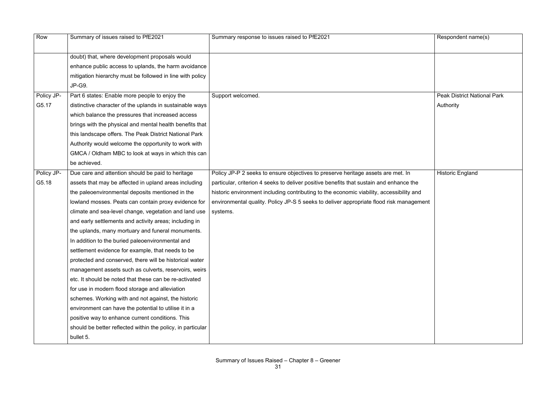| Row        | Summary of issues raised to PfE2021                         | Summary response to issues raised to PfE2021                                             | Respondent name(s)                 |
|------------|-------------------------------------------------------------|------------------------------------------------------------------------------------------|------------------------------------|
|            | doubt) that, where development proposals would              |                                                                                          |                                    |
|            | enhance public access to uplands, the harm avoidance        |                                                                                          |                                    |
|            | mitigation hierarchy must be followed in line with policy   |                                                                                          |                                    |
|            | JP-G9.                                                      |                                                                                          |                                    |
| Policy JP- | Part 6 states: Enable more people to enjoy the              | Support welcomed.                                                                        | <b>Peak District National Park</b> |
| G5.17      | distinctive character of the uplands in sustainable ways    |                                                                                          | Authority                          |
|            | which balance the pressures that increased access           |                                                                                          |                                    |
|            | brings with the physical and mental health benefits that    |                                                                                          |                                    |
|            | this landscape offers. The Peak District National Park      |                                                                                          |                                    |
|            | Authority would welcome the opportunity to work with        |                                                                                          |                                    |
|            | GMCA / Oldham MBC to look at ways in which this can         |                                                                                          |                                    |
|            | be achieved.                                                |                                                                                          |                                    |
| Policy JP- | Due care and attention should be paid to heritage           | Policy JP-P 2 seeks to ensure objectives to preserve heritage assets are met. In         | <b>Historic England</b>            |
| G5.18      | assets that may be affected in upland areas including       | particular, criterion 4 seeks to deliver positive benefits that sustain and enhance the  |                                    |
|            | the paleoenvironmental deposits mentioned in the            | historic environment including contributing to the economic viability, accessibility and |                                    |
|            | lowland mosses. Peats can contain proxy evidence for        | environmental quality. Policy JP-S 5 seeks to deliver appropriate flood risk management  |                                    |
|            | climate and sea-level change, vegetation and land use       | systems.                                                                                 |                                    |
|            | and early settlements and activity areas; including in      |                                                                                          |                                    |
|            | the uplands, many mortuary and funeral monuments.           |                                                                                          |                                    |
|            | In addition to the buried paleoenvironmental and            |                                                                                          |                                    |
|            | settlement evidence for example, that needs to be           |                                                                                          |                                    |
|            | protected and conserved, there will be historical water     |                                                                                          |                                    |
|            | management assets such as culverts, reservoirs, weirs       |                                                                                          |                                    |
|            | etc. It should be noted that these can be re-activated      |                                                                                          |                                    |
|            | for use in modern flood storage and alleviation             |                                                                                          |                                    |
|            | schemes. Working with and not against, the historic         |                                                                                          |                                    |
|            | environment can have the potential to utilise it in a       |                                                                                          |                                    |
|            | positive way to enhance current conditions. This            |                                                                                          |                                    |
|            | should be better reflected within the policy, in particular |                                                                                          |                                    |
|            | bullet 5.                                                   |                                                                                          |                                    |

|                               | Respondent name(s)                 |
|-------------------------------|------------------------------------|
|                               |                                    |
|                               | <b>Peak District National Park</b> |
|                               | Authority                          |
|                               |                                    |
|                               |                                    |
|                               |                                    |
| $\overline{\mathsf{at}}$ . In | <b>Historic England</b>            |
|                               |                                    |
| nce the                       |                                    |
| bility and                    |                                    |
| nanagement                    |                                    |
|                               |                                    |
|                               |                                    |
|                               |                                    |
|                               |                                    |
|                               |                                    |
|                               |                                    |
|                               |                                    |
|                               |                                    |
|                               |                                    |
|                               |                                    |
|                               |                                    |
|                               |                                    |
|                               |                                    |
|                               |                                    |
|                               |                                    |
|                               |                                    |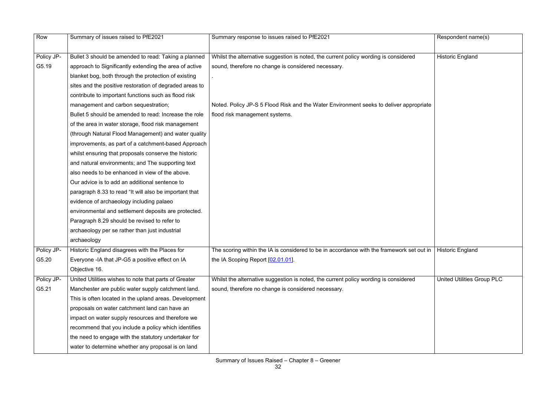| Row        | Summary of issues raised to PfE2021                     | Summary response to issues raised to PfE2021                                              | Respondent name(s)                |
|------------|---------------------------------------------------------|-------------------------------------------------------------------------------------------|-----------------------------------|
|            |                                                         |                                                                                           |                                   |
| Policy JP- | Bullet 3 should be amended to read: Taking a planned    | Whilst the alternative suggestion is noted, the current policy wording is considered      | <b>Historic England</b>           |
| G5.19      | approach to Significantly extending the area of active  | sound, therefore no change is considered necessary.                                       |                                   |
|            | blanket bog, both through the protection of existing    |                                                                                           |                                   |
|            | sites and the positive restoration of degraded areas to |                                                                                           |                                   |
|            | contribute to important functions such as flood risk    |                                                                                           |                                   |
|            | management and carbon sequestration;                    | Noted. Policy JP-S 5 Flood Risk and the Water Environment seeks to deliver appropriate    |                                   |
|            | Bullet 5 should be amended to read: Increase the role   | flood risk management systems.                                                            |                                   |
|            | of the area in water storage, flood risk management     |                                                                                           |                                   |
|            | (through Natural Flood Management) and water quality    |                                                                                           |                                   |
|            | improvements, as part of a catchment-based Approach     |                                                                                           |                                   |
|            | whilst ensuring that proposals conserve the historic    |                                                                                           |                                   |
|            | and natural environments; and The supporting text       |                                                                                           |                                   |
|            | also needs to be enhanced in view of the above.         |                                                                                           |                                   |
|            | Our advice is to add an additional sentence to          |                                                                                           |                                   |
|            | paragraph 8.33 to read "It will also be important that  |                                                                                           |                                   |
|            | evidence of archaeology including palaeo                |                                                                                           |                                   |
|            | environmental and settlement deposits are protected.    |                                                                                           |                                   |
|            | Paragraph 8.29 should be revised to refer to            |                                                                                           |                                   |
|            | archaeology per se rather than just industrial          |                                                                                           |                                   |
|            | archaeology                                             |                                                                                           |                                   |
| Policy JP- | Historic England disagrees with the Places for          | The scoring within the IA is considered to be in accordance with the framework set out in | <b>Historic England</b>           |
| G5.20      | Everyone -IA that JP-G5 a positive effect on IA         | the IA Scoping Report [02.01.01].                                                         |                                   |
|            | Objective 16.                                           |                                                                                           |                                   |
| Policy JP- | United Utilities wishes to note that parts of Greater   | Whilst the alternative suggestion is noted, the current policy wording is considered      | <b>United Utilities Group PLC</b> |
| G5.21      | Manchester are public water supply catchment land.      | sound, therefore no change is considered necessary.                                       |                                   |
|            | This is often located in the upland areas. Development  |                                                                                           |                                   |
|            | proposals on water catchment land can have an           |                                                                                           |                                   |
|            | impact on water supply resources and therefore we       |                                                                                           |                                   |
|            | recommend that you include a policy which identifies    |                                                                                           |                                   |
|            | the need to engage with the statutory undertaker for    |                                                                                           |                                   |
|            | water to determine whether any proposal is on land      |                                                                                           |                                   |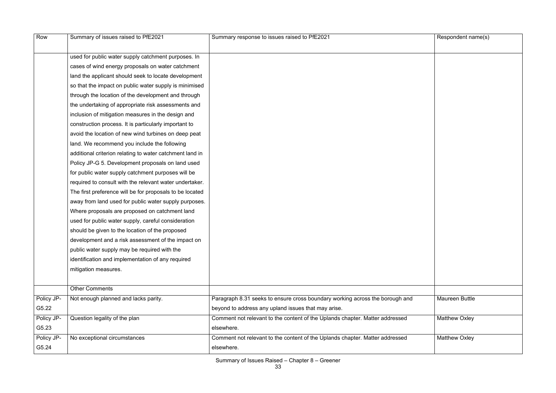|                                                                                                                                    | Respondent name(s)    |
|------------------------------------------------------------------------------------------------------------------------------------|-----------------------|
|                                                                                                                                    |                       |
| used for public water supply catchment purposes. In                                                                                |                       |
| cases of wind energy proposals on water catchment                                                                                  |                       |
| land the applicant should seek to locate development                                                                               |                       |
| so that the impact on public water supply is minimised                                                                             |                       |
| through the location of the development and through                                                                                |                       |
| the undertaking of appropriate risk assessments and                                                                                |                       |
| inclusion of mitigation measures in the design and                                                                                 |                       |
| construction process. It is particularly important to                                                                              |                       |
| avoid the location of new wind turbines on deep peat                                                                               |                       |
| land. We recommend you include the following                                                                                       |                       |
| additional criterion relating to water catchment land in                                                                           |                       |
| Policy JP-G 5. Development proposals on land used                                                                                  |                       |
| for public water supply catchment purposes will be                                                                                 |                       |
| required to consult with the relevant water undertaker.                                                                            |                       |
| The first preference will be for proposals to be located                                                                           |                       |
| away from land used for public water supply purposes.                                                                              |                       |
| Where proposals are proposed on catchment land                                                                                     |                       |
| used for public water supply, careful consideration                                                                                |                       |
| should be given to the location of the proposed                                                                                    |                       |
| development and a risk assessment of the impact on                                                                                 |                       |
| public water supply may be required with the                                                                                       |                       |
| identification and implementation of any required                                                                                  |                       |
| mitigation measures.                                                                                                               |                       |
|                                                                                                                                    |                       |
| <b>Other Comments</b>                                                                                                              |                       |
| Policy JP-<br>Not enough planned and lacks parity.<br>Paragraph 8.31 seeks to ensure cross boundary working across the borough and | <b>Maureen Buttle</b> |
| G5.22<br>beyond to address any upland issues that may arise.                                                                       |                       |
| Policy JP-<br>Comment not relevant to the content of the Uplands chapter. Matter addressed<br>Question legality of the plan        | <b>Matthew Oxley</b>  |
| G5.23<br>elsewhere.                                                                                                                |                       |
| Policy JP-<br>Comment not relevant to the content of the Uplands chapter. Matter addressed<br>No exceptional circumstances         | <b>Matthew Oxley</b>  |
| G5.24<br>elsewhere.                                                                                                                |                       |

| Respondent name(s)    |  |
|-----------------------|--|
|                       |  |
|                       |  |
|                       |  |
|                       |  |
|                       |  |
|                       |  |
|                       |  |
|                       |  |
|                       |  |
|                       |  |
|                       |  |
|                       |  |
|                       |  |
|                       |  |
|                       |  |
|                       |  |
|                       |  |
|                       |  |
|                       |  |
|                       |  |
|                       |  |
|                       |  |
|                       |  |
|                       |  |
|                       |  |
|                       |  |
|                       |  |
|                       |  |
|                       |  |
|                       |  |
|                       |  |
|                       |  |
|                       |  |
|                       |  |
|                       |  |
| <b>Maureen Buttle</b> |  |
|                       |  |
|                       |  |
| <b>Matthew Oxley</b>  |  |
|                       |  |
| Matthew Oxley         |  |
|                       |  |
|                       |  |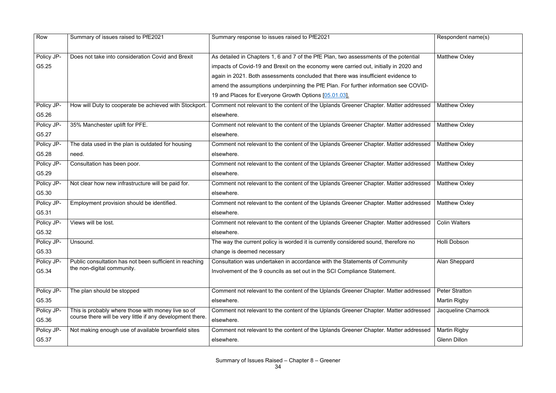| Row        | Summary of issues raised to PfE2021                        | Summary response to issues raised to PfE2021                                          | Respondent name(s)    |
|------------|------------------------------------------------------------|---------------------------------------------------------------------------------------|-----------------------|
| Policy JP- | Does not take into consideration Covid and Brexit          | As detailed in Chapters 1, 6 and 7 of the PfE Plan, two assessments of the potential  | <b>Matthew Oxley</b>  |
| G5.25      |                                                            | impacts of Covid-19 and Brexit on the economy were carried out, initially in 2020 and |                       |
|            |                                                            | again in 2021. Both assessments concluded that there was insufficient evidence to     |                       |
|            |                                                            | amend the assumptions underpinning the PfE Plan. For further information see COVID-   |                       |
|            |                                                            | 19 and Places for Everyone Growth Options [05.01.03].                                 |                       |
| Policy JP- | How will Duty to cooperate be achieved with Stockport.     | Comment not relevant to the content of the Uplands Greener Chapter. Matter addressed  | <b>Matthew Oxley</b>  |
| G5.26      |                                                            | elsewhere.                                                                            |                       |
| Policy JP- | 35% Manchester uplift for PFE.                             | Comment not relevant to the content of the Uplands Greener Chapter. Matter addressed  | Matthew Oxley         |
| G5.27      |                                                            | elsewhere.                                                                            |                       |
| Policy JP- | The data used in the plan is outdated for housing          | Comment not relevant to the content of the Uplands Greener Chapter. Matter addressed  | <b>Matthew Oxley</b>  |
| G5.28      | need.                                                      | elsewhere.                                                                            |                       |
| Policy JP- | Consultation has been poor.                                | Comment not relevant to the content of the Uplands Greener Chapter. Matter addressed  | Matthew Oxley         |
| G5.29      |                                                            | elsewhere.                                                                            |                       |
| Policy JP- | Not clear how new infrastructure will be paid for.         | Comment not relevant to the content of the Uplands Greener Chapter. Matter addressed  | Matthew Oxley         |
| G5.30      |                                                            | elsewhere.                                                                            |                       |
| Policy JP- | Employment provision should be identified.                 | Comment not relevant to the content of the Uplands Greener Chapter. Matter addressed  | <b>Matthew Oxley</b>  |
| G5.31      |                                                            | elsewhere.                                                                            |                       |
| Policy JP- | Views will be lost.                                        | Comment not relevant to the content of the Uplands Greener Chapter. Matter addressed  | <b>Colin Walters</b>  |
| G5.32      |                                                            | elsewhere.                                                                            |                       |
| Policy JP- | $\sqrt{\frac{1}{1}}$ Unsound.                              | The way the current policy is worded it is currently considered sound, therefore no   | Holli Dobson          |
| G5.33      |                                                            | change is deemed necessary                                                            |                       |
| Policy JP- | Public consultation has not been sufficient in reaching    | Consultation was undertaken in accordance with the Statements of Community            | Alan Sheppard         |
| G5.34      | the non-digital community.                                 | Involvement of the 9 councils as set out in the SCI Compliance Statement.             |                       |
|            |                                                            |                                                                                       |                       |
| Policy JP- | The plan should be stopped                                 | Comment not relevant to the content of the Uplands Greener Chapter. Matter addressed  | <b>Peter Stratton</b> |
| G5.35      |                                                            | elsewhere.                                                                            | Martin Rigby          |
| Policy JP- | This is probably where those with money live so of         | Comment not relevant to the content of the Uplands Greener Chapter. Matter addressed  | Jacqueline Charnock   |
| G5.36      | course there will be very little if any development there. | elsewhere.                                                                            |                       |
| Policy JP- | Not making enough use of available brownfield sites        | Comment not relevant to the content of the Uplands Greener Chapter. Matter addressed  | <b>Martin Rigby</b>   |
| G5.37      |                                                            | elsewhere.                                                                            | <b>Glenn Dillon</b>   |

|      | Respondent name(s)    |
|------|-----------------------|
| þ    | <b>Matthew Oxley</b>  |
|      |                       |
| ID-  |                       |
| ssed | <b>Matthew Oxley</b>  |
| ssed | <b>Matthew Oxley</b>  |
| ssed | <b>Matthew Oxley</b>  |
| ssed | <b>Matthew Oxley</b>  |
| ssed | <b>Matthew Oxley</b>  |
| ssed | <b>Matthew Oxley</b>  |
| ssed | <b>Colin Walters</b>  |
|      | Holli Dobson          |
|      | Alan Sheppard         |
| ssed | <b>Peter Stratton</b> |
|      | <b>Martin Rigby</b>   |
| ssed | Jacqueline Charnock   |
| ssed | <b>Martin Rigby</b>   |
|      | <b>Glenn Dillon</b>   |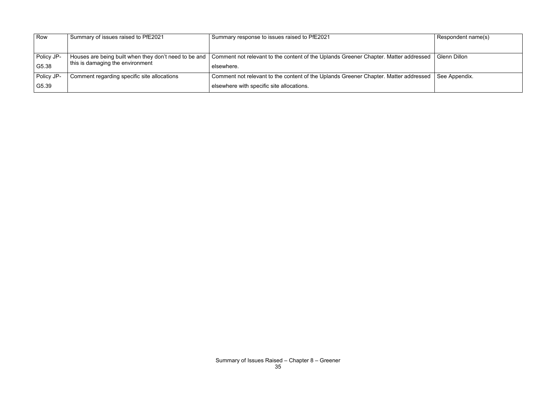| Row        | Summary of issues raised to PfE2021                   | Summary response to issues raised to PfE2021                                         | Respondent name(s)  |
|------------|-------------------------------------------------------|--------------------------------------------------------------------------------------|---------------------|
|            |                                                       |                                                                                      |                     |
| Policy JP- | Houses are being built when they don't need to be and | Comment not relevant to the content of the Uplands Greener Chapter. Matter addressed | <b>Glenn Dillon</b> |
| G5.38      | this is damaging the environment                      | elsewhere.                                                                           |                     |
| Policy JP- | Comment regarding specific site allocations           | Comment not relevant to the content of the Uplands Greener Chapter. Matter addressed | See Appendix.       |
| G5.39      |                                                       | elsewhere with specific site allocations.                                            |                     |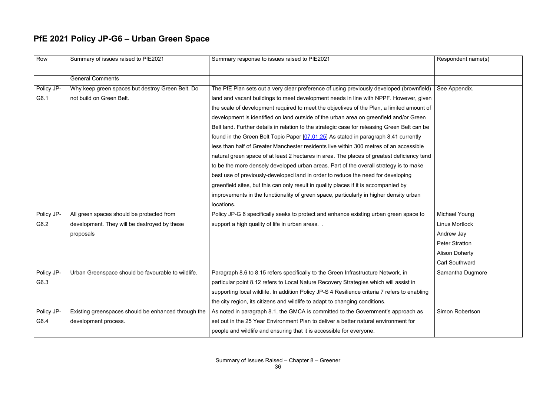# **PfE 2021 Policy JP-G6 – Urban Green Space**

| Row        | Summary of issues raised to PfE2021                 | Summary response to issues raised to PfE2021                                                  | Respondent name(s)    |
|------------|-----------------------------------------------------|-----------------------------------------------------------------------------------------------|-----------------------|
|            | <b>General Comments</b>                             |                                                                                               |                       |
| Policy JP- | Why keep green spaces but destroy Green Belt. Do    | The PfE Plan sets out a very clear preference of using previously developed (brownfield)      | See Appendix.         |
| G6.1       | not build on Green Belt.                            | land and vacant buildings to meet development needs in line with NPPF. However, given         |                       |
|            |                                                     | the scale of development required to meet the objectives of the Plan, a limited amount of     |                       |
|            |                                                     | development is identified on land outside of the urban area on greenfield and/or Green        |                       |
|            |                                                     | Belt land. Further details in relation to the strategic case for releasing Green Belt can be  |                       |
|            |                                                     | found in the Green Belt Topic Paper [07.01.25] As stated in paragraph 8.41 currently          |                       |
|            |                                                     | less than half of Greater Manchester residents live within 300 metres of an accessible        |                       |
|            |                                                     | natural green space of at least 2 hectares in area. The places of greatest deficiency tend    |                       |
|            |                                                     | to be the more densely developed urban areas. Part of the overall strategy is to make         |                       |
|            |                                                     | best use of previously-developed land in order to reduce the need for developing              |                       |
|            |                                                     | greenfield sites, but this can only result in quality places if it is accompanied by          |                       |
|            |                                                     | improvements in the functionality of green space, particularly in higher density urban        |                       |
|            |                                                     | locations.                                                                                    |                       |
| Policy JP- | All green spaces should be protected from           | Policy JP-G 6 specifically seeks to protect and enhance existing urban green space to         | <b>Michael Young</b>  |
| G6.2       | development. They will be destroyed by these        | support a high quality of life in urban areas                                                 | <b>Linus Mortlock</b> |
|            | proposals                                           |                                                                                               | Andrew Jay            |
|            |                                                     |                                                                                               | <b>Peter Stratton</b> |
|            |                                                     |                                                                                               | <b>Alison Doherty</b> |
|            |                                                     |                                                                                               | <b>Carl Southward</b> |
| Policy JP- | Urban Greenspace should be favourable to wildlife.  | Paragraph 8.6 to 8.15 refers specifically to the Green Infrastructure Network, in             | Samantha Dugmore      |
| G6.3       |                                                     | particular point 8.12 refers to Local Nature Recovery Strategies which will assist in         |                       |
|            |                                                     | supporting local wildlife. In addition Policy JP-S 4 Resilience criteria 7 refers to enabling |                       |
|            |                                                     | the city region, its citizens and wildlife to adapt to changing conditions.                   |                       |
| Policy JP- | Existing greenspaces should be enhanced through the | As noted in paragraph 8.1, the GMCA is committed to the Government's approach as              | Simon Robertson       |
| G6.4       | development process.                                | set out in the 25 Year Environment Plan to deliver a better natural environment for           |                       |
|            |                                                     | people and wildlife and ensuring that it is accessible for everyone.                          |                       |
|            |                                                     |                                                                                               |                       |

|        | Respondent name(s)     |
|--------|------------------------|
|        |                        |
| field) | See Appendix.          |
| jiven  |                        |
| nt of  |                        |
| en     |                        |
| be ו   |                        |
| ľ      |                        |
| le     |                        |
| tend   |                        |
| e      |                        |
|        |                        |
|        |                        |
|        |                        |
|        |                        |
| to     | <b>Michael Young</b>   |
|        | <b>Linus Mortlock</b>  |
|        | Andrew Jay             |
|        | <b>Peter Stratton</b>  |
|        | <b>Alison Doherty</b>  |
|        | <b>Carl Southward</b>  |
|        | Samantha Dugmore       |
|        |                        |
| ling   |                        |
|        |                        |
| S      | <b>Simon Robertson</b> |
|        |                        |
|        |                        |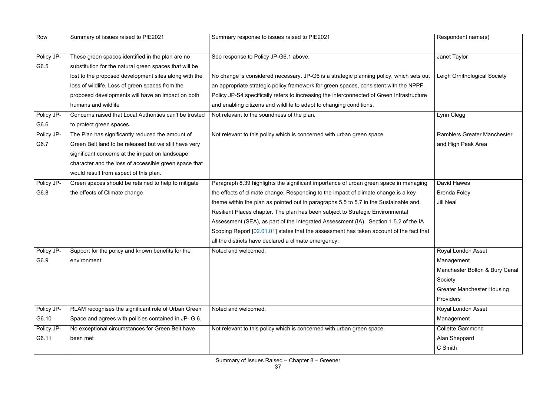| Row        | Summary of issues raised to PfE2021                     | Summary response to issues raised to PfE2021                                              | Respondent name(s)                 |
|------------|---------------------------------------------------------|-------------------------------------------------------------------------------------------|------------------------------------|
| Policy JP- | These green spaces identified in the plan are no        | See response to Policy JP-G6.1 above.                                                     | Janet Taylor                       |
| G6.5       | substitution for the natural green spaces that will be  |                                                                                           |                                    |
|            | lost to the proposed development sites along with the   | No change is considered necessary. JP-G6 is a strategic planning policy, which sets out   | Leigh Ornithological Society       |
|            | loss of wildlife. Loss of green spaces from the         | an appropriate strategic policy framework for green spaces, consistent with the NPPF.     |                                    |
|            | proposed developments will have an impact on both       | Policy JP-S4 specifically refers to increasing the interconnected of Green Infrastructure |                                    |
|            | humans and wildlife                                     | and enabling citizens and wildlife to adapt to changing conditions.                       |                                    |
| Policy JP- | Concerns raised that Local Authorities can't be trusted | Not relevant to the soundness of the plan.                                                | Lynn Clegg                         |
| G6.6       | to protect green spaces.                                |                                                                                           |                                    |
| Policy JP- | The Plan has significantly reduced the amount of        | Not relevant to this policy which is concerned with urban green space.                    | <b>Ramblers Greater Manchester</b> |
| G6.7       | Green Belt land to be released but we still have very   |                                                                                           | and High Peak Area                 |
|            | significant concerns at the impact on landscape         |                                                                                           |                                    |
|            | character and the loss of accessible green space that   |                                                                                           |                                    |
|            | would result from aspect of this plan.                  |                                                                                           |                                    |
| Policy JP- | Green spaces should be retained to help to mitigate     | Paragraph 8.39 highlights the significant importance of urban green space in managing     | David Hawes                        |
| G6.8       | the effects of Climate change                           | the effects of climate change. Responding to the impact of climate change is a key        | <b>Brenda Foley</b>                |
|            |                                                         | theme within the plan as pointed out in paragraphs 5.5 to 5.7 in the Sustainable and      | <b>Jill Neal</b>                   |
|            |                                                         | Resilient Places chapter. The plan has been subject to Strategic Environmental            |                                    |
|            |                                                         | Assessment (SEA), as part of the Integrated Assessment (IA). Section 1.5.2 of the IA      |                                    |
|            |                                                         | Scoping Report [02.01.01] states that the assessment has taken account of the fact that   |                                    |
|            |                                                         | all the districts have declared a climate emergency.                                      |                                    |
| Policy JP- | Support for the policy and known benefits for the       | Noted and welcomed.                                                                       | <b>Royal London Asset</b>          |
| G6.9       | environment.                                            |                                                                                           | Management                         |
|            |                                                         |                                                                                           | Manchester Bolton & Bury Can       |
|            |                                                         |                                                                                           | Society                            |
|            |                                                         |                                                                                           | <b>Greater Manchester Housing</b>  |
|            |                                                         |                                                                                           | Providers                          |
| Policy JP- | RLAM recognises the significant role of Urban Green     | Noted and welcomed.                                                                       | <b>Royal London Asset</b>          |
| G6.10      | Space and agrees with policies contained in JP- G 6.    |                                                                                           | Management                         |
| Policy JP- | No exceptional circumstances for Green Belt have        | Not relevant to this policy which is concerned with urban green space.                    | <b>Collette Gammond</b>            |
| G6.11      | been met                                                |                                                                                           | Alan Sheppard                      |
|            |                                                         |                                                                                           | C Smith                            |
|            |                                                         |                                                                                           |                                    |

|                        | Respondent name(s)                 |
|------------------------|------------------------------------|
|                        | Janet Taylor                       |
| ts out<br>PF.<br>cture | Leigh Ornithological Society       |
|                        | Lynn Clegg                         |
|                        | <b>Ramblers Greater Manchester</b> |
|                        | and High Peak Area                 |
|                        |                                    |
|                        |                                    |
| iging                  | <b>David Hawes</b>                 |
|                        | <b>Brenda Foley</b>                |
| ıd                     | <b>Jill Neal</b>                   |
|                        |                                    |
| $\overline{A}$         |                                    |
| <b>tt</b> that         |                                    |
|                        |                                    |
|                        | Royal London Asset                 |
|                        | Management                         |
|                        | Manchester Bolton & Bury Canal     |
|                        | Society                            |
|                        | <b>Greater Manchester Housing</b>  |
|                        | Providers                          |
|                        | <b>Royal London Asset</b>          |
|                        | Management                         |
|                        | <b>Collette Gammond</b>            |
|                        | Alan Sheppard                      |
|                        | C Smith                            |
|                        |                                    |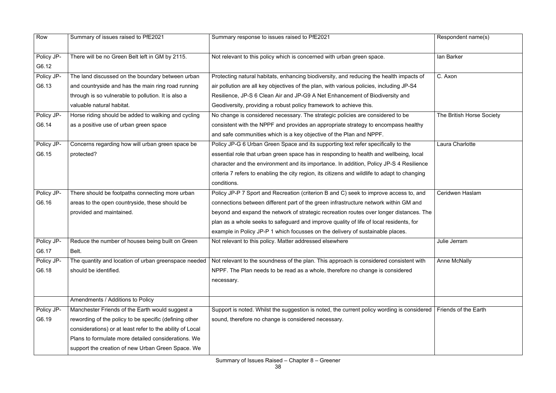| Row        | Summary of issues raised to PfE2021                       | Summary response to issues raised to PfE2021                                                  | Respondent name(s)        |
|------------|-----------------------------------------------------------|-----------------------------------------------------------------------------------------------|---------------------------|
| Policy JP- | There will be no Green Belt left in GM by 2115.           | Not relevant to this policy which is concerned with urban green space.                        | lan Barker                |
| G6.12      |                                                           |                                                                                               |                           |
| Policy JP- | The land discussed on the boundary between urban          | Protecting natural habitats, enhancing biodiversity, and reducing the health impacts of       | C. Axon                   |
| G6.13      | and countryside and has the main ring road running        | air pollution are all key objectives of the plan, with various policies, including JP-S4      |                           |
|            | through is so vulnerable to pollution. It is also a       | Resilience, JP-S 6 Clean Air and JP-G9 A Net Enhancement of Biodiversity and                  |                           |
|            | valuable natural habitat.                                 | Geodiversity, providing a robust policy framework to achieve this.                            |                           |
| Policy JP- | Horse riding should be added to walking and cycling       | No change is considered necessary. The strategic policies are considered to be                | The British Horse Society |
| G6.14      | as a positive use of urban green space                    | consistent with the NPPF and provides an appropriate strategy to encompass healthy            |                           |
|            |                                                           | and safe communities which is a key objective of the Plan and NPPF.                           |                           |
| Policy JP- | Concerns regarding how will urban green space be          | Policy JP-G 6 Urban Green Space and its supporting text refer specifically to the             | Laura Charlotte           |
| G6.15      | protected?                                                | essential role that urban green space has in responding to health and wellbeing, local        |                           |
|            |                                                           | character and the environment and its importance. In addition, Policy JP-S 4 Resilience       |                           |
|            |                                                           | criteria 7 refers to enabling the city region, its citizens and wildlife to adapt to changing |                           |
|            |                                                           | conditions.                                                                                   |                           |
| Policy JP- | There should be footpaths connecting more urban           | Policy JP-P 7 Sport and Recreation (criterion B and C) seek to improve access to, and         | Ceridwen Haslam           |
| G6.16      | areas to the open countryside, these should be            | connections between different part of the green infrastructure network within GM and          |                           |
|            | provided and maintained.                                  | beyond and expand the network of strategic recreation routes over longer distances. The       |                           |
|            |                                                           | plan as a whole seeks to safeguard and improve quality of life of local residents, for        |                           |
|            |                                                           | example in Policy JP-P 1 which focusses on the delivery of sustainable places.                |                           |
| Policy JP- | Reduce the number of houses being built on Green          | Not relevant to this policy. Matter addressed elsewhere                                       | Julie Jerram              |
| G6.17      | Belt.                                                     |                                                                                               |                           |
| Policy JP- | The quantity and location of urban greenspace needed      | Not relevant to the soundness of the plan. This approach is considered consistent with        | <b>Anne McNally</b>       |
| G6.18      | should be identified.                                     | NPPF. The Plan needs to be read as a whole, therefore no change is considered                 |                           |
|            |                                                           | necessary.                                                                                    |                           |
|            |                                                           |                                                                                               |                           |
|            | Amendments / Additions to Policy                          |                                                                                               |                           |
| Policy JP- | Manchester Friends of the Earth would suggest a           | Support is noted. Whilst the suggestion is noted, the current policy wording is considered    | Friends of the Earth      |
| G6.19      | rewording of the policy to be specific (defining other    | sound, therefore no change is considered necessary.                                           |                           |
|            | considerations) or at least refer to the ability of Local |                                                                                               |                           |
|            | Plans to formulate more detailed considerations. We       |                                                                                               |                           |
|            | support the creation of new Urban Green Space. We         |                                                                                               |                           |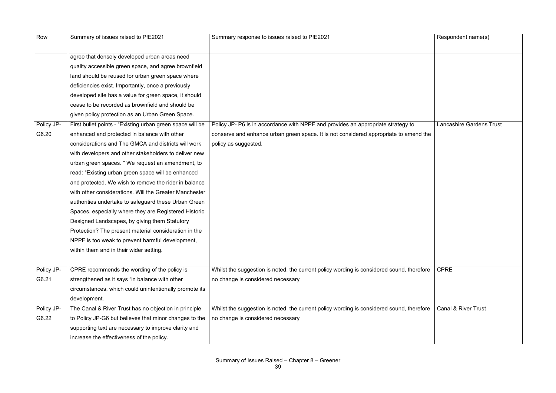| Row        | Summary of issues raised to PfE2021                       | Summary response to issues raised to PfE2021                                              | Respondent name(s)              |
|------------|-----------------------------------------------------------|-------------------------------------------------------------------------------------------|---------------------------------|
|            | agree that densely developed urban areas need             |                                                                                           |                                 |
|            | quality accessible green space, and agree brownfield      |                                                                                           |                                 |
|            | land should be reused for urban green space where         |                                                                                           |                                 |
|            | deficiencies exist. Importantly, once a previously        |                                                                                           |                                 |
|            | developed site has a value for green space, it should     |                                                                                           |                                 |
|            | cease to be recorded as brownfield and should be          |                                                                                           |                                 |
|            | given policy protection as an Urban Green Space.          |                                                                                           |                                 |
| Policy JP- | First bullet points - "Existing urban green space will be | Policy JP- P6 is in accordance with NPPF and provides an appropriate strategy to          | <b>Lancashire Gardens Trust</b> |
| G6.20      | enhanced and protected in balance with other              | conserve and enhance urban green space. It is not considered appropriate to amend the     |                                 |
|            | considerations and The GMCA and districts will work       | policy as suggested.                                                                      |                                 |
|            | with developers and other stakeholders to deliver new     |                                                                                           |                                 |
|            | urban green spaces. "We request an amendment, to          |                                                                                           |                                 |
|            | read: "Existing urban green space will be enhanced        |                                                                                           |                                 |
|            | and protected. We wish to remove the rider in balance     |                                                                                           |                                 |
|            | with other considerations. Will the Greater Manchester    |                                                                                           |                                 |
|            | authorities undertake to safeguard these Urban Green      |                                                                                           |                                 |
|            | Spaces, especially where they are Registered Historic     |                                                                                           |                                 |
|            | Designed Landscapes, by giving them Statutory             |                                                                                           |                                 |
|            | Protection? The present material consideration in the     |                                                                                           |                                 |
|            | NPPF is too weak to prevent harmful development,          |                                                                                           |                                 |
|            | within them and in their wider setting.                   |                                                                                           |                                 |
|            |                                                           |                                                                                           |                                 |
| Policy JP- | CPRE recommends the wording of the policy is              | Whilst the suggestion is noted, the current policy wording is considered sound, therefore | <b>CPRE</b>                     |
| G6.21      | strengthened as it says "in balance with other            | no change is considered necessary                                                         |                                 |
|            | circumstances, which could unintentionally promote its    |                                                                                           |                                 |
|            | development.                                              |                                                                                           |                                 |
| Policy JP- | The Canal & River Trust has no objection in principle     | Whilst the suggestion is noted, the current policy wording is considered sound, therefore | <b>Canal &amp; River Trust</b>  |
| G6.22      | to Policy JP-G6 but believes that minor changes to the    | no change is considered necessary                                                         |                                 |
|            | supporting text are necessary to improve clarity and      |                                                                                           |                                 |
|            | increase the effectiveness of the policy.                 |                                                                                           |                                 |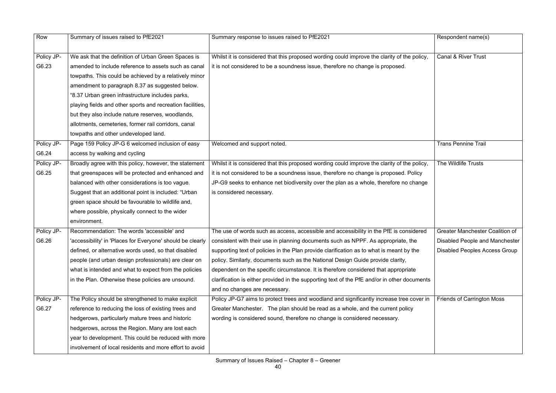| Row        | Summary of issues raised to PfE2021                        | Summary response to issues raised to PfE2021                                                                                                   | Respondent name(s)                     |
|------------|------------------------------------------------------------|------------------------------------------------------------------------------------------------------------------------------------------------|----------------------------------------|
|            |                                                            |                                                                                                                                                |                                        |
| Policy JP- | We ask that the definition of Urban Green Spaces is        | Whilst it is considered that this proposed wording could improve the clarity of the policy,                                                    | <b>Canal &amp; River Trust</b>         |
| G6.23      | amended to include reference to assets such as canal       | it is not considered to be a soundness issue, therefore no change is proposed.                                                                 |                                        |
|            | towpaths. This could be achieved by a relatively minor     |                                                                                                                                                |                                        |
|            | amendment to paragraph 8.37 as suggested below.            |                                                                                                                                                |                                        |
|            | "8.37 Urban green infrastructure includes parks,           |                                                                                                                                                |                                        |
|            | playing fields and other sports and recreation facilities, |                                                                                                                                                |                                        |
|            | but they also include nature reserves, woodlands,          |                                                                                                                                                |                                        |
|            | allotments, cemeteries, former rail corridors, canal       |                                                                                                                                                |                                        |
|            | towpaths and other undeveloped land.                       |                                                                                                                                                |                                        |
| Policy JP- | Page 159 Policy JP-G 6 welcomed inclusion of easy          | Welcomed and support noted.                                                                                                                    | <b>Trans Pennine Trail</b>             |
| G6.24      | access by walking and cycling                              |                                                                                                                                                |                                        |
| Policy JP- | Broadly agree with this policy, however, the statement     | Whilst it is considered that this proposed wording could improve the clarity of the policy,                                                    | The Wildlife Trusts                    |
| G6.25      | that greenspaces will be protected and enhanced and        | it is not considered to be a soundness issue, therefore no change is proposed. Policy                                                          |                                        |
|            | balanced with other considerations is too vague.           | JP-G9 seeks to enhance net biodiversity over the plan as a whole, therefore no change                                                          |                                        |
|            | Suggest that an additional point is included: "Urban       | is considered necessary.                                                                                                                       |                                        |
|            | green space should be favourable to wildlife and,          |                                                                                                                                                |                                        |
|            | where possible, physically connect to the wider            |                                                                                                                                                |                                        |
|            | environment.                                               |                                                                                                                                                |                                        |
| Policy JP- | Recommendation: The words 'accessible' and                 | The use of words such as access, accessible and accessibility in the PfE is considered                                                         | <b>Greater Manchester Coalition of</b> |
| G6.26      |                                                            | 'accessibility' in 'Places for Everyone' should be clearly   consistent with their use in planning documents such as NPPF. As appropriate, the | <b>Disabled People and Manchester</b>  |
|            | defined, or alternative words used, so that disabled       | supporting text of policies in the Plan provide clarification as to what is meant by the                                                       | <b>Disabled Peoples Access Group</b>   |
|            | people (and urban design professionals) are clear on       | policy. Similarly, documents such as the National Design Guide provide clarity,                                                                |                                        |
|            | what is intended and what to expect from the policies      | dependent on the specific circumstance. It is therefore considered that appropriate                                                            |                                        |
|            | in the Plan. Otherwise these policies are unsound.         | clarification is either provided in the supporting text of the PfE and/or in other documents                                                   |                                        |
|            |                                                            | and no changes are necessary.                                                                                                                  |                                        |
| Policy JP- | The Policy should be strengthened to make explicit         | Policy JP-G7 aims to protect trees and woodland and significantly increase tree cover in                                                       | <b>Friends of Carrington Moss</b>      |
| G6.27      | reference to reducing the loss of existing trees and       | Greater Manchester. The plan should be read as a whole, and the current policy                                                                 |                                        |
|            | hedgerows, particularly mature trees and historic          | wording is considered sound, therefore no change is considered necessary.                                                                      |                                        |
|            | hedgerows, across the Region. Many are lost each           |                                                                                                                                                |                                        |
|            | year to development. This could be reduced with more       |                                                                                                                                                |                                        |
|            | involvement of local residents and more effort to avoid    |                                                                                                                                                |                                        |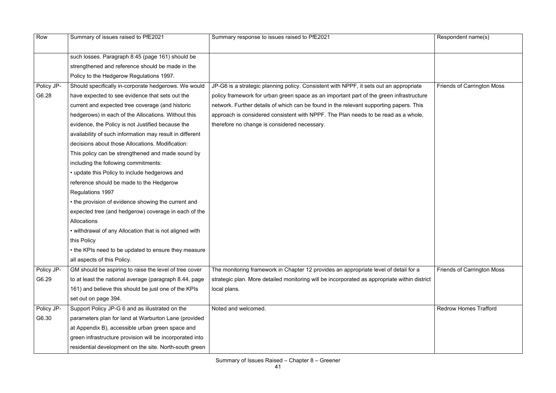| Row        | Summary of issues raised to PfE2021                      | Summary response to issues raised to PfE2021                                                 | Respondent name(s)                |
|------------|----------------------------------------------------------|----------------------------------------------------------------------------------------------|-----------------------------------|
|            |                                                          |                                                                                              |                                   |
|            | such losses. Paragraph 8:45 (page 161) should be         |                                                                                              |                                   |
|            | strengthened and reference should be made in the         |                                                                                              |                                   |
|            | Policy to the Hedgerow Regulations 1997.                 |                                                                                              |                                   |
| Policy JP- | Should specifically in-corporate hedgerows. We would     | JP-G6 is a strategic planning policy. Consistent with NPPF, it sets out an appropriate       | <b>Friends of Carrington Moss</b> |
| G6.28      | have expected to see evidence that sets out the          | policy framework for urban green space as an important part of the green infrastructure      |                                   |
|            | current and expected tree coverage (and historic         | network. Further details of which can be found in the relevant supporting papers. This       |                                   |
|            | hedgerows) in each of the Allocations. Without this      | approach is considered consistent with NPPF. The Plan needs to be read as a whole,           |                                   |
|            | evidence, the Policy is not Justified because the        | therefore no change is considered necessary.                                                 |                                   |
|            | availability of such information may result in different |                                                                                              |                                   |
|            | decisions about those Allocations. Modification:         |                                                                                              |                                   |
|            | This policy can be strengthened and made sound by        |                                                                                              |                                   |
|            | including the following commitments:                     |                                                                                              |                                   |
|            | • update this Policy to include hedgerows and            |                                                                                              |                                   |
|            | reference should be made to the Hedgerow                 |                                                                                              |                                   |
|            | Regulations 1997                                         |                                                                                              |                                   |
|            | • the provision of evidence showing the current and      |                                                                                              |                                   |
|            | expected tree (and hedgerow) coverage in each of the     |                                                                                              |                                   |
|            | Allocations                                              |                                                                                              |                                   |
|            | • withdrawal of any Allocation that is not aligned with  |                                                                                              |                                   |
|            | this Policy                                              |                                                                                              |                                   |
|            | • the KPIs need to be updated to ensure they measure     |                                                                                              |                                   |
|            | all aspects of this Policy.                              |                                                                                              |                                   |
| Policy JP- | GM should be aspiring to raise the level of tree cover   | The monitoring framework in Chapter 12 provides an appropriate level of detail for a         | <b>Friends of Carrington Moss</b> |
| G6.29      | to at least the national average (paragraph 8.44, page   | strategic plan. More detailed monitoring will be incorporated as appropriate within district |                                   |
|            | 161) and believe this should be just one of the KPIs     | local plans.                                                                                 |                                   |
|            | set out on page 394.                                     |                                                                                              |                                   |
| Policy JP- | Support Policy JP-G 6 and as illustrated on the          | Noted and welcomed.                                                                          | <b>Redrow Homes Trafford</b>      |
| G6.30      | parameters plan for land at Warburton Lane (provided     |                                                                                              |                                   |
|            | at Appendix B), accessible urban green space and         |                                                                                              |                                   |
|            | green infrastructure provision will be incorporated into |                                                                                              |                                   |
|            | residential development on the site. North-south green   |                                                                                              |                                   |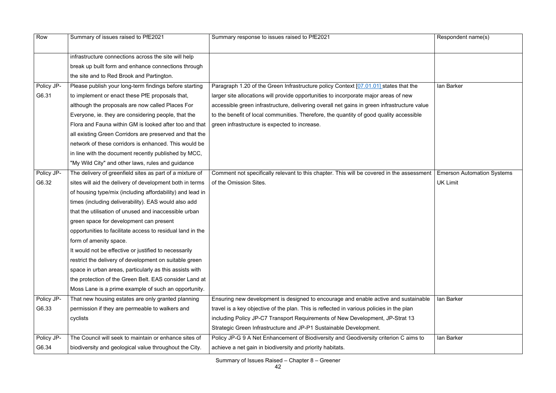| Row        | Summary of issues raised to PfE2021                        | Summary response to issues raised to PfE2021                                                | Respondent name(s)                |
|------------|------------------------------------------------------------|---------------------------------------------------------------------------------------------|-----------------------------------|
|            | infrastructure connections across the site will help       |                                                                                             |                                   |
|            | break up built form and enhance connections through        |                                                                                             |                                   |
|            | the site and to Red Brook and Partington.                  |                                                                                             |                                   |
| Policy JP- | Please publish your long-term findings before starting     | Paragraph 1.20 of the Green Infrastructure policy Context [07.01.01] states that the        | lan Barker                        |
| G6.31      | to implement or enact these PfE proposals that,            | larger site allocations will provide opportunities to incorporate major areas of new        |                                   |
|            | although the proposals are now called Places For           | accessible green infrastructure, delivering overall net gains in green infrastructure value |                                   |
|            | Everyone, ie. they are considering people, that the        | to the benefit of local communities. Therefore, the quantity of good quality accessible     |                                   |
|            | Flora and Fauna within GM is looked after too and that     | green infrastructure is expected to increase.                                               |                                   |
|            | all existing Green Corridors are preserved and that the    |                                                                                             |                                   |
|            | network of these corridors is enhanced. This would be      |                                                                                             |                                   |
|            | in line with the document recently published by MCC,       |                                                                                             |                                   |
|            | "My Wild City" and other laws, rules and guidance          |                                                                                             |                                   |
| Policy JP- | The delivery of greenfield sites as part of a mixture of   | Comment not specifically relevant to this chapter. This will be covered in the assessment   | <b>Emerson Automation Systems</b> |
| G6.32      | sites will aid the delivery of development both in terms   | of the Omission Sites.                                                                      | <b>UK Limit</b>                   |
|            | of housing type/mix (including affordability) and lead in  |                                                                                             |                                   |
|            | times (including deliverability). EAS would also add       |                                                                                             |                                   |
|            | that the utilisation of unused and inaccessible urban      |                                                                                             |                                   |
|            | green space for development can present                    |                                                                                             |                                   |
|            | opportunities to facilitate access to residual land in the |                                                                                             |                                   |
|            | form of amenity space.                                     |                                                                                             |                                   |
|            | It would not be effective or justified to necessarily      |                                                                                             |                                   |
|            | restrict the delivery of development on suitable green     |                                                                                             |                                   |
|            | space in urban areas, particularly as this assists with    |                                                                                             |                                   |
|            | the protection of the Green Belt. EAS consider Land at     |                                                                                             |                                   |
|            | Moss Lane is a prime example of such an opportunity.       |                                                                                             |                                   |
| Policy JP- | That new housing estates are only granted planning         | Ensuring new development is designed to encourage and enable active and sustainable         | lan Barker                        |
| G6.33      | permission if they are permeable to walkers and            | travel is a key objective of the plan. This is reflected in various policies in the plan    |                                   |
|            | cyclists                                                   | including Policy JP-C7 Transport Requirements of New Development, JP-Strat 13               |                                   |
|            |                                                            | Strategic Green Infrastructure and JP-P1 Sustainable Development.                           |                                   |
| Policy JP- | The Council will seek to maintain or enhance sites of      | Policy JP-G 9 A Net Enhancement of Biodiversity and Geodiversity criterion C aims to        | lan Barker                        |
| G6.34      | biodiversity and geological value throughout the City.     | achieve a net gain in biodiversity and priority habitats.                                   |                                   |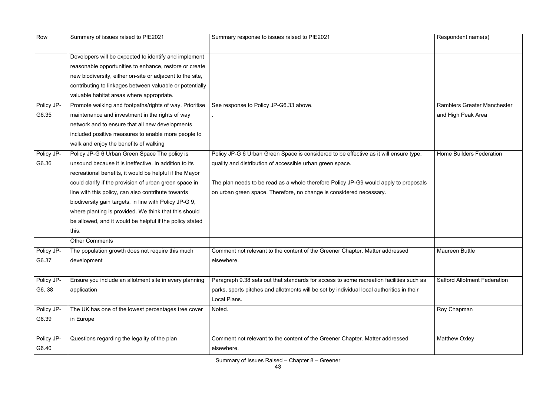| Row        | Summary of issues raised to PfE2021                       | Summary response to issues raised to PfE2021                                              | Respondent name(s)                  |
|------------|-----------------------------------------------------------|-------------------------------------------------------------------------------------------|-------------------------------------|
|            | Developers will be expected to identify and implement     |                                                                                           |                                     |
|            | reasonable opportunities to enhance, restore or create    |                                                                                           |                                     |
|            | new biodiversity, either on-site or adjacent to the site, |                                                                                           |                                     |
|            | contributing to linkages between valuable or potentially  |                                                                                           |                                     |
|            | valuable habitat areas where appropriate.                 |                                                                                           |                                     |
| Policy JP- | Promote walking and footpaths/rights of way. Prioritise   | See response to Policy JP-G6.33 above.                                                    | <b>Ramblers Greater Manchester</b>  |
| G6.35      | maintenance and investment in the rights of way           |                                                                                           | and High Peak Area                  |
|            | network and to ensure that all new developments           |                                                                                           |                                     |
|            | included positive measures to enable more people to       |                                                                                           |                                     |
|            | walk and enjoy the benefits of walking                    |                                                                                           |                                     |
| Policy JP- | Policy JP-G 6 Urban Green Space The policy is             | Policy JP-G 6 Urban Green Space is considered to be effective as it will ensure type,     | <b>Home Builders Federation</b>     |
| G6.36      | unsound because it is ineffective. In addition to its     | quality and distribution of accessible urban green space.                                 |                                     |
|            | recreational benefits, it would be helpful if the Mayor   |                                                                                           |                                     |
|            | could clarify if the provision of urban green space in    | The plan needs to be read as a whole therefore Policy JP-G9 would apply to proposals      |                                     |
|            | line with this policy, can also contribute towards        | on urban green space. Therefore, no change is considered necessary.                       |                                     |
|            | biodiversity gain targets, in line with Policy JP-G 9,    |                                                                                           |                                     |
|            | where planting is provided. We think that this should     |                                                                                           |                                     |
|            | be allowed, and it would be helpful if the policy stated  |                                                                                           |                                     |
|            | this.                                                     |                                                                                           |                                     |
|            | <b>Other Comments</b>                                     |                                                                                           |                                     |
| Policy JP- | The population growth does not require this much          | Comment not relevant to the content of the Greener Chapter. Matter addressed              | <b>Maureen Buttle</b>               |
| G6.37      | development                                               | elsewhere.                                                                                |                                     |
| Policy JP- | Ensure you include an allotment site in every planning    | Paragraph 9.38 sets out that standards for access to some recreation facilities such as   | <b>Salford Allotment Federation</b> |
| G6.38      | application                                               | parks, sports pitches and allotments will be set by individual local authorities in their |                                     |
|            |                                                           | Local Plans.                                                                              |                                     |
| Policy JP- | The UK has one of the lowest percentages tree cover       | Noted.                                                                                    | Roy Chapman                         |
| G6.39      | in Europe                                                 |                                                                                           |                                     |
|            |                                                           |                                                                                           |                                     |
| Policy JP- | Questions regarding the legality of the plan              | Comment not relevant to the content of the Greener Chapter. Matter addressed              | <b>Matthew Oxley</b>                |
| G6.40      |                                                           | elsewhere.                                                                                |                                     |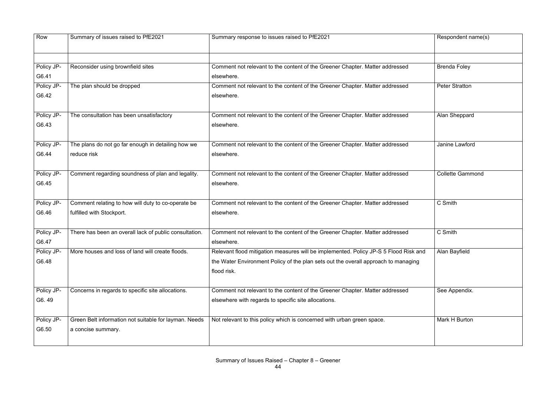| Row        | Summary of issues raised to PfE2021                    | Summary response to issues raised to PfE2021                                         | Respondent name(s)      |
|------------|--------------------------------------------------------|--------------------------------------------------------------------------------------|-------------------------|
|            |                                                        |                                                                                      |                         |
| Policy JP- | Reconsider using brownfield sites                      | Comment not relevant to the content of the Greener Chapter. Matter addressed         | <b>Brenda Foley</b>     |
| G6.41      |                                                        | elsewhere.                                                                           |                         |
| Policy JP- | The plan should be dropped                             | Comment not relevant to the content of the Greener Chapter. Matter addressed         | <b>Peter Stratton</b>   |
| G6.42      |                                                        | elsewhere.                                                                           |                         |
| Policy JP- | The consultation has been unsatisfactory               | Comment not relevant to the content of the Greener Chapter. Matter addressed         | Alan Sheppard           |
| G6.43      |                                                        | elsewhere.                                                                           |                         |
| Policy JP- | The plans do not go far enough in detailing how we     | Comment not relevant to the content of the Greener Chapter. Matter addressed         | Janine Lawford          |
| G6.44      | reduce risk                                            | elsewhere.                                                                           |                         |
| Policy JP- | Comment regarding soundness of plan and legality.      | Comment not relevant to the content of the Greener Chapter. Matter addressed         | <b>Collette Gammond</b> |
| G6.45      |                                                        | elsewhere.                                                                           |                         |
| Policy JP- | Comment relating to how will duty to co-operate be     | Comment not relevant to the content of the Greener Chapter. Matter addressed         | C Smith                 |
| G6.46      | fulfilled with Stockport.                              | elsewhere.                                                                           |                         |
| Policy JP- | There has been an overall lack of public consultation. | Comment not relevant to the content of the Greener Chapter. Matter addressed         | C Smith                 |
| G6.47      |                                                        | elsewhere.                                                                           |                         |
| Policy JP- | More houses and loss of land will create floods.       | Relevant flood mitigation measures will be implemented. Policy JP-S 5 Flood Risk and | Alan Bayfield           |
| G6.48      |                                                        | the Water Environment Policy of the plan sets out the overall approach to managing   |                         |
|            |                                                        | flood risk.                                                                          |                         |
| Policy JP- | Concerns in regards to specific site allocations.      | Comment not relevant to the content of the Greener Chapter. Matter addressed         | See Appendix.           |
| G6.49      |                                                        | elsewhere with regards to specific site allocations.                                 |                         |
| Policy JP- | Green Belt information not suitable for layman. Needs  | Not relevant to this policy which is concerned with urban green space.               | Mark H Burton           |
| G6.50      | a concise summary.                                     |                                                                                      |                         |

|          | Respondent name(s)      |
|----------|-------------------------|
|          |                         |
|          | <b>Brenda Foley</b>     |
|          | <b>Peter Stratton</b>   |
|          | Alan Sheppard           |
|          | Janine Lawford          |
|          | <b>Collette Gammond</b> |
|          | C Smith                 |
|          | C Smith                 |
| and<br>g | Alan Bayfield           |
|          | See Appendix.           |
|          | Mark H Burton           |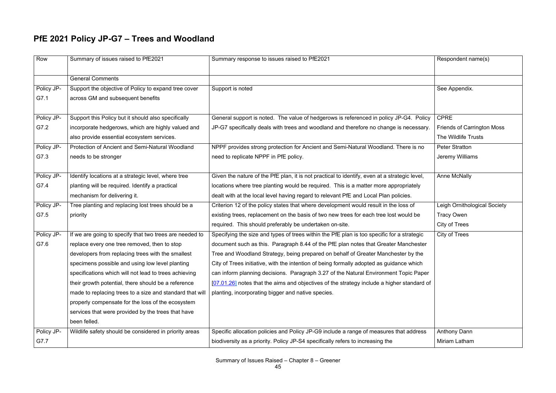# **PfE 2021 Policy JP-G7 – Trees and Woodland**

| Row        | Summary of issues raised to PfE2021                      | Summary response to issues raised to PfE2021                                                  | Respondent name(s)                |
|------------|----------------------------------------------------------|-----------------------------------------------------------------------------------------------|-----------------------------------|
|            | <b>General Comments</b>                                  |                                                                                               |                                   |
| Policy JP- | Support the objective of Policy to expand tree cover     | Support is noted                                                                              | See Appendix.                     |
| G7.1       | across GM and subsequent benefits                        |                                                                                               |                                   |
|            |                                                          |                                                                                               |                                   |
| Policy JP- | Support this Policy but it should also specifically      | General support is noted. The value of hedgerows is referenced in policy JP-G4. Policy        | <b>CPRE</b>                       |
| G7.2       | incorporate hedgerows, which are highly valued and       | JP-G7 specifically deals with trees and woodland and therefore no change is necessary.        | <b>Friends of Carrington Moss</b> |
|            | also provide essential ecosystem services.               |                                                                                               | The Wildlife Trusts               |
| Policy JP- | Protection of Ancient and Semi-Natural Woodland          | NPPF provides strong protection for Ancient and Semi-Natural Woodland. There is no            | <b>Peter Stratton</b>             |
| G7.3       | needs to be stronger                                     | need to replicate NPPF in PfE policy.                                                         | Jeremy Williams                   |
|            |                                                          |                                                                                               |                                   |
| Policy JP- | Identify locations at a strategic level, where tree      | Given the nature of the PfE plan, it is not practical to identify, even at a strategic level, | <b>Anne McNally</b>               |
| G7.4       | planting will be required. Identify a practical          | locations where tree planting would be required. This is a matter more appropriately          |                                   |
|            | mechanism for delivering it.                             | dealt with at the local level having regard to relevant PfE and Local Plan policies.          |                                   |
| Policy JP- | Tree planting and replacing lost trees should be a       | Criterion 12 of the policy states that where development would result in the loss of          | Leigh Ornithological Society      |
| G7.5       | priority                                                 | existing trees, replacement on the basis of two new trees for each tree lost would be         | <b>Tracy Owen</b>                 |
|            |                                                          | required. This should preferably be undertaken on-site.                                       | City of Trees                     |
| Policy JP- | If we are going to specify that two trees are needed to  | Specifying the size and types of trees within the PfE plan is too specific for a strategic    | City of Trees                     |
| G7.6       | replace every one tree removed, then to stop             | document such as this. Paragraph 8.44 of the PfE plan notes that Greater Manchester           |                                   |
|            | developers from replacing trees with the smallest        | Tree and Woodland Strategy, being prepared on behalf of Greater Manchester by the             |                                   |
|            | specimens possible and using low level planting          | City of Trees initiative, with the intention of being formally adopted as guidance which      |                                   |
|            | specifications which will not lead to trees achieving    | can inform planning decisions. Paragraph 3.27 of the Natural Environment Topic Paper          |                                   |
|            | their growth potential, there should be a reference      | [07.01.26] notes that the aims and objectives of the strategy include a higher standard of    |                                   |
|            | made to replacing trees to a size and standard that will | planting, incorporating bigger and native species.                                            |                                   |
|            | properly compensate for the loss of the ecosystem        |                                                                                               |                                   |
|            | services that were provided by the trees that have       |                                                                                               |                                   |
|            | been felled.                                             |                                                                                               |                                   |
| Policy JP- | Wildlife safety should be considered in priority areas   | Specific allocation policies and Policy JP-G9 include a range of measures that address        | <b>Anthony Dann</b>               |
| G7.7       |                                                          | biodiversity as a priority. Policy JP-S4 specifically refers to increasing the                | Miriam Latham                     |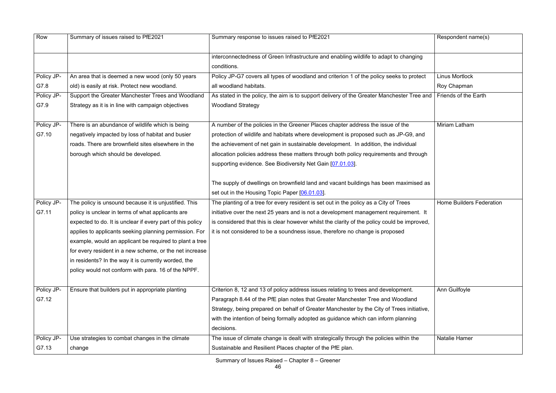| Row        | Summary of issues raised to PfE2021                        | Summary response to issues raised to PfE2021                                                 | Respondent name(s)              |
|------------|------------------------------------------------------------|----------------------------------------------------------------------------------------------|---------------------------------|
|            |                                                            | interconnectedness of Green Infrastructure and enabling wildlife to adapt to changing        |                                 |
|            |                                                            | conditions.                                                                                  |                                 |
| Policy JP- | An area that is deemed a new wood (only 50 years           | Policy JP-G7 covers all types of woodland and criterion 1 of the policy seeks to protect     | <b>Linus Mortlock</b>           |
| G7.8       | old) is easily at risk. Protect new woodland.              | all woodland habitats.                                                                       | Roy Chapman                     |
| Policy JP- | Support the Greater Manchester Trees and Woodland          | As stated in the policy, the aim is to support delivery of the Greater Manchester Tree and   | Friends of the Earth            |
| G7.9       | Strategy as it is in line with campaign objectives         | <b>Woodland Strategy</b>                                                                     |                                 |
|            |                                                            |                                                                                              |                                 |
| Policy JP- | There is an abundance of wildlife which is being           | A number of the policies in the Greener Places chapter address the issue of the              | <b>Miriam Latham</b>            |
| G7.10      | negatively impacted by loss of habitat and busier          | protection of wildlife and habitats where development is proposed such as JP-G9, and         |                                 |
|            | roads. There are brownfield sites elsewhere in the         | the achievement of net gain in sustainable development. In addition, the individual          |                                 |
|            | borough which should be developed.                         | allocation policies address these matters through both policy requirements and through       |                                 |
|            |                                                            | supporting evidence. See Biodiversity Net Gain [07.01.03].                                   |                                 |
|            |                                                            |                                                                                              |                                 |
|            |                                                            | The supply of dwellings on brownfield land and vacant buildings has been maximised as        |                                 |
|            |                                                            | set out in the Housing Topic Paper [06.01.03].                                               |                                 |
| Policy JP- | The policy is unsound because it is unjustified. This      | The planting of a tree for every resident is set out in the policy as a City of Trees        | <b>Home Builders Federation</b> |
| G7.11      | policy is unclear in terms of what applicants are          | initiative over the next 25 years and is not a development management requirement. It        |                                 |
|            | expected to do. It is unclear if every part of this policy | is considered that this is clear however whilst the clarity of the policy could be improved, |                                 |
|            | applies to applicants seeking planning permission. For     | it is not considered to be a soundness issue, therefore no change is proposed                |                                 |
|            | example, would an applicant be required to plant a tree    |                                                                                              |                                 |
|            | for every resident in a new scheme, or the net increase    |                                                                                              |                                 |
|            | in residents? In the way it is currently worded, the       |                                                                                              |                                 |
|            | policy would not conform with para. 16 of the NPPF.        |                                                                                              |                                 |
|            |                                                            |                                                                                              |                                 |
| Policy JP- | Ensure that builders put in appropriate planting           | Criterion 8, 12 and 13 of policy address issues relating to trees and development.           | Ann Guilfoyle                   |
| G7.12      |                                                            | Paragraph 8.44 of the PfE plan notes that Greater Manchester Tree and Woodland               |                                 |
|            |                                                            | Strategy, being prepared on behalf of Greater Manchester by the City of Trees initiative,    |                                 |
|            |                                                            | with the intention of being formally adopted as guidance which can inform planning           |                                 |
|            |                                                            | decisions.                                                                                   |                                 |
| Policy JP- | Use strategies to combat changes in the climate            | The issue of climate change is dealt with strategically through the policies within the      | <b>Natalie Hamer</b>            |
| G7.13      | change                                                     | Sustainable and Resilient Places chapter of the PfE plan.                                    |                                 |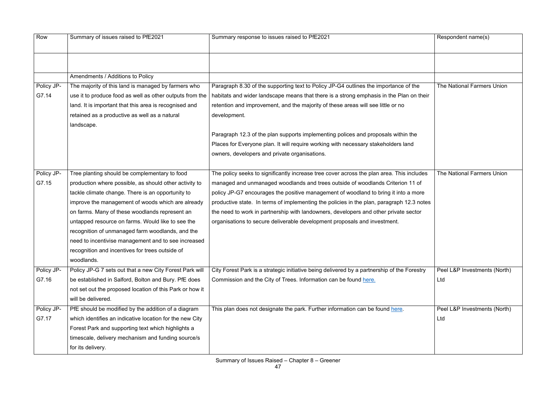| Row        | Summary of issues raised to PfE2021                      | Summary response to issues raised to PfE2021                                                | Respondent name(s)           |
|------------|----------------------------------------------------------|---------------------------------------------------------------------------------------------|------------------------------|
|            |                                                          |                                                                                             |                              |
|            | Amendments / Additions to Policy                         |                                                                                             |                              |
| Policy JP- | The majority of this land is managed by farmers who      | Paragraph 8.30 of the supporting text to Policy JP-G4 outlines the importance of the        | The National Farmers Union   |
| G7.14      | use it to produce food as well as other outputs from the | habitats and wider landscape means that there is a strong emphasis in the Plan on their     |                              |
|            | land. It is important that this area is recognised and   | retention and improvement, and the majority of these areas will see little or no            |                              |
|            | retained as a productive as well as a natural            | development.                                                                                |                              |
|            | landscape.                                               |                                                                                             |                              |
|            |                                                          | Paragraph 12.3 of the plan supports implementing polices and proposals within the           |                              |
|            |                                                          | Places for Everyone plan. It will require working with necessary stakeholders land          |                              |
|            |                                                          | owners, developers and private organisations.                                               |                              |
|            |                                                          |                                                                                             |                              |
| Policy JP- | Tree planting should be complementary to food            | The policy seeks to significantly increase tree cover across the plan area. This includes   | The National Farmers Union   |
| G7.15      | production where possible, as should other activity to   | managed and unmanaged woodlands and trees outside of woodlands Criterion 11 of              |                              |
|            | tackle climate change. There is an opportunity to        | policy JP-G7 encourages the positive management of woodland to bring it into a more         |                              |
|            | improve the management of woods which are already        | productive state. In terms of implementing the policies in the plan, paragraph 12.3 notes   |                              |
|            | on farms. Many of these woodlands represent an           | the need to work in partnership with landowners, developers and other private sector        |                              |
|            | untapped resource on farms. Would like to see the        | organisations to secure deliverable development proposals and investment.                   |                              |
|            | recognition of unmanaged farm woodlands, and the         |                                                                                             |                              |
|            | need to incentivise management and to see increased      |                                                                                             |                              |
|            | recognition and incentives for trees outside of          |                                                                                             |                              |
|            | woodlands.                                               |                                                                                             |                              |
| Policy JP- | Policy JP-G 7 sets out that a new City Forest Park will  | City Forest Park is a strategic initiative being delivered by a partnership of the Forestry | Peel L&P Investments (North) |
| G7.16      | be established in Salford, Bolton and Bury. PfE does     | Commission and the City of Trees. Information can be found here.                            | Ltd                          |
|            | not set out the proposed location of this Park or how it |                                                                                             |                              |
|            | will be delivered.                                       |                                                                                             |                              |
| Policy JP- | PfE should be modified by the addition of a diagram      | This plan does not designate the park. Further information can be found here.               | Peel L&P Investments (North) |
| G7.17      | which identifies an indicative location for the new City |                                                                                             | Ltd                          |
|            | Forest Park and supporting text which highlights a       |                                                                                             |                              |
|            | timescale, delivery mechanism and funding source/s       |                                                                                             |                              |
|            | for its delivery.                                        |                                                                                             |                              |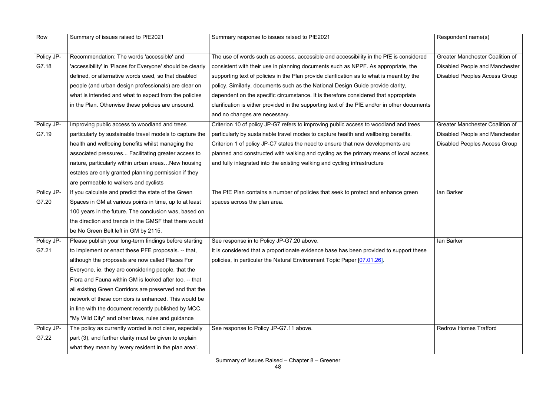| Row        | Summary of issues raised to PfE2021                        | Summary response to issues raised to PfE2021                                                 | Respondent name(s)                     |
|------------|------------------------------------------------------------|----------------------------------------------------------------------------------------------|----------------------------------------|
|            |                                                            |                                                                                              |                                        |
| Policy JP- | Recommendation: The words 'accessible' and                 | The use of words such as access, accessible and accessibility in the PfE is considered       | <b>Greater Manchester Coalition of</b> |
| G7.18      | 'accessibility' in 'Places for Everyone' should be clearly | consistent with their use in planning documents such as NPPF. As appropriate, the            | Disabled People and Manchester         |
|            | defined, or alternative words used, so that disabled       | supporting text of policies in the Plan provide clarification as to what is meant by the     | <b>Disabled Peoples Access Group</b>   |
|            | people (and urban design professionals) are clear on       | policy. Similarly, documents such as the National Design Guide provide clarity,              |                                        |
|            | what is intended and what to expect from the policies      | dependent on the specific circumstance. It is therefore considered that appropriate          |                                        |
|            | in the Plan. Otherwise these policies are unsound.         | clarification is either provided in the supporting text of the PfE and/or in other documents |                                        |
|            |                                                            | and no changes are necessary.                                                                |                                        |
| Policy JP- | Improving public access to woodland and trees              | Criterion 10 of policy JP-G7 refers to improving public access to woodland and trees         | <b>Greater Manchester Coalition of</b> |
| G7.19      | particularly by sustainable travel models to capture the   | particularly by sustainable travel modes to capture health and wellbeing benefits.           | Disabled People and Manchester         |
|            | health and wellbeing benefits whilst managing the          | Criterion 1 of policy JP-C7 states the need to ensure that new developments are              | <b>Disabled Peoples Access Group</b>   |
|            | associated pressures Facilitating greater access to        | planned and constructed with walking and cycling as the primary means of local access,       |                                        |
|            | nature, particularly within urban areasNew housing         | and fully integrated into the existing walking and cycling infrastructure                    |                                        |
|            | estates are only granted planning permission if they       |                                                                                              |                                        |
|            | are permeable to walkers and cyclists                      |                                                                                              |                                        |
| Policy JP- | If you calculate and predict the state of the Green        | The PfE Plan contains a number of policies that seek to protect and enhance green            | lan Barker                             |
| G7.20      | Spaces in GM at various points in time, up to at least     | spaces across the plan area.                                                                 |                                        |
|            | 100 years in the future. The conclusion was, based on      |                                                                                              |                                        |
|            | the direction and trends in the GMSF that there would      |                                                                                              |                                        |
|            | be No Green Belt left in GM by 2115.                       |                                                                                              |                                        |
| Policy JP- | Please publish your long-term findings before starting     | See response in to Policy JP-G7.20 above.                                                    | lan Barker                             |
| G7.21      | to implement or enact these PFE proposals. -- that,        | It is considered that a proportionate evidence base has been provided to support these       |                                        |
|            | although the proposals are now called Places For           | policies, in particular the Natural Environment Topic Paper [07.01.26].                      |                                        |
|            | Everyone, ie. they are considering people, that the        |                                                                                              |                                        |
|            | Flora and Fauna within GM is looked after too. -- that     |                                                                                              |                                        |
|            | all existing Green Corridors are preserved and that the    |                                                                                              |                                        |
|            | network of these corridors is enhanced. This would be      |                                                                                              |                                        |
|            | in line with the document recently published by MCC,       |                                                                                              |                                        |
|            | "My Wild City" and other laws, rules and guidance          |                                                                                              |                                        |
| Policy JP- | The policy as currently worded is not clear, especially    | See response to Policy JP-G7.11 above.                                                       | <b>Redrow Homes Trafford</b>           |
| G7.22      | part (3), and further clarity must be given to explain     |                                                                                              |                                        |
|            | what they mean by 'every resident in the plan area'.       |                                                                                              |                                        |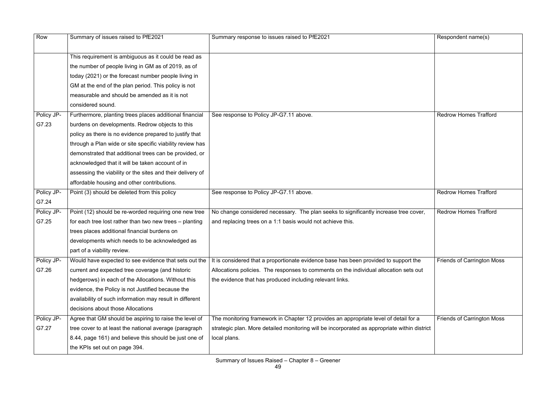| Row        | Summary of issues raised to PfE2021                        | Summary response to issues raised to PfE2021                                                 | Respondent name(s)                |
|------------|------------------------------------------------------------|----------------------------------------------------------------------------------------------|-----------------------------------|
|            |                                                            |                                                                                              |                                   |
|            | This requirement is ambiguous as it could be read as       |                                                                                              |                                   |
|            | the number of people living in GM as of 2019, as of        |                                                                                              |                                   |
|            | today (2021) or the forecast number people living in       |                                                                                              |                                   |
|            | GM at the end of the plan period. This policy is not       |                                                                                              |                                   |
|            | measurable and should be amended as it is not              |                                                                                              |                                   |
|            | considered sound.                                          |                                                                                              |                                   |
| Policy JP- | Furthermore, planting trees places additional financial    | See response to Policy JP-G7.11 above.                                                       | <b>Redrow Homes Trafford</b>      |
| G7.23      | burdens on developments. Redrow objects to this            |                                                                                              |                                   |
|            | policy as there is no evidence prepared to justify that    |                                                                                              |                                   |
|            | through a Plan wide or site specific viability review has  |                                                                                              |                                   |
|            | demonstrated that additional trees can be provided, or     |                                                                                              |                                   |
|            | acknowledged that it will be taken account of in           |                                                                                              |                                   |
|            | assessing the viability or the sites and their delivery of |                                                                                              |                                   |
|            | affordable housing and other contributions.                |                                                                                              |                                   |
| Policy JP- | Point (3) should be deleted from this policy               | See response to Policy JP-G7.11 above.                                                       | <b>Redrow Homes Trafford</b>      |
| G7.24      |                                                            |                                                                                              |                                   |
| Policy JP- | Point (12) should be re-worded requiring one new tree      | No change considered necessary. The plan seeks to significantly increase tree cover,         | <b>Redrow Homes Trafford</b>      |
| G7.25      | for each tree lost rather than two new trees - planting    | and replacing trees on a 1:1 basis would not achieve this.                                   |                                   |
|            | trees places additional financial burdens on               |                                                                                              |                                   |
|            | developments which needs to be acknowledged as             |                                                                                              |                                   |
|            | part of a viability review.                                |                                                                                              |                                   |
| Policy JP- | Would have expected to see evidence that sets out the      | It is considered that a proportionate evidence base has been provided to support the         | <b>Friends of Carrington Moss</b> |
| G7.26      | current and expected tree coverage (and historic           | Allocations policies. The responses to comments on the individual allocation sets out        |                                   |
|            | hedgerows) in each of the Allocations. Without this        | the evidence that has produced including relevant links.                                     |                                   |
|            | evidence, the Policy is not Justified because the          |                                                                                              |                                   |
|            | availability of such information may result in different   |                                                                                              |                                   |
|            | decisions about those Allocations                          |                                                                                              |                                   |
| Policy JP- | Agree that GM should be aspiring to raise the level of     | The monitoring framework in Chapter 12 provides an appropriate level of detail for a         | <b>Friends of Carrington Moss</b> |
| G7.27      | tree cover to at least the national average (paragraph     | strategic plan. More detailed monitoring will be incorporated as appropriate within district |                                   |
|            | 8.44, page 161) and believe this should be just one of     | local plans.                                                                                 |                                   |
|            | the KPIs set out on page 394.                              |                                                                                              |                                   |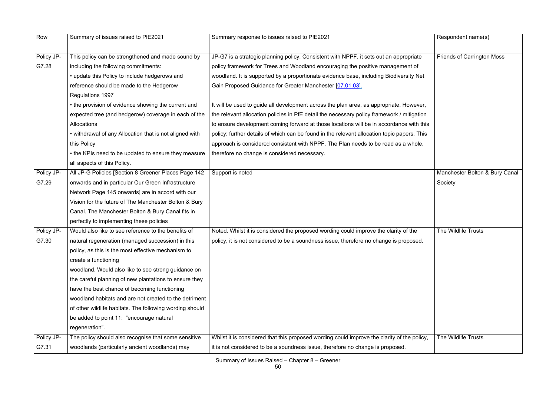| Row        | Summary of issues raised to PfE2021                      | Summary response to issues raised to PfE2021                                                | Respondent name(s)                |
|------------|----------------------------------------------------------|---------------------------------------------------------------------------------------------|-----------------------------------|
|            |                                                          |                                                                                             |                                   |
| Policy JP- | This policy can be strengthened and made sound by        | JP-G7 is a strategic planning policy. Consistent with NPPF, it sets out an appropriate      | <b>Friends of Carrington Moss</b> |
| G7.28      | including the following commitments:                     | policy framework for Trees and Woodland encouraging the positive management of              |                                   |
|            | • update this Policy to include hedgerows and            | woodland. It is supported by a proportionate evidence base, including Biodiversity Net      |                                   |
|            | reference should be made to the Hedgerow                 | Gain Proposed Guidance for Greater Manchester [07.01.03].                                   |                                   |
|            | Regulations 1997                                         |                                                                                             |                                   |
|            | • the provision of evidence showing the current and      | It will be used to guide all development across the plan area, as appropriate. However,     |                                   |
|            | expected tree (and hedgerow) coverage in each of the     | the relevant allocation policies in PfE detail the necessary policy framework / mitigation  |                                   |
|            | Allocations                                              | to ensure development coming forward at those locations will be in accordance with this     |                                   |
|            | • withdrawal of any Allocation that is not aligned with  | policy; further details of which can be found in the relevant allocation topic papers. This |                                   |
|            | this Policy                                              | approach is considered consistent with NPPF. The Plan needs to be read as a whole,          |                                   |
|            | • the KPIs need to be updated to ensure they measure     | therefore no change is considered necessary.                                                |                                   |
|            | all aspects of this Policy.                              |                                                                                             |                                   |
| Policy JP- | All JP-G Policies [Section 8 Greener Places Page 142     | Support is noted                                                                            | Manchester Bolton & Bury Canal    |
| G7.29      | onwards and in particular Our Green Infrastructure       |                                                                                             | Society                           |
|            | Network Page 145 onwards] are in accord with our         |                                                                                             |                                   |
|            | Vision for the future of The Manchester Bolton & Bury    |                                                                                             |                                   |
|            | Canal. The Manchester Bolton & Bury Canal fits in        |                                                                                             |                                   |
|            | perfectly to implementing these policies                 |                                                                                             |                                   |
| Policy JP- | Would also like to see reference to the benefits of      | Noted. Whilst it is considered the proposed wording could improve the clarity of the        | The Wildlife Trusts               |
| G7.30      | natural regeneration (managed succession) in this        | policy, it is not considered to be a soundness issue, therefore no change is proposed.      |                                   |
|            | policy, as this is the most effective mechanism to       |                                                                                             |                                   |
|            | create a functioning                                     |                                                                                             |                                   |
|            | woodland. Would also like to see strong guidance on      |                                                                                             |                                   |
|            | the careful planning of new plantations to ensure they   |                                                                                             |                                   |
|            | have the best chance of becoming functioning             |                                                                                             |                                   |
|            | woodland habitats and are not created to the detriment   |                                                                                             |                                   |
|            | of other wildlife habitats. The following wording should |                                                                                             |                                   |
|            | be added to point 11: "encourage natural                 |                                                                                             |                                   |
|            | regeneration".                                           |                                                                                             |                                   |
| Policy JP- | The policy should also recognise that some sensitive     | Whilst it is considered that this proposed wording could improve the clarity of the policy, | The Wildlife Trusts               |
| G7.31      | woodlands (particularly ancient woodlands) may           | it is not considered to be a soundness issue, therefore no change is proposed.              |                                   |
|            |                                                          |                                                                                             |                                   |

|                    | Respondent name(s)                        |
|--------------------|-------------------------------------------|
| e                  | <b>Friends of Carrington Moss</b>         |
| et                 |                                           |
| er,<br>ion<br>this |                                           |
| his<br>Э,          |                                           |
|                    | Manchester Bolton & Bury Canal<br>Society |
| J.                 | The Wildlife Trusts                       |
| icy,               | The Wildlife Trusts                       |
|                    |                                           |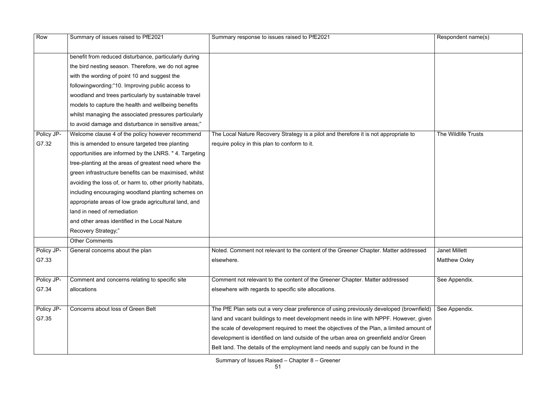| Row        | Summary of issues raised to PfE2021                        | Summary response to issues raised to PfE2021                                              | Respondent name(s)   |
|------------|------------------------------------------------------------|-------------------------------------------------------------------------------------------|----------------------|
|            | benefit from reduced disturbance, particularly during      |                                                                                           |                      |
|            | the bird nesting season. Therefore, we do not agree        |                                                                                           |                      |
|            | with the wording of point 10 and suggest the               |                                                                                           |                      |
|            | followingwording: "10. Improving public access to          |                                                                                           |                      |
|            | woodland and trees particularly by sustainable travel      |                                                                                           |                      |
|            | models to capture the health and wellbeing benefits        |                                                                                           |                      |
|            | whilst managing the associated pressures particularly      |                                                                                           |                      |
|            | to avoid damage and disturbance in sensitive areas;"       |                                                                                           |                      |
| Policy JP- | Welcome clause 4 of the policy however recommend           | The Local Nature Recovery Strategy is a pilot and therefore it is not appropriate to      | The Wildlife Trusts  |
| G7.32      | this is amended to ensure targeted tree planting           | require policy in this plan to conform to it.                                             |                      |
|            | opportunities are informed by the LNRS. "4. Targeting      |                                                                                           |                      |
|            | tree-planting at the areas of greatest need where the      |                                                                                           |                      |
|            | green infrastructure benefits can be maximised, whilst     |                                                                                           |                      |
|            | avoiding the loss of, or harm to, other priority habitats, |                                                                                           |                      |
|            | including encouraging woodland planting schemes on         |                                                                                           |                      |
|            | appropriate areas of low grade agricultural land, and      |                                                                                           |                      |
|            | land in need of remediation                                |                                                                                           |                      |
|            | and other areas identified in the Local Nature             |                                                                                           |                      |
|            | Recovery Strategy;"                                        |                                                                                           |                      |
|            | <b>Other Comments</b>                                      |                                                                                           |                      |
| Policy JP- | General concerns about the plan                            | Noted. Comment not relevant to the content of the Greener Chapter. Matter addressed       | <b>Janet Millett</b> |
| G7.33      |                                                            | elsewhere.                                                                                | <b>Matthew Oxley</b> |
|            |                                                            |                                                                                           |                      |
| Policy JP- | Comment and concerns relating to specific site             | Comment not relevant to the content of the Greener Chapter. Matter addressed              | See Appendix.        |
| G7.34      | allocations                                                | elsewhere with regards to specific site allocations.                                      |                      |
| Policy JP- | Concerns about loss of Green Belt                          | The PfE Plan sets out a very clear preference of using previously developed (brownfield)  | See Appendix.        |
| G7.35      |                                                            | land and vacant buildings to meet development needs in line with NPPF. However, given     |                      |
|            |                                                            | the scale of development required to meet the objectives of the Plan, a limited amount of |                      |
|            |                                                            | development is identified on land outside of the urban area on greenfield and/or Green    |                      |
|            |                                                            | Belt land. The details of the employment land needs and supply can be found in the        |                      |
|            |                                                            |                                                                                           |                      |

|                                        | Respondent name(s)                           |
|----------------------------------------|----------------------------------------------|
|                                        |                                              |
|                                        | The Wildlife Trusts                          |
| sed                                    | <b>Janet Millett</b><br><b>Matthew Oxley</b> |
|                                        | See Appendix.                                |
| าfield)<br>given<br>unt of<br>een<br>è | See Appendix.                                |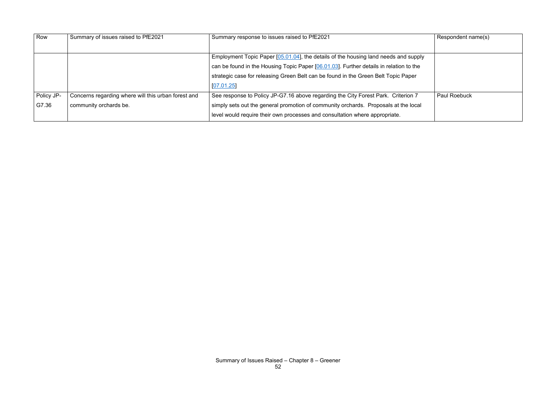| Row        | Summary of issues raised to PfE2021                 | Summary response to issues raised to PfE2021                                           | Respondent name(s)  |
|------------|-----------------------------------------------------|----------------------------------------------------------------------------------------|---------------------|
|            |                                                     |                                                                                        |                     |
|            |                                                     | Employment Topic Paper [05.01.04], the details of the housing land needs and supply    |                     |
|            |                                                     | can be found in the Housing Topic Paper [06.01.03]. Further details in relation to the |                     |
|            |                                                     | strategic case for releasing Green Belt can be found in the Green Belt Topic Paper     |                     |
|            |                                                     | [07.01.25]                                                                             |                     |
| Policy JP- | Concerns regarding where will this urban forest and | See response to Policy JP-G7.16 above regarding the City Forest Park. Criterion 7      | <b>Paul Roebuck</b> |
| G7.36      | community orchards be.                              | simply sets out the general promotion of community orchards. Proposals at the local    |                     |
|            |                                                     | level would require their own processes and consultation where appropriate.            |                     |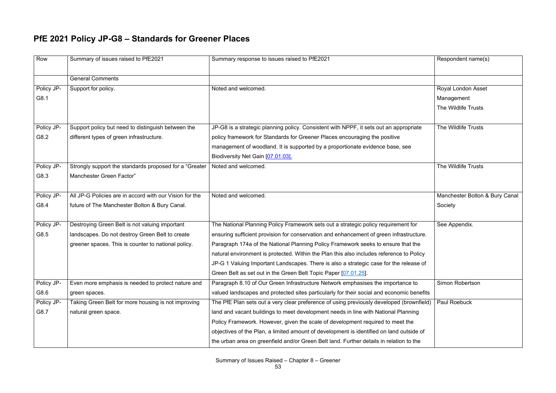## **PfE 2021 Policy JP-G8 – Standards for Greener Places**

| Row        | Summary of issues raised to PfE2021                     | Summary response to issues raised to PfE2021                                              | Respondent name(s)             |
|------------|---------------------------------------------------------|-------------------------------------------------------------------------------------------|--------------------------------|
|            | <b>General Comments</b>                                 |                                                                                           |                                |
| Policy JP- | Support for policy.                                     | Noted and welcomed.                                                                       | <b>Royal London Asset</b>      |
| G8.1       |                                                         |                                                                                           | Management                     |
|            |                                                         |                                                                                           | The Wildlife Trusts            |
| Policy JP- | Support policy but need to distinguish between the      | JP-G8 is a strategic planning policy. Consistent with NPPF, it sets out an appropriate    | The Wildlife Trusts            |
| G8.2       | different types of green infrastructure.                | policy framework for Standards for Greener Places encouraging the positive                |                                |
|            |                                                         | management of woodland. It is supported by a proportionate evidence base, see             |                                |
|            |                                                         | Biodiversity Net Gain [07.01.03].                                                         |                                |
| Policy JP- | Strongly support the standards proposed for a "Greater" | Noted and welcomed.                                                                       | The Wildlife Trusts            |
| G8.3       | Manchester Green Factor"                                |                                                                                           |                                |
|            |                                                         |                                                                                           |                                |
| Policy JP- | All JP-G Policies are in accord with our Vision for the | Noted and welcomed.                                                                       | Manchester Bolton & Bury Canal |
| G8.4       | future of The Manchester Bolton & Bury Canal.           |                                                                                           | Society                        |
| Policy JP- | Destroying Green Belt is not valuing important          | The National Planning Policy Framework sets out a strategic policy requirement for        | See Appendix.                  |
| G8.5       | landscapes. Do not destroy Green Belt to create         | ensuring sufficient provision for conservation and enhancement of green infrastructure.   |                                |
|            | greener spaces. This is counter to national policy.     | Paragraph 174a of the National Planning Policy Framework seeks to ensure that the         |                                |
|            |                                                         | natural environment is protected. Within the Plan this also includes reference to Policy  |                                |
|            |                                                         | JP-G 1 Valuing Important Landscapes. There is also a strategic case for the release of    |                                |
|            |                                                         | Green Belt as set out in the Green Belt Topic Paper [07.01.25].                           |                                |
| Policy JP- | Even more emphasis is needed to protect nature and      | Paragraph 8.10 of Our Green Infrastructure Network emphasises the importance to           | Simon Robertson                |
| G8.6       | green spaces.                                           | valued landscapes and protected sites particularly for their social and economic benefits |                                |
| Policy JP- | Taking Green Belt for more housing is not improving     | The PfE Plan sets out a very clear preference of using previously developed (brownfield)  | Paul Roebuck                   |
| G8.7       | natural green space.                                    | land and vacant buildings to meet development needs in line with National Planning        |                                |
|            |                                                         | Policy Framework. However, given the scale of development required to meet the            |                                |
|            |                                                         | objectives of the Plan, a limited amount of development is identified on land outside of  |                                |
|            |                                                         | the urban area on greenfield and/or Green Belt land. Further details in relation to the   |                                |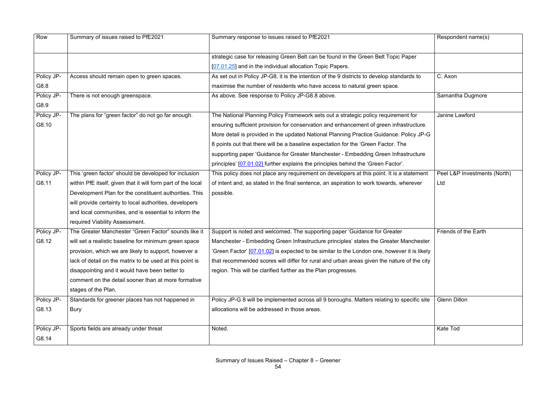| Row        | Summary of issues raised to PfE2021                          | Summary response to issues raised to PfE2021                                                | Respondent name(s)           |
|------------|--------------------------------------------------------------|---------------------------------------------------------------------------------------------|------------------------------|
|            |                                                              | strategic case for releasing Green Belt can be found in the Green Belt Topic Paper          |                              |
|            |                                                              | [07.01.25] and in the individual allocation Topic Papers.                                   |                              |
| Policy JP- | Access should remain open to green spaces.                   | As set out in Policy JP-G8, it is the intention of the 9 districts to develop standards to  | C. Axon                      |
| G8.8       |                                                              | maximise the number of residents who have access to natural green space.                    |                              |
| Policy JP- | There is not enough greenspace.                              | As above. See response to Policy JP-G8.8 above.                                             | Samantha Dugmore             |
| G8.9       |                                                              |                                                                                             |                              |
| Policy JP- | The plans for "green factor" do not go far enough.           | The National Planning Policy Framework sets out a strategic policy requirement for          | Janine Lawford               |
| G8.10      |                                                              | ensuring sufficient provision for conservation and enhancement of green infrastructure.     |                              |
|            |                                                              | More detail is provided in the updated National Planning Practice Guidance. Policy JP-G     |                              |
|            |                                                              | 8 points out that there will be a baseline expectation for the 'Green Factor. The           |                              |
|            |                                                              | supporting paper 'Guidance for Greater Manchester - Embedding Green Infrastructure          |                              |
|            |                                                              | principles' [07.01.02] further explains the principles behind the 'Green Factor'.           |                              |
| Policy JP- | This 'green factor' should be developed for inclusion        | This policy does not place any requirement on developers at this point. It is a statement   | Peel L&P Investments (North) |
| G8.11      | within PfE itself, given that it will form part of the local | of intent and, as stated in the final sentence, an aspiration to work towards, wherever     | Ltd                          |
|            | Development Plan for the constituent authorities. This       | possible.                                                                                   |                              |
|            | will provide certainty to local authorities, developers      |                                                                                             |                              |
|            | and local communities, and is essential to inform the        |                                                                                             |                              |
|            | required Viability Assessment.                               |                                                                                             |                              |
| Policy JP- | The Greater Manchester "Green Factor" sounds like it         | Support is noted and welcomed. The supporting paper 'Guidance for Greater                   | Friends of the Earth         |
| G8.12      | will set a realistic baseline for minimum green space        | Manchester - Embedding Green Infrastructure principles' states the Greater Manchester       |                              |
|            | provision, which we are likely to support, however a         | 'Green Factor' [07.01.02] is expected to be similar to the London one, however it is likely |                              |
|            | lack of detail on the matrix to be used at this point is     | that recommended scores will differ for rural and urban areas given the nature of the city  |                              |
|            | disappointing and it would have been better to               | region. This will be clarified further as the Plan progresses.                              |                              |
|            | comment on the detail sooner than at more formative          |                                                                                             |                              |
|            | stages of the Plan.                                          |                                                                                             |                              |
| Policy JP- | Standards for greener places has not happened in             | Policy JP-G 8 will be implemented across all 9 boroughs. Matters relating to specific site  | <b>Glenn Dillon</b>          |
| G8.13      | Bury                                                         | allocations will be addressed in those areas.                                               |                              |
|            |                                                              |                                                                                             |                              |
| Policy JP- | Sports fields are already under threat                       | Noted.                                                                                      | <b>Kate Tod</b>              |
| G8.14      |                                                              |                                                                                             |                              |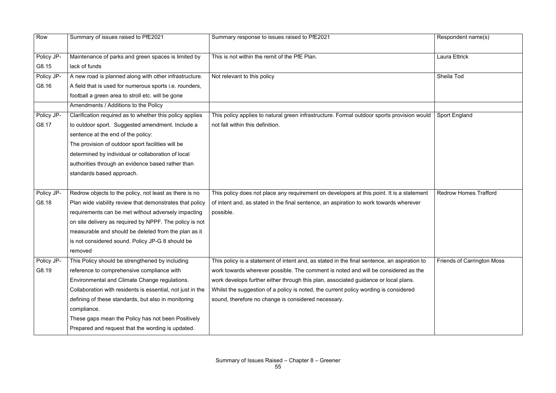| Row                 | Summary of issues raised to PfE2021                                                                                                                                                                                                                                                                                                                                                           | Summary response to issues raised to PfE2021                                                                                                                                                                                                                                                                                                                                                                            | Respondent name(s)                |
|---------------------|-----------------------------------------------------------------------------------------------------------------------------------------------------------------------------------------------------------------------------------------------------------------------------------------------------------------------------------------------------------------------------------------------|-------------------------------------------------------------------------------------------------------------------------------------------------------------------------------------------------------------------------------------------------------------------------------------------------------------------------------------------------------------------------------------------------------------------------|-----------------------------------|
| Policy JP-<br>G8.15 | Maintenance of parks and green spaces is limited by<br>lack of funds                                                                                                                                                                                                                                                                                                                          | This is not within the remit of the PfE Plan.                                                                                                                                                                                                                                                                                                                                                                           | <b>Laura Ettrick</b>              |
| Policy JP-<br>G8.16 | A new road is planned along with other infrastructure.<br>A field that is used for numerous sports i.e. rounders,<br>football a green area to stroll etc. will be gone<br>Amendments / Additions to the Policy                                                                                                                                                                                | Not relevant to this policy                                                                                                                                                                                                                                                                                                                                                                                             | Sheila Tod                        |
| Policy JP-<br>G8.17 | Clarification required as to whether this policy applies<br>to outdoor sport. Suggested amendment. Include a<br>sentence at the end of the policy:<br>The provision of outdoor sport facilities will be<br>determined by individual or collaboration of local<br>authorities through an evidence based rather than<br>standards based approach.                                               | This policy applies to natural green infrastructure. Formal outdoor sports provision would<br>not fall within this definition.                                                                                                                                                                                                                                                                                          | <b>Sport England</b>              |
| Policy JP-<br>G8.18 | Redrow objects to the policy, not least as there is no<br>Plan wide viability review that demonstrates that policy<br>requirements can be met without adversely impacting<br>on site delivery as required by NPPF. The policy is not<br>measurable and should be deleted from the plan as it<br>is not considered sound. Policy JP-G 8 should be<br>removed                                   | This policy does not place any requirement on developers at this point. It is a statement<br>of intent and, as stated in the final sentence, an aspiration to work towards wherever<br>possible.                                                                                                                                                                                                                        | <b>Redrow Homes Trafford</b>      |
| Policy JP-<br>G8.19 | This Policy should be strengthened by including<br>reference to comprehensive compliance with<br>Environmental and Climate Change regulations.<br>Collaboration with residents is essential, not just in the<br>defining of these standards, but also in monitoring<br>compliance.<br>These gaps mean the Policy has not been Positively<br>Prepared and request that the wording is updated. | This policy is a statement of intent and, as stated in the final sentence, an aspiration to<br>work towards wherever possible. The comment is noted and will be considered as the<br>work develops further either through this plan, associated guidance or local plans.<br>Whilst the suggestion of a policy is noted, the current policy wording is considered<br>sound, therefore no change is considered necessary. | <b>Friends of Carrington Moss</b> |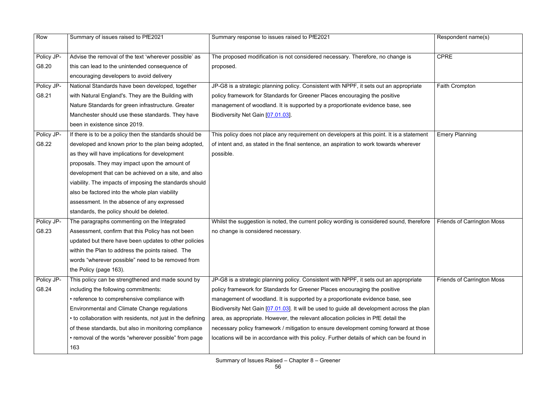| Row        | Summary of issues raised to PfE2021                         | Summary response to issues raised to PfE2021                                               | Respondent name(s)                |
|------------|-------------------------------------------------------------|--------------------------------------------------------------------------------------------|-----------------------------------|
| Policy JP- | Advise the removal of the text 'wherever possible' as       | The proposed modification is not considered necessary. Therefore, no change is             | <b>CPRE</b>                       |
| G8.20      | this can lead to the unintended consequence of              | proposed.                                                                                  |                                   |
|            | encouraging developers to avoid delivery                    |                                                                                            |                                   |
| Policy JP- | National Standards have been developed, together            | JP-G8 is a strategic planning policy. Consistent with NPPF, it sets out an appropriate     | Faith Crompton                    |
| G8.21      | with Natural England's. They are the Building with          | policy framework for Standards for Greener Places encouraging the positive                 |                                   |
|            | Nature Standards for green infrastructure. Greater          | management of woodland. It is supported by a proportionate evidence base, see              |                                   |
|            | Manchester should use these standards. They have            | Biodiversity Net Gain [07.01.03].                                                          |                                   |
|            | been in existence since 2019.                               |                                                                                            |                                   |
| Policy JP- | If there is to be a policy then the standards should be     | This policy does not place any requirement on developers at this point. It is a statement  | <b>Emery Planning</b>             |
| G8.22      | developed and known prior to the plan being adopted,        | of intent and, as stated in the final sentence, an aspiration to work towards wherever     |                                   |
|            | as they will have implications for development              | possible.                                                                                  |                                   |
|            | proposals. They may impact upon the amount of               |                                                                                            |                                   |
|            | development that can be achieved on a site, and also        |                                                                                            |                                   |
|            | viability. The impacts of imposing the standards should     |                                                                                            |                                   |
|            | also be factored into the whole plan viability              |                                                                                            |                                   |
|            | assessment. In the absence of any expressed                 |                                                                                            |                                   |
|            | standards, the policy should be deleted.                    |                                                                                            |                                   |
| Policy JP- | The paragraphs commenting on the Integrated                 | Whilst the suggestion is noted, the current policy wording is considered sound, therefore  | <b>Friends of Carrington Moss</b> |
| G8.23      | Assessment, confirm that this Policy has not been           | no change is considered necessary.                                                         |                                   |
|            | updated but there have been updates to other policies       |                                                                                            |                                   |
|            | within the Plan to address the points raised. The           |                                                                                            |                                   |
|            | words "wherever possible" need to be removed from           |                                                                                            |                                   |
|            | the Policy (page 163).                                      |                                                                                            |                                   |
| Policy JP- | This policy can be strengthened and made sound by           | JP-G8 is a strategic planning policy. Consistent with NPPF, it sets out an appropriate     | <b>Friends of Carrington Moss</b> |
| G8.24      | including the following commitments:                        | policy framework for Standards for Greener Places encouraging the positive                 |                                   |
|            | • reference to comprehensive compliance with                | management of woodland. It is supported by a proportionate evidence base, see              |                                   |
|            | Environmental and Climate Change regulations                | Biodiversity Net Gain [07.01.03]. It will be used to guide all development across the plan |                                   |
|            | • to collaboration with residents, not just in the defining | area, as appropriate. However, the relevant allocation policies in PfE detail the          |                                   |
|            | of these standards, but also in monitoring compliance       | necessary policy framework / mitigation to ensure development coming forward at those      |                                   |
|            | • removal of the words "wherever possible" from page        | locations will be in accordance with this policy. Further details of which can be found in |                                   |
|            | 163                                                         |                                                                                            |                                   |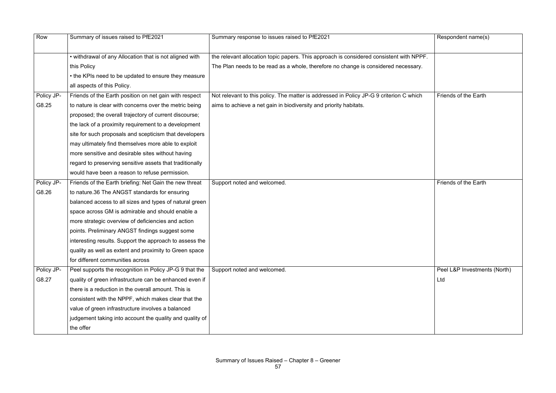| Row        | Summary of issues raised to PfE2021                      | Summary response to issues raised to PfE2021                                            | Respondent name(s)           |
|------------|----------------------------------------------------------|-----------------------------------------------------------------------------------------|------------------------------|
|            | • withdrawal of any Allocation that is not aligned with  | the relevant allocation topic papers. This approach is considered consistent with NPPF. |                              |
|            | this Policy                                              | The Plan needs to be read as a whole, therefore no change is considered necessary.      |                              |
|            | • the KPIs need to be updated to ensure they measure     |                                                                                         |                              |
|            | all aspects of this Policy.                              |                                                                                         |                              |
| Policy JP- | Friends of the Earth position on net gain with respect   | Not relevant to this policy. The matter is addressed in Policy JP-G 9 criterion C which | Friends of the Earth         |
| G8.25      | to nature is clear with concerns over the metric being   | aims to achieve a net gain in biodiversity and priority habitats.                       |                              |
|            | proposed; the overall trajectory of current discourse;   |                                                                                         |                              |
|            | the lack of a proximity requirement to a development     |                                                                                         |                              |
|            | site for such proposals and scepticism that developers   |                                                                                         |                              |
|            | may ultimately find themselves more able to exploit      |                                                                                         |                              |
|            | more sensitive and desirable sites without having        |                                                                                         |                              |
|            | regard to preserving sensitive assets that traditionally |                                                                                         |                              |
|            | would have been a reason to refuse permission.           |                                                                                         |                              |
| Policy JP- | Friends of the Earth briefing: Net Gain the new threat   | Support noted and welcomed.                                                             | Friends of the Earth         |
| G8.26      | to nature.36 The ANGST standards for ensuring            |                                                                                         |                              |
|            | balanced access to all sizes and types of natural green  |                                                                                         |                              |
|            | space across GM is admirable and should enable a         |                                                                                         |                              |
|            | more strategic overview of deficiencies and action       |                                                                                         |                              |
|            | points. Preliminary ANGST findings suggest some          |                                                                                         |                              |
|            | interesting results. Support the approach to assess the  |                                                                                         |                              |
|            | quality as well as extent and proximity to Green space   |                                                                                         |                              |
|            | for different communities across                         |                                                                                         |                              |
| Policy JP- | Peel supports the recognition in Policy JP-G 9 that the  | Support noted and welcomed.                                                             | Peel L&P Investments (North) |
| G8.27      | quality of green infrastructure can be enhanced even if  |                                                                                         | Ltd                          |
|            | there is a reduction in the overall amount. This is      |                                                                                         |                              |
|            | consistent with the NPPF, which makes clear that the     |                                                                                         |                              |
|            | value of green infrastructure involves a balanced        |                                                                                         |                              |
|            | judgement taking into account the quality and quality of |                                                                                         |                              |
|            | the offer                                                |                                                                                         |                              |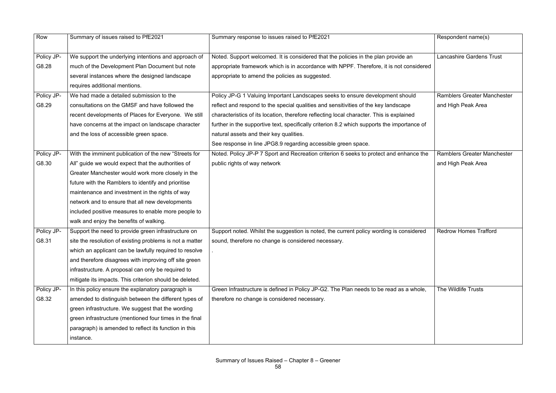| Row        | Summary of issues raised to PfE2021                      | Summary response to issues raised to PfE2021                                                | Respondent name(s)                 |
|------------|----------------------------------------------------------|---------------------------------------------------------------------------------------------|------------------------------------|
| Policy JP- | We support the underlying intentions and approach of     | Noted. Support welcomed. It is considered that the policies in the plan provide an          | <b>Lancashire Gardens Trust</b>    |
| G8.28      | much of the Development Plan Document but note           | appropriate framework which is in accordance with NPPF. Therefore, it is not considered     |                                    |
|            | several instances where the designed landscape           | appropriate to amend the policies as suggested.                                             |                                    |
|            | requires additional mentions.                            |                                                                                             |                                    |
| Policy JP- | We had made a detailed submission to the                 | Policy JP-G 1 Valuing Important Landscapes seeks to ensure development should               | <b>Ramblers Greater Manchester</b> |
| G8.29      | consultations on the GMSF and have followed the          | reflect and respond to the special qualities and sensitivities of the key landscape         | and High Peak Area                 |
|            | recent developments of Places for Everyone. We still     | characteristics of its location, therefore reflecting local character. This is explained    |                                    |
|            | have concerns at the impact on landscape character       | further in the supportive text, specifically criterion 8.2 which supports the importance of |                                    |
|            | and the loss of accessible green space.                  | natural assets and their key qualities.                                                     |                                    |
|            |                                                          | See response in line JPG8.9 regarding accessible green space.                               |                                    |
| Policy JP- | With the imminent publication of the new "Streets for    | Noted. Policy JP-P 7 Sport and Recreation criterion 6 seeks to protect and enhance the      | <b>Ramblers Greater Manchester</b> |
| G8.30      | All" guide we would expect that the authorities of       | public rights of way network                                                                | and High Peak Area                 |
|            | Greater Manchester would work more closely in the        |                                                                                             |                                    |
|            | future with the Ramblers to identify and prioritise      |                                                                                             |                                    |
|            | maintenance and investment in the rights of way          |                                                                                             |                                    |
|            | network and to ensure that all new developments          |                                                                                             |                                    |
|            | included positive measures to enable more people to      |                                                                                             |                                    |
|            | walk and enjoy the benefits of walking.                  |                                                                                             |                                    |
| Policy JP- | Support the need to provide green infrastructure on      | Support noted. Whilst the suggestion is noted, the current policy wording is considered     | <b>Redrow Homes Trafford</b>       |
| G8.31      | site the resolution of existing problems is not a matter | sound, therefore no change is considered necessary.                                         |                                    |
|            | which an applicant can be lawfully required to resolve   |                                                                                             |                                    |
|            | and therefore disagrees with improving off site green    |                                                                                             |                                    |
|            | infrastructure. A proposal can only be required to       |                                                                                             |                                    |
|            | mitigate its impacts. This criterion should be deleted.  |                                                                                             |                                    |
| Policy JP- | In this policy ensure the explanatory paragraph is       | Green Infrastructure is defined in Policy JP-G2. The Plan needs to be read as a whole,      | The Wildlife Trusts                |
| G8.32      | amended to distinguish between the different types of    | therefore no change is considered necessary.                                                |                                    |
|            | green infrastructure. We suggest that the wording        |                                                                                             |                                    |
|            | green infrastructure (mentioned four times in the final  |                                                                                             |                                    |
|            | paragraph) is amended to reflect its function in this    |                                                                                             |                                    |
|            | instance.                                                |                                                                                             |                                    |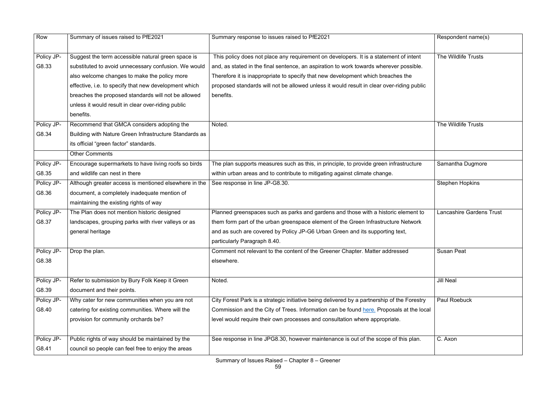| Row        | Summary of issues raised to PfE2021                    | Summary response to issues raised to PfE2021                                                | Respondent name(s)              |
|------------|--------------------------------------------------------|---------------------------------------------------------------------------------------------|---------------------------------|
| Policy JP- | Suggest the term accessible natural green space is     | This policy does not place any requirement on developers. It is a statement of intent       | The Wildlife Trusts             |
| G8.33      | substituted to avoid unnecessary confusion. We would   | and, as stated in the final sentence, an aspiration to work towards wherever possible.      |                                 |
|            | also welcome changes to make the policy more           | Therefore it is inappropriate to specify that new development which breaches the            |                                 |
|            | effective, i.e. to specify that new development which  | proposed standards will not be allowed unless it would result in clear over-riding public   |                                 |
|            | breaches the proposed standards will not be allowed    | benefits.                                                                                   |                                 |
|            | unless it would result in clear over-riding public     |                                                                                             |                                 |
|            | benefits.                                              |                                                                                             |                                 |
| Policy JP- | Recommend that GMCA considers adopting the             | Noted.                                                                                      | The Wildlife Trusts             |
| G8.34      | Building with Nature Green Infrastructure Standards as |                                                                                             |                                 |
|            | its official "green factor" standards.                 |                                                                                             |                                 |
|            | <b>Other Comments</b>                                  |                                                                                             |                                 |
| Policy JP- | Encourage supermarkets to have living roofs so birds   | The plan supports measures such as this, in principle, to provide green infrastructure      | Samantha Dugmore                |
| G8.35      | and wildlife can nest in there                         | within urban areas and to contribute to mitigating against climate change.                  |                                 |
| Policy JP- | Although greater access is mentioned elsewhere in the  | See response in line JP-G8.30.                                                              | <b>Stephen Hopkins</b>          |
| G8.36      | document, a completely inadequate mention of           |                                                                                             |                                 |
|            | maintaining the existing rights of way                 |                                                                                             |                                 |
| Policy JP- | The Plan does not mention historic designed            | Planned greenspaces such as parks and gardens and those with a historic element to          | <b>Lancashire Gardens Trust</b> |
| G8.37      | landscapes, grouping parks with river valleys or as    | them form part of the urban greenspace element of the Green Infrastructure Network          |                                 |
|            | general heritage                                       | and as such are covered by Policy JP-G6 Urban Green and its supporting text,                |                                 |
|            |                                                        | particularly Paragraph 8.40.                                                                |                                 |
| Policy JP- | Drop the plan.                                         | Comment not relevant to the content of the Greener Chapter. Matter addressed                | <b>Susan Peat</b>               |
| G8.38      |                                                        | elsewhere.                                                                                  |                                 |
|            |                                                        |                                                                                             |                                 |
| Policy JP- | Refer to submission by Bury Folk Keep it Green         | Noted.                                                                                      | <b>Jill Neal</b>                |
| G8.39      | document and their points.                             |                                                                                             |                                 |
| Policy JP- | Why cater for new communities when you are not         | City Forest Park is a strategic initiative being delivered by a partnership of the Forestry | <b>Paul Roebuck</b>             |
| G8.40      | catering for existing communities. Where will the      | Commission and the City of Trees. Information can be found here. Proposals at the local     |                                 |
|            | provision for community orchards be?                   | level would require their own processes and consultation where appropriate.                 |                                 |
|            |                                                        |                                                                                             |                                 |
| Policy JP- | Public rights of way should be maintained by the       | See response in line JPG8.30, however maintenance is out of the scope of this plan.         | C. Axon                         |
| G8.41      | council so people can feel free to enjoy the areas     |                                                                                             |                                 |
|            |                                                        |                                                                                             |                                 |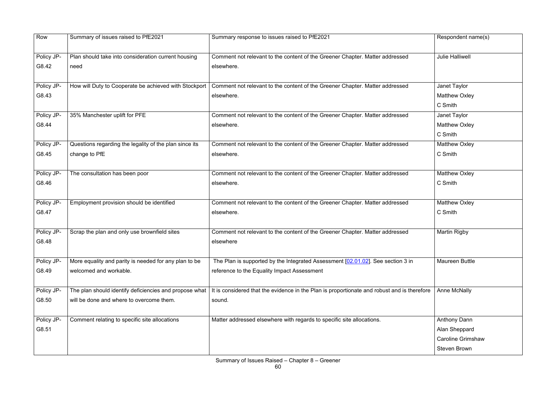| Row        | Summary of issues raised to PfE2021                    | Summary response to issues raised to PfE2021                                                | Respondent name(s)       |
|------------|--------------------------------------------------------|---------------------------------------------------------------------------------------------|--------------------------|
|            |                                                        |                                                                                             |                          |
| Policy JP- | Plan should take into consideration current housing    | Comment not relevant to the content of the Greener Chapter. Matter addressed                | <b>Julie Halliwell</b>   |
| G8.42      | need                                                   | elsewhere.                                                                                  |                          |
|            |                                                        |                                                                                             |                          |
| Policy JP- | How will Duty to Cooperate be achieved with Stockport  | Comment not relevant to the content of the Greener Chapter. Matter addressed                | Janet Taylor             |
| G8.43      |                                                        | elsewhere.                                                                                  | <b>Matthew Oxley</b>     |
|            |                                                        |                                                                                             | C Smith                  |
| Policy JP- | 35% Manchester uplift for PFE                          | Comment not relevant to the content of the Greener Chapter. Matter addressed                | Janet Taylor             |
| G8.44      |                                                        | elsewhere.                                                                                  | <b>Matthew Oxley</b>     |
|            |                                                        |                                                                                             | C Smith                  |
| Policy JP- | Questions regarding the legality of the plan since its | Comment not relevant to the content of the Greener Chapter. Matter addressed                | <b>Matthew Oxley</b>     |
| G8.45      | change to PfE                                          | elsewhere.                                                                                  | C Smith                  |
|            |                                                        |                                                                                             |                          |
| Policy JP- | The consultation has been poor                         | Comment not relevant to the content of the Greener Chapter. Matter addressed                | <b>Matthew Oxley</b>     |
| G8.46      |                                                        | elsewhere.                                                                                  | C Smith                  |
|            |                                                        |                                                                                             |                          |
| Policy JP- | Employment provision should be identified              | Comment not relevant to the content of the Greener Chapter. Matter addressed                | <b>Matthew Oxley</b>     |
| G8.47      |                                                        | elsewhere.                                                                                  | C Smith                  |
|            |                                                        |                                                                                             |                          |
| Policy JP- | Scrap the plan and only use brownfield sites           | Comment not relevant to the content of the Greener Chapter. Matter addressed                | <b>Martin Rigby</b>      |
| G8.48      |                                                        | elsewhere                                                                                   |                          |
|            |                                                        |                                                                                             |                          |
| Policy JP- | More equality and parity is needed for any plan to be  | The Plan is supported by the Integrated Assessment [02.01.02]. See section 3 in             | <b>Maureen Buttle</b>    |
| G8.49      | welcomed and workable.                                 | reference to the Equality Impact Assessment                                                 |                          |
|            |                                                        |                                                                                             |                          |
| Policy JP- | The plan should identify deficiencies and propose what | It is considered that the evidence in the Plan is proportionate and robust and is therefore | <b>Anne McNally</b>      |
| G8.50      | will be done and where to overcome them.               | sound.                                                                                      |                          |
|            |                                                        |                                                                                             |                          |
| Policy JP- | Comment relating to specific site allocations          | Matter addressed elsewhere with regards to specific site allocations.                       | <b>Anthony Dann</b>      |
| G8.51      |                                                        |                                                                                             | Alan Sheppard            |
|            |                                                        |                                                                                             | <b>Caroline Grimshaw</b> |
|            |                                                        |                                                                                             | <b>Steven Brown</b>      |

|       | Respondent name(s)       |
|-------|--------------------------|
|       | <b>Julie Halliwell</b>   |
|       |                          |
|       | Janet Taylor             |
|       | <b>Matthew Oxley</b>     |
|       | C Smith                  |
|       | Janet Taylor             |
|       | <b>Matthew Oxley</b>     |
|       | C Smith                  |
|       | <b>Matthew Oxley</b>     |
|       | C Smith                  |
|       |                          |
|       | <b>Matthew Oxley</b>     |
|       | C Smith                  |
|       |                          |
|       | <b>Matthew Oxley</b>     |
|       | C Smith                  |
|       |                          |
|       | <b>Martin Rigby</b>      |
|       |                          |
|       |                          |
|       | <b>Maureen Buttle</b>    |
|       |                          |
|       |                          |
| efore | <b>Anne McNally</b>      |
|       |                          |
|       |                          |
|       | <b>Anthony Dann</b>      |
|       | Alan Sheppard            |
|       | <b>Caroline Grimshaw</b> |
|       | <b>Steven Brown</b>      |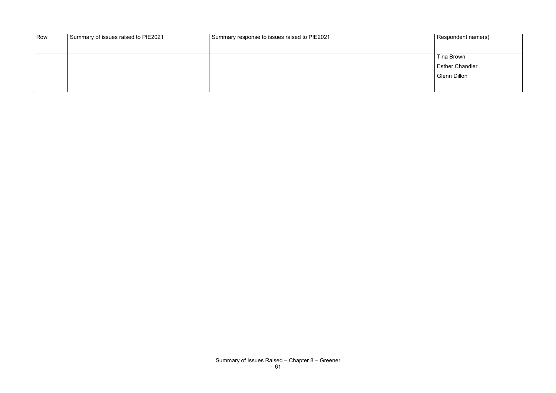| Row | Summary of issues raised to PfE2021 | $^{\prime}$ Summary response to issues raised to PfE2021 | Respondent name(s)     |
|-----|-------------------------------------|----------------------------------------------------------|------------------------|
|     |                                     |                                                          |                        |
|     |                                     |                                                          | Tina Brown             |
|     |                                     |                                                          | <b>Esther Chandler</b> |
|     |                                     |                                                          | Glenn Dillon           |
|     |                                     |                                                          |                        |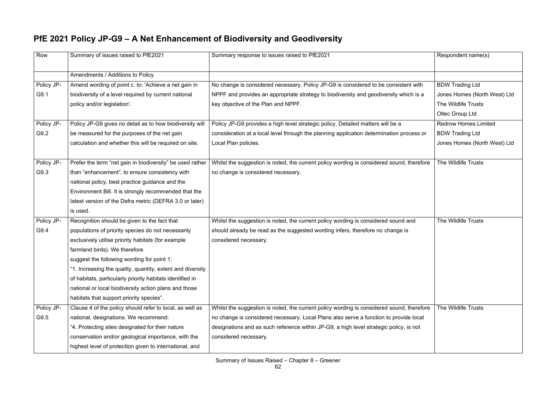## **PfE 2021 Policy JP-G9 – A Net Enhancement of Biodiversity and Geodiversity**

| Row        | Summary of issues raised to PfE2021                        | Summary response to issues raised to PfE2021                                              | Respondent name(s)           |
|------------|------------------------------------------------------------|-------------------------------------------------------------------------------------------|------------------------------|
|            | Amendments / Additions to Policy                           |                                                                                           |                              |
| Policy JP- | Amend wording of point c. to: 'Achieve a net gain in       | No change is considered necessary. Policy JP-G9 is considered to be consistent with       | <b>BDW Trading Ltd</b>       |
| G9.1       | biodiversity of a level required by current national       | NPPF and provides an appropriate strategy to biodiversity and geodiversity which is a     | Jones Homes (North West) Ltd |
|            | policy and/or legislation'.                                | key objective of the Plan and NPPF.                                                       | The Wildlife Trusts          |
|            |                                                            |                                                                                           | Oltec Group Ltd              |
| Policy JP- | Policy JP-G9 gives no detail as to how biodiversity will   | Policy JP-G9 provides a high level strategic policy. Detailed matters will be a           | <b>Redrow Homes Limited</b>  |
| G9.2       | be measured for the purposes of the net gain               | consideration at a local level through the planning application determination process or  | <b>BDW Trading Ltd</b>       |
|            | calculation and whether this will be required on site.     | Local Plan policies.                                                                      | Jones Homes (North West) Ltd |
|            |                                                            |                                                                                           |                              |
| Policy JP- | Prefer the term "net gain in biodiversity" be used rather  | Whilst the suggestion is noted, the current policy wording is considered sound, therefore | The Wildlife Trusts          |
| G9.3       | than "enhancement", to ensure consistency with             | no change is considered necessary.                                                        |                              |
|            | national policy, best practice guidance and the            |                                                                                           |                              |
|            | Environment Bill. It is strongly recommended that the      |                                                                                           |                              |
|            | latest version of the Defra metric (DEFRA 3.0 or later)    |                                                                                           |                              |
|            | is used.                                                   |                                                                                           |                              |
| Policy JP- | Recognition should be given to the fact that               | Whilst the suggestion is noted, the current policy wording is considered sound and        | The Wildlife Trusts          |
| G9.4       | populations of priority species do not necessarily         | should already be read as the suggested wording infers, therefore no change is            |                              |
|            | exclusively utilise priority habitats (for example         | considered necessary.                                                                     |                              |
|            | farmland birds). We therefore                              |                                                                                           |                              |
|            | suggest the following wording for point 1:                 |                                                                                           |                              |
|            | "1. Increasing the quality, quantity, extent and diversity |                                                                                           |                              |
|            | of habitats, particularly priority habitats identified in  |                                                                                           |                              |
|            | national or local biodiversity action plans and those      |                                                                                           |                              |
|            | habitats that support priority species".                   |                                                                                           |                              |
| Policy JP- | Clause 4 of the policy should refer to local, as well as   | Whilst the suggestion is noted, the current policy wording is considered sound, therefore | The Wildlife Trusts          |
| G9.5       | national, designations. We recommend:                      | no change is considered necessary. Local Plans also serve a function to provide local     |                              |
|            | "4. Protecting sites designated for their nature           | designations and as such reference within JP-G9, a high level strategic policy, is not    |                              |
|            | conservation and/or geological importance, with the        | considered necessary.                                                                     |                              |
|            | highest level of protection given to international, and    |                                                                                           |                              |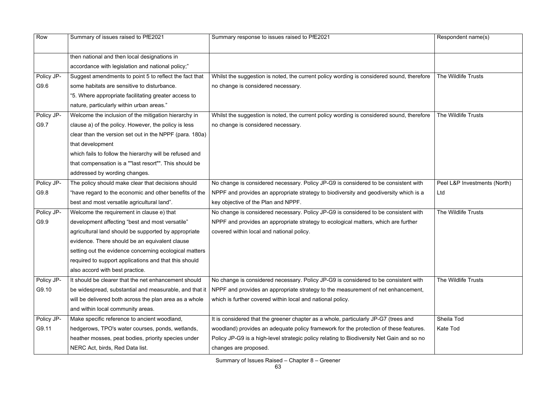| Row        | Summary of issues raised to PfE2021                     | Summary response to issues raised to PfE2021                                              | Respondent name(s)           |
|------------|---------------------------------------------------------|-------------------------------------------------------------------------------------------|------------------------------|
|            | then national and then local designations in            |                                                                                           |                              |
|            | accordance with legislation and national policy;"       |                                                                                           |                              |
| Policy JP- | Suggest amendments to point 5 to reflect the fact that  | Whilst the suggestion is noted, the current policy wording is considered sound, therefore | The Wildlife Trusts          |
| G9.6       | some habitats are sensitive to disturbance.             | no change is considered necessary.                                                        |                              |
|            | "5. Where appropriate facilitating greater access to    |                                                                                           |                              |
|            | nature, particularly within urban areas."               |                                                                                           |                              |
| Policy JP- | Welcome the inclusion of the mitigation hierarchy in    | Whilst the suggestion is noted, the current policy wording is considered sound, therefore | The Wildlife Trusts          |
| G9.7       | clause a) of the policy. However, the policy is less    | no change is considered necessary.                                                        |                              |
|            | clear than the version set out in the NPPF (para. 180a) |                                                                                           |                              |
|            | that development                                        |                                                                                           |                              |
|            | which fails to follow the hierarchy will be refused and |                                                                                           |                              |
|            | that compensation is a ""last resort"". This should be  |                                                                                           |                              |
|            | addressed by wording changes.                           |                                                                                           |                              |
| Policy JP- | The policy should make clear that decisions should      | No change is considered necessary. Policy JP-G9 is considered to be consistent with       | Peel L&P Investments (North) |
| G9.8       | "have regard to the economic and other benefits of the  | NPPF and provides an appropriate strategy to biodiversity and geodiversity which is a     | Ltd                          |
|            | best and most versatile agricultural land".             | key objective of the Plan and NPPF.                                                       |                              |
| Policy JP- | Welcome the requirement in clause e) that               | No change is considered necessary. Policy JP-G9 is considered to be consistent with       | The Wildlife Trusts          |
| G9.9       | development affecting "best and most versatile"         | NPPF and provides an appropriate strategy to ecological matters, which are further        |                              |
|            | agricultural land should be supported by appropriate    | covered within local and national policy.                                                 |                              |
|            | evidence. There should be an equivalent clause          |                                                                                           |                              |
|            | setting out the evidence concerning ecological matters  |                                                                                           |                              |
|            | required to support applications and that this should   |                                                                                           |                              |
|            | also accord with best practice.                         |                                                                                           |                              |
| Policy JP- | It should be clearer that the net enhancement should    | No change is considered necessary. Policy JP-G9 is considered to be consistent with       | The Wildlife Trusts          |
| G9.10      | be widespread, substantial and measurable, and that it  | NPPF and provides an appropriate strategy to the measurement of net enhancement,          |                              |
|            | will be delivered both across the plan area as a whole  | which is further covered within local and national policy.                                |                              |
|            | and within local community areas.                       |                                                                                           |                              |
| Policy JP- | Make specific reference to ancient woodland,            | It is considered that the greener chapter as a whole, particularly JP-G7 (trees and       | Sheila Tod                   |
| G9.11      | hedgerows, TPO's water courses, ponds, wetlands,        | woodland) provides an adequate policy framework for the protection of these features.     | Kate Tod                     |
|            | heather mosses, peat bodies, priority species under     | Policy JP-G9 is a high-level strategic policy relating to Biodiversity Net Gain and so no |                              |
|            | NERC Act, birds, Red Data list.                         | changes are proposed.                                                                     |                              |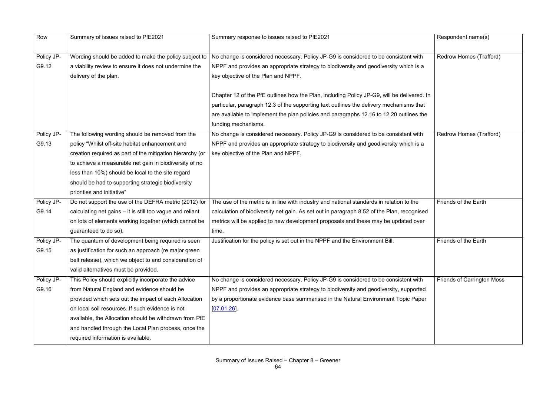| Row                 | Summary of issues raised to PfE2021                                                                                                                                                                                                                                                                                                                                      | Summary response to issues raised to PfE2021                                                                                                                                                                                                                                                            | Respondent name(s)                |
|---------------------|--------------------------------------------------------------------------------------------------------------------------------------------------------------------------------------------------------------------------------------------------------------------------------------------------------------------------------------------------------------------------|---------------------------------------------------------------------------------------------------------------------------------------------------------------------------------------------------------------------------------------------------------------------------------------------------------|-----------------------------------|
| Policy JP-<br>G9.12 | Wording should be added to make the policy subject to<br>a viability review to ensure it does not undermine the<br>delivery of the plan.                                                                                                                                                                                                                                 | No change is considered necessary. Policy JP-G9 is considered to be consistent with<br>NPPF and provides an appropriate strategy to biodiversity and geodiversity which is a<br>key objective of the Plan and NPPF.                                                                                     | Redrow Homes (Trafford)           |
|                     |                                                                                                                                                                                                                                                                                                                                                                          | Chapter 12 of the PfE outlines how the Plan, including Policy JP-G9, will be delivered. In<br>particular, paragraph 12.3 of the supporting text outlines the delivery mechanisms that<br>are available to implement the plan policies and paragraphs 12.16 to 12.20 outlines the<br>funding mechanisms. |                                   |
| Policy JP-<br>G9.13 | The following wording should be removed from the<br>policy "Whilst off-site habitat enhancement and<br>creation required as part of the mitigation hierarchy (or<br>to achieve a measurable net gain in biodiversity of no<br>less than 10%) should be local to the site regard<br>should be had to supporting strategic biodiversity<br>priorities and initiative"      | No change is considered necessary. Policy JP-G9 is considered to be consistent with<br>NPPF and provides an appropriate strategy to biodiversity and geodiversity which is a<br>key objective of the Plan and NPPF.                                                                                     | Redrow Homes (Trafford)           |
| Policy JP-<br>G9.14 | Do not support the use of the DEFRA metric (2012) for<br>calculating net gains – it is still too vague and reliant<br>on lots of elements working together (which cannot be<br>guaranteed to do so).                                                                                                                                                                     | The use of the metric is in line with industry and national standards in relation to the<br>calculation of biodiversity net gain. As set out in paragraph 8.52 of the Plan, recognised<br>metrics will be applied to new development proposals and these may be updated over<br>time.                   | Friends of the Earth              |
| Policy JP-<br>G9.15 | The quantum of development being required is seen<br>as justification for such an approach (re major green<br>belt release), which we object to and consideration of<br>valid alternatives must be provided.                                                                                                                                                             | Justification for the policy is set out in the NPPF and the Environment Bill.                                                                                                                                                                                                                           | Friends of the Earth              |
| Policy JP-<br>G9.16 | This Policy should explicitly incorporate the advice<br>from Natural England and evidence should be<br>provided which sets out the impact of each Allocation<br>on local soil resources. If such evidence is not<br>available, the Allocation should be withdrawn from PfE<br>and handled through the Local Plan process, once the<br>required information is available. | No change is considered necessary. Policy JP-G9 is considered to be consistent with<br>NPPF and provides an appropriate strategy to biodiversity and geodiversity, supported<br>by a proportionate evidence base summarised in the Natural Environment Topic Paper<br>[07.01.26]                        | <b>Friends of Carrington Moss</b> |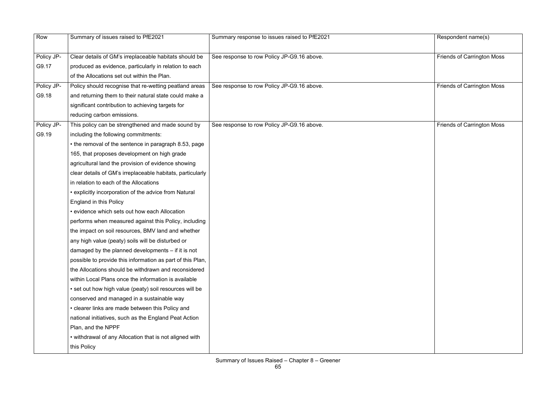| Respondent name(s)                |
|-----------------------------------|
| Friends of Carrington Moss        |
|                                   |
| <b>Friends of Carrington Moss</b> |
| <b>Friends of Carrington Moss</b> |
|                                   |
|                                   |
|                                   |
|                                   |
|                                   |
|                                   |
|                                   |
|                                   |
|                                   |
|                                   |
|                                   |
|                                   |
|                                   |
|                                   |

| Row        | Summary of issues raised to PfE2021                        | Summary response to issues raised to PfE2021 | Respondent name(s)                |
|------------|------------------------------------------------------------|----------------------------------------------|-----------------------------------|
|            |                                                            |                                              |                                   |
| Policy JP- | Clear details of GM's irreplaceable habitats should be     | See response to row Policy JP-G9.16 above.   | <b>Friends of Carrington Moss</b> |
| G9.17      | produced as evidence, particularly in relation to each     |                                              |                                   |
|            | of the Allocations set out within the Plan.                |                                              |                                   |
| Policy JP- | Policy should recognise that re-wetting peatland areas     | See response to row Policy JP-G9.16 above.   | <b>Friends of Carrington Moss</b> |
| G9.18      | and returning them to their natural state could make a     |                                              |                                   |
|            | significant contribution to achieving targets for          |                                              |                                   |
|            | reducing carbon emissions.                                 |                                              |                                   |
| Policy JP- | This policy can be strengthened and made sound by          | See response to row Policy JP-G9.16 above.   | <b>Friends of Carrington Moss</b> |
| G9.19      | including the following commitments:                       |                                              |                                   |
|            | • the removal of the sentence in paragraph 8.53, page      |                                              |                                   |
|            | 165, that proposes development on high grade               |                                              |                                   |
|            | agricultural land the provision of evidence showing        |                                              |                                   |
|            | clear details of GM's irreplaceable habitats, particularly |                                              |                                   |
|            | in relation to each of the Allocations                     |                                              |                                   |
|            | • explicitly incorporation of the advice from Natural      |                                              |                                   |
|            | <b>England in this Policy</b>                              |                                              |                                   |
|            | • evidence which sets out how each Allocation              |                                              |                                   |
|            | performs when measured against this Policy, including      |                                              |                                   |
|            | the impact on soil resources, BMV land and whether         |                                              |                                   |
|            | any high value (peaty) soils will be disturbed or          |                                              |                                   |
|            | damaged by the planned developments - if it is not         |                                              |                                   |
|            | possible to provide this information as part of this Plan, |                                              |                                   |
|            | the Allocations should be withdrawn and reconsidered       |                                              |                                   |
|            | within Local Plans once the information is available       |                                              |                                   |
|            | • set out how high value (peaty) soil resources will be    |                                              |                                   |
|            | conserved and managed in a sustainable way                 |                                              |                                   |
|            | • clearer links are made between this Policy and           |                                              |                                   |
|            | national initiatives, such as the England Peat Action      |                                              |                                   |
|            | Plan, and the NPPF                                         |                                              |                                   |
|            | • withdrawal of any Allocation that is not aligned with    |                                              |                                   |
|            | this Policy                                                |                                              |                                   |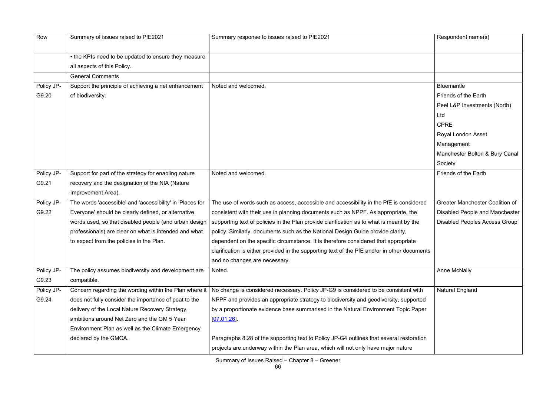| Row        | Summary of issues raised to PfE2021                       | Summary response to issues raised to PfE2021                                                 | Respondent name(s)                     |
|------------|-----------------------------------------------------------|----------------------------------------------------------------------------------------------|----------------------------------------|
|            | • the KPIs need to be updated to ensure they measure      |                                                                                              |                                        |
|            | all aspects of this Policy.                               |                                                                                              |                                        |
|            | <b>General Comments</b>                                   |                                                                                              |                                        |
| Policy JP- | Support the principle of achieving a net enhancement      | Noted and welcomed.                                                                          | <b>Bluemantle</b>                      |
| G9.20      | of biodiversity.                                          |                                                                                              | Friends of the Earth                   |
|            |                                                           |                                                                                              | Peel L&P Investments (North)           |
|            |                                                           |                                                                                              | Ltd                                    |
|            |                                                           |                                                                                              | <b>CPRE</b>                            |
|            |                                                           |                                                                                              | Royal London Asset                     |
|            |                                                           |                                                                                              | Management                             |
|            |                                                           |                                                                                              | Manchester Bolton & Bury Canal         |
|            |                                                           |                                                                                              | Society                                |
| Policy JP- | Support for part of the strategy for enabling nature      | Noted and welcomed.                                                                          | Friends of the Earth                   |
| G9.21      | recovery and the designation of the NIA (Nature           |                                                                                              |                                        |
|            | Improvement Area).                                        |                                                                                              |                                        |
| Policy JP- | The words 'accessible' and 'accessibility' in 'Places for | The use of words such as access, accessible and accessibility in the PfE is considered       | <b>Greater Manchester Coalition of</b> |
| G9.22      | Everyone' should be clearly defined, or alternative       | consistent with their use in planning documents such as NPPF. As appropriate, the            | <b>Disabled People and Manchester</b>  |
|            | words used, so that disabled people (and urban design     | supporting text of policies in the Plan provide clarification as to what is meant by the     | <b>Disabled Peoples Access Group</b>   |
|            | professionals) are clear on what is intended and what     | policy. Similarly, documents such as the National Design Guide provide clarity,              |                                        |
|            | to expect from the policies in the Plan.                  | dependent on the specific circumstance. It is therefore considered that appropriate          |                                        |
|            |                                                           | clarification is either provided in the supporting text of the PfE and/or in other documents |                                        |
|            |                                                           | and no changes are necessary.                                                                |                                        |
| Policy JP- | The policy assumes biodiversity and development are       | Noted.                                                                                       | <b>Anne McNally</b>                    |
| G9.23      | compatible.                                               |                                                                                              |                                        |
| Policy JP- | Concern regarding the wording within the Plan where it    | No change is considered necessary. Policy JP-G9 is considered to be consistent with          | <b>Natural England</b>                 |
| G9.24      | does not fully consider the importance of peat to the     | NPPF and provides an appropriate strategy to biodiversity and geodiversity, supported        |                                        |
|            | delivery of the Local Nature Recovery Strategy,           | by a proportionate evidence base summarised in the Natural Environment Topic Paper           |                                        |
|            | ambitions around Net Zero and the GM 5 Year               | [07.01.26]                                                                                   |                                        |
|            | Environment Plan as well as the Climate Emergency         |                                                                                              |                                        |
|            | declared by the GMCA.                                     | Paragraphs 8.28 of the supporting text to Policy JP-G4 outlines that several restoration     |                                        |
|            |                                                           | projects are underway within the Plan area, which will not only have major nature            |                                        |
|            |                                                           |                                                                                              |                                        |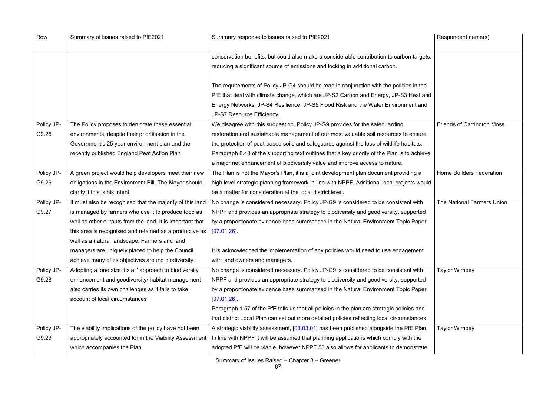| Row        | Summary of issues raised to PfE2021                       | Summary response to issues raised to PfE2021                                                 | Respondent name(s)                |
|------------|-----------------------------------------------------------|----------------------------------------------------------------------------------------------|-----------------------------------|
|            |                                                           | conservation benefits, but could also make a considerable contribution to carbon targets,    |                                   |
|            |                                                           | reducing a significant source of emissions and locking in additional carbon.                 |                                   |
|            |                                                           | The requirements of Policy JP-G4 should be read in conjunction with the policies in the      |                                   |
|            |                                                           | PfE that deal with climate change, which are JP-S2 Carbon and Energy, JP-S3 Heat and         |                                   |
|            |                                                           | Energy Networks, JP-S4 Resilience, JP-S5 Flood Risk and the Water Environment and            |                                   |
|            |                                                           | JP-S7 Resource Efficiency.                                                                   |                                   |
| Policy JP- | The Policy proposes to denigrate these essential          | We disagree with this suggestion. Policy JP-G9 provides for the safeguarding,                | <b>Friends of Carrington Moss</b> |
| G9.25      | environments, despite their prioritisation in the         | restoration and sustainable management of our most valuable soil resources to ensure         |                                   |
|            | Government's 25 year environment plan and the             | the protection of peat-based soils and safeguards against the loss of wildlife habitats.     |                                   |
|            | recently published England Peat Action Plan               | Paragraph 8.48 of the supporting text outlines that a key priority of the Plan is to achieve |                                   |
|            |                                                           | a major net enhancement of biodiversity value and improve access to nature.                  |                                   |
| Policy JP- | A green project would help developers meet their new      | The Plan is not the Mayor's Plan, it is a joint development plan document providing a        | <b>Home Builders Federation</b>   |
| G9.26      | obligations in the Environment Bill. The Mayor should     | high level strategic planning framework in line with NPPF. Additional local projects would   |                                   |
|            | clarify if this is his intent.                            | be a matter for consideration at the local district level.                                   |                                   |
| Policy JP- | It must also be recognised that the majority of this land | No change is considered necessary. Policy JP-G9 is considered to be consistent with          | The National Farmers Union        |
| G9.27      | is managed by farmers who use it to produce food as       | NPPF and provides an appropriate strategy to biodiversity and geodiversity, supported        |                                   |
|            | well as other outputs from the land. It is important that | by a proportionate evidence base summarised in the Natural Environment Topic Paper           |                                   |
|            | this area is recognised and retained as a productive as   | [07.01.26]                                                                                   |                                   |
|            | well as a natural landscape. Farmers and land             |                                                                                              |                                   |
|            | managers are uniquely placed to help the Council          | It is acknowledged the implementation of any policies would need to use engagement           |                                   |
|            | achieve many of its objectives around biodiversity.       | with land owners and managers.                                                               |                                   |
| Policy JP- | Adopting a 'one size fits all' approach to biodiversity   | No change is considered necessary. Policy JP-G9 is considered to be consistent with          | <b>Taylor Wimpey</b>              |
| G9.28      | enhancement and geodiversity/ habitat management          | NPPF and provides an appropriate strategy to biodiversity and geodiversity, supported        |                                   |
|            | also carries its own challenges as it fails to take       | by a proportionate evidence base summarised in the Natural Environment Topic Paper           |                                   |
|            | account of local circumstances                            | [07.01.26]                                                                                   |                                   |
|            |                                                           | Paragraph 1.57 of the PfE tells us that all policies in the plan are strategic policies and  |                                   |
|            |                                                           | that district Local Plan can set out more detailed policies reflecting local circumstances.  |                                   |
| Policy JP- | The viability implications of the policy have not been    | A strategic viability assessment, [03.03.01] has been published alongside the PfE Plan.      | <b>Taylor Wimpey</b>              |
| G9.29      | appropriately accounted for in the Viability Assessment   | In line with NPPF it will be assumed that planning applications which comply with the        |                                   |
|            | which accompanies the Plan.                               | adopted PfE will be viable, however NPPF 58 also allows for applicants to demonstrate        |                                   |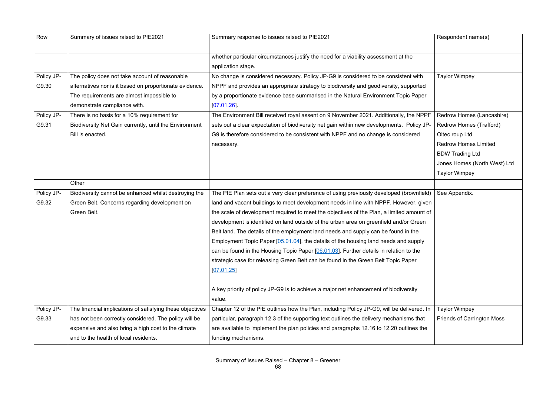| Row        | Summary of issues raised to PfE2021                       | Summary response to issues raised to PfE2021                                               | Respondent name(s)                |
|------------|-----------------------------------------------------------|--------------------------------------------------------------------------------------------|-----------------------------------|
|            |                                                           | whether particular circumstances justify the need for a viability assessment at the        |                                   |
|            |                                                           | application stage.                                                                         |                                   |
| Policy JP- | The policy does not take account of reasonable            | No change is considered necessary. Policy JP-G9 is considered to be consistent with        | <b>Taylor Wimpey</b>              |
| G9.30      | alternatives nor is it based on proportionate evidence.   | NPPF and provides an appropriate strategy to biodiversity and geodiversity, supported      |                                   |
|            | The requirements are almost impossible to                 | by a proportionate evidence base summarised in the Natural Environment Topic Paper         |                                   |
|            | demonstrate compliance with.                              | [07.01.26]                                                                                 |                                   |
| Policy JP- | There is no basis for a 10% requirement for               | The Environment Bill received royal assent on 9 November 2021. Additionally, the NPPF      | Redrow Homes (Lancashire)         |
| G9.31      | Biodiversity Net Gain currently, until the Environment    | sets out a clear expectation of biodiversity net gain within new developments. Policy JP-  | Redrow Homes (Trafford)           |
|            | Bill is enacted.                                          | G9 is therefore considered to be consistent with NPPF and no change is considered          | Oltec roup Ltd                    |
|            |                                                           | necessary.                                                                                 | <b>Redrow Homes Limited</b>       |
|            |                                                           |                                                                                            | <b>BDW Trading Ltd</b>            |
|            |                                                           |                                                                                            | Jones Homes (North West) Ltd      |
|            |                                                           |                                                                                            | <b>Taylor Wimpey</b>              |
|            | Other                                                     |                                                                                            |                                   |
| Policy JP- | Biodiversity cannot be enhanced whilst destroying the     | The PfE Plan sets out a very clear preference of using previously developed (brownfield)   | See Appendix.                     |
| G9.32      | Green Belt. Concerns regarding development on             | land and vacant buildings to meet development needs in line with NPPF. However, given      |                                   |
|            | Green Belt.                                               | the scale of development required to meet the objectives of the Plan, a limited amount of  |                                   |
|            |                                                           | development is identified on land outside of the urban area on greenfield and/or Green     |                                   |
|            |                                                           | Belt land. The details of the employment land needs and supply can be found in the         |                                   |
|            |                                                           | Employment Topic Paper [05.01.04], the details of the housing land needs and supply        |                                   |
|            |                                                           | can be found in the Housing Topic Paper [06.01.03]. Further details in relation to the     |                                   |
|            |                                                           | strategic case for releasing Green Belt can be found in the Green Belt Topic Paper         |                                   |
|            |                                                           | [07.01.25]                                                                                 |                                   |
|            |                                                           |                                                                                            |                                   |
|            |                                                           | A key priority of policy JP-G9 is to achieve a major net enhancement of biodiversity       |                                   |
|            |                                                           | value.                                                                                     |                                   |
| Policy JP- | The financial implications of satisfying these objectives | Chapter 12 of the PfE outlines how the Plan, including Policy JP-G9, will be delivered. In | <b>Taylor Wimpey</b>              |
| G9.33      | has not been correctly considered. The policy will be     | particular, paragraph 12.3 of the supporting text outlines the delivery mechanisms that    | <b>Friends of Carrington Moss</b> |
|            | expensive and also bring a high cost to the climate       | are available to implement the plan policies and paragraphs 12.16 to 12.20 outlines the    |                                   |
|            | and to the health of local residents.                     | funding mechanisms.                                                                        |                                   |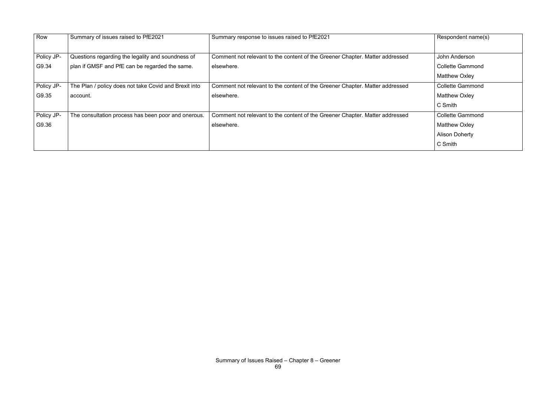| Row        | Summary of issues raised to PfE2021                   | Summary response to issues raised to PfE2021                                 | Respondent name(s)      |
|------------|-------------------------------------------------------|------------------------------------------------------------------------------|-------------------------|
|            |                                                       |                                                                              |                         |
| Policy JP- | Questions regarding the legality and soundness of     | Comment not relevant to the content of the Greener Chapter. Matter addressed | John Anderson           |
| G9.34      | plan if GMSF and PfE can be regarded the same.        | elsewhere.                                                                   | <b>Collette Gammond</b> |
|            |                                                       |                                                                              | <b>Matthew Oxley</b>    |
| Policy JP- | The Plan / policy does not take Covid and Brexit into | Comment not relevant to the content of the Greener Chapter. Matter addressed | <b>Collette Gammond</b> |
| G9.35      | account.                                              | elsewhere.                                                                   | <b>Matthew Oxley</b>    |
|            |                                                       |                                                                              | C Smith                 |
| Policy JP- | The consultation process has been poor and onerous.   | Comment not relevant to the content of the Greener Chapter. Matter addressed | <b>Collette Gammond</b> |
| G9.36      |                                                       | elsewhere.                                                                   | <b>Matthew Oxley</b>    |
|            |                                                       |                                                                              | <b>Alison Doherty</b>   |
|            |                                                       |                                                                              | C Smith                 |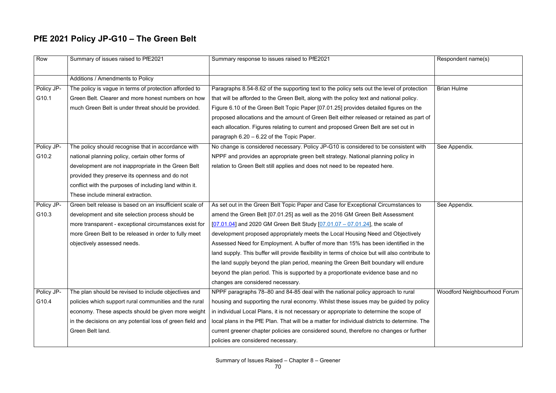# **PfE 2021 Policy JP-G10 – The Green Belt**

| Row        | Summary of issues raised to PfE2021                       | Summary response to issues raised to PfE2021                                                     | Respondent name(s)           |
|------------|-----------------------------------------------------------|--------------------------------------------------------------------------------------------------|------------------------------|
|            | Additions / Amendments to Policy                          |                                                                                                  |                              |
| Policy JP- | The policy is vague in terms of protection afforded to    | Paragraphs 8.54-8.62 of the supporting text to the policy sets out the level of protection       | <b>Brian Hulme</b>           |
| G10.1      | Green Belt. Clearer and more honest numbers on how        | that will be afforded to the Green Belt, along with the policy text and national policy.         |                              |
|            | much Green Belt is under threat should be provided.       | Figure 6.10 of the Green Belt Topic Paper [07.01.25] provides detailed figures on the            |                              |
|            |                                                           | proposed allocations and the amount of Green Belt either released or retained as part of         |                              |
|            |                                                           | each allocation. Figures relating to current and proposed Green Belt are set out in              |                              |
|            |                                                           | paragraph $6.20 - 6.22$ of the Topic Paper.                                                      |                              |
| Policy JP- | The policy should recognise that in accordance with       | No change is considered necessary. Policy JP-G10 is considered to be consistent with             | See Appendix.                |
| G10.2      | national planning policy, certain other forms of          | NPPF and provides an appropriate green belt strategy. National planning policy in                |                              |
|            | development are not inappropriate in the Green Belt       | relation to Green Belt still applies and does not need to be repeated here.                      |                              |
|            | provided they preserve its openness and do not            |                                                                                                  |                              |
|            | conflict with the purposes of including land within it.   |                                                                                                  |                              |
|            | These include mineral extraction.                         |                                                                                                  |                              |
| Policy JP- | Green belt release is based on an insufficient scale of   | As set out in the Green Belt Topic Paper and Case for Exceptional Circumstances to               | See Appendix.                |
| G10.3      | development and site selection process should be          | amend the Green Belt [07.01.25] as well as the 2016 GM Green Belt Assessment                     |                              |
|            | more transparent - exceptional circumstances exist for    | $[07.01.04]$ and 2020 GM Green Belt Study $[07.01.07 - 07.01.24]$ , the scale of                 |                              |
|            | more Green Belt to be released in order to fully meet     | development proposed appropriately meets the Local Housing Need and Objectively                  |                              |
|            | objectively assessed needs.                               | Assessed Need for Employment. A buffer of more than 15% has been identified in the               |                              |
|            |                                                           | land supply. This buffer will provide flexibility in terms of choice but will also contribute to |                              |
|            |                                                           | the land supply beyond the plan period, meaning the Green Belt boundary will endure              |                              |
|            |                                                           | beyond the plan period. This is supported by a proportionate evidence base and no                |                              |
|            |                                                           | changes are considered necessary.                                                                |                              |
| Policy JP- | The plan should be revised to include objectives and      | NPPF paragraphs 78–80 and 84-85 deal with the national policy approach to rural                  | Woodford Neighbourhood Forum |
| G10.4      | policies which support rural communities and the rural    | housing and supporting the rural economy. Whilst these issues may be guided by policy            |                              |
|            | economy. These aspects should be given more weight        | in individual Local Plans, it is not necessary or appropriate to determine the scope of          |                              |
|            | in the decisions on any potential loss of green field and | local plans in the PfE Plan. That will be a matter for individual districts to determine. The    |                              |
|            | Green Belt land.                                          | current greener chapter policies are considered sound, therefore no changes or further           |                              |
|            |                                                           | policies are considered necessary.                                                               |                              |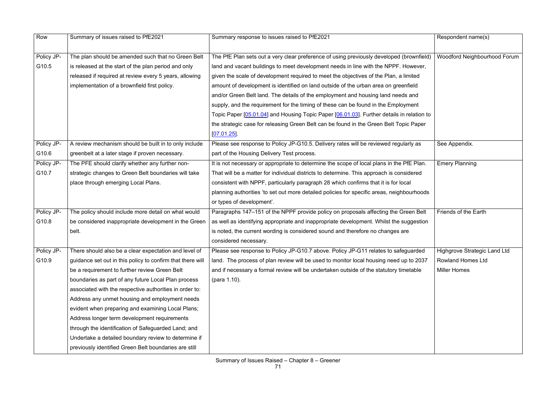| Row        | Summary of issues raised to PfE2021                        | Summary response to issues raised to PfE2021                                               | Respondent name(s)           |
|------------|------------------------------------------------------------|--------------------------------------------------------------------------------------------|------------------------------|
|            |                                                            |                                                                                            |                              |
| Policy JP- | The plan should be amended such that no Green Belt         | The PfE Plan sets out a very clear preference of using previously developed (brownfield)   | Woodford Neighbourhood Forum |
| G10.5      | is released at the start of the plan period and only       | land and vacant buildings to meet development needs in line with the NPPF. However,        |                              |
|            | released if required at review every 5 years, allowing     | given the scale of development required to meet the objectives of the Plan, a limited      |                              |
|            | implementation of a brownfield first policy.               | amount of development is identified on land outside of the urban area on greenfield        |                              |
|            |                                                            | and/or Green Belt land. The details of the employment and housing land needs and           |                              |
|            |                                                            | supply, and the requirement for the timing of these can be found in the Employment         |                              |
|            |                                                            | Topic Paper [05.01.04] and Housing Topic Paper [06.01.03]. Further details in relation to  |                              |
|            |                                                            | the strategic case for releasing Green Belt can be found in the Green Belt Topic Paper     |                              |
|            |                                                            | [07.01.25]                                                                                 |                              |
| Policy JP- | A review mechanism should be built in to only include      | Please see response to Policy JP-G10.5. Delivery rates will be reviewed regularly as       | See Appendix.                |
| G10.6      | greenbelt at a later stage if proven necessary.            | part of the Housing Delivery Test process.                                                 |                              |
| Policy JP- | The PFE should clarify whether any further non-            | It is not necessary or appropriate to determine the scope of local plans in the PfE Plan.  | <b>Emery Planning</b>        |
| G10.7      | strategic changes to Green Belt boundaries will take       | That will be a matter for individual districts to determine. This approach is considered   |                              |
|            | place through emerging Local Plans.                        | consistent with NPPF, particularly paragraph 28 which confirms that it is for local        |                              |
|            |                                                            | planning authorities 'to set out more detailed policies for specific areas, neighbourhoods |                              |
|            |                                                            | or types of development'.                                                                  |                              |
| Policy JP- | The policy should include more detail on what would        | Paragraphs 147-151 of the NPPF provide policy on proposals affecting the Green Belt        | Friends of the Earth         |
| G10.8      | be considered inappropriate development in the Green       | as well as identifying appropriate and inappropriate development. Whilst the suggestion    |                              |
|            | belt.                                                      | is noted, the current wording is considered sound and therefore no changes are             |                              |
|            |                                                            | considered necessary.                                                                      |                              |
| Policy JP- | There should also be a clear expectation and level of      | Please see response to Policy JP-G10.7 above. Policy JP-G11 relates to safeguarded         | Highgrove Strategic Land Ltd |
| G10.9      | guidance set out in this policy to confirm that there will | land. The process of plan review will be used to monitor local housing need up to 2037     | <b>Rowland Homes Ltd</b>     |
|            | be a requirement to further review Green Belt              | and if necessary a formal review will be undertaken outside of the statutory timetable     | <b>Miller Homes</b>          |
|            | boundaries as part of any future Local Plan process        | (para 1.10).                                                                               |                              |
|            | associated with the respective authorities in order to:    |                                                                                            |                              |
|            | Address any unmet housing and employment needs             |                                                                                            |                              |
|            | evident when preparing and examining Local Plans;          |                                                                                            |                              |
|            | Address longer term development requirements               |                                                                                            |                              |
|            | through the identification of Safeguarded Land; and        |                                                                                            |                              |
|            | Undertake a detailed boundary review to determine if       |                                                                                            |                              |
|            | previously identified Green Belt boundaries are still      |                                                                                            |                              |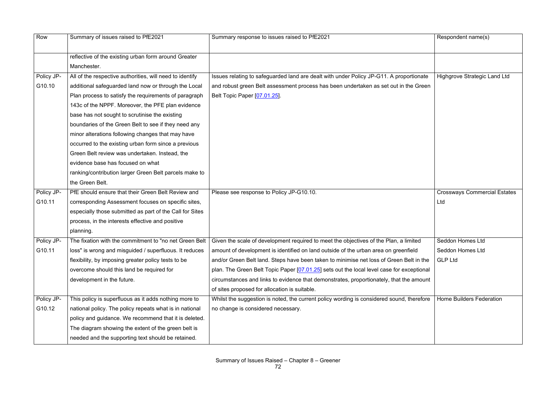| Row        | Summary of issues raised to PfE2021                      | Summary response to issues raised to PfE2021                                                                                                   | Respondent name(s)                  |
|------------|----------------------------------------------------------|------------------------------------------------------------------------------------------------------------------------------------------------|-------------------------------------|
|            | reflective of the existing urban form around Greater     |                                                                                                                                                |                                     |
|            | Manchester.                                              |                                                                                                                                                |                                     |
| Policy JP- | All of the respective authorities, will need to identify | Issues relating to safeguarded land are dealt with under Policy JP-G11. A proportionate                                                        | <b>Highgrove Strategic Land Ltd</b> |
| G10.10     | additional safeguarded land now or through the Local     | and robust green Belt assessment process has been undertaken as set out in the Green                                                           |                                     |
|            | Plan process to satisfy the requirements of paragraph    | Belt Topic Paper [07.01.25].                                                                                                                   |                                     |
|            | 143c of the NPPF. Moreover, the PFE plan evidence        |                                                                                                                                                |                                     |
|            | base has not sought to scrutinise the existing           |                                                                                                                                                |                                     |
|            | boundaries of the Green Belt to see if they need any     |                                                                                                                                                |                                     |
|            | minor alterations following changes that may have        |                                                                                                                                                |                                     |
|            | occurred to the existing urban form since a previous     |                                                                                                                                                |                                     |
|            | Green Belt review was undertaken. Instead, the           |                                                                                                                                                |                                     |
|            | evidence base has focused on what                        |                                                                                                                                                |                                     |
|            | ranking/contribution larger Green Belt parcels make to   |                                                                                                                                                |                                     |
|            | the Green Belt.                                          |                                                                                                                                                |                                     |
| Policy JP- | PfE should ensure that their Green Belt Review and       | Please see response to Policy JP-G10.10.                                                                                                       | <b>Crossways Commercial Estates</b> |
| G10.11     | corresponding Assessment focuses on specific sites,      |                                                                                                                                                | Ltd                                 |
|            | especially those submitted as part of the Call for Sites |                                                                                                                                                |                                     |
|            | process, in the interests effective and positive         |                                                                                                                                                |                                     |
|            | planning.                                                |                                                                                                                                                |                                     |
| Policy JP- |                                                          | The fixation with the commitment to "no net Green Belt   Given the scale of development required to meet the objectives of the Plan, a limited | Seddon Homes Ltd                    |
| G10.11     | loss" is wrong and misguided / superfluous. It reduces   | amount of development is identified on land outside of the urban area on greenfield                                                            | Seddon Homes Ltd                    |
|            | flexibility, by imposing greater policy tests to be      | and/or Green Belt land. Steps have been taken to minimise net loss of Green Belt in the                                                        | <b>GLP Ltd</b>                      |
|            | overcome should this land be required for                | plan. The Green Belt Topic Paper [07.01.25] sets out the local level case for exceptional                                                      |                                     |
|            | development in the future.                               | circumstances and links to evidence that demonstrates, proportionately, that the amount                                                        |                                     |
|            |                                                          | of sites proposed for allocation is suitable.                                                                                                  |                                     |
| Policy JP- | This policy is superfluous as it adds nothing more to    | Whilst the suggestion is noted, the current policy wording is considered sound, therefore                                                      | <b>Home Builders Federation</b>     |
| G10.12     | national policy. The policy repeats what is in national  | no change is considered necessary.                                                                                                             |                                     |
|            | policy and guidance. We recommend that it is deleted.    |                                                                                                                                                |                                     |
|            | The diagram showing the extent of the green belt is      |                                                                                                                                                |                                     |
|            | needed and the supporting text should be retained.       |                                                                                                                                                |                                     |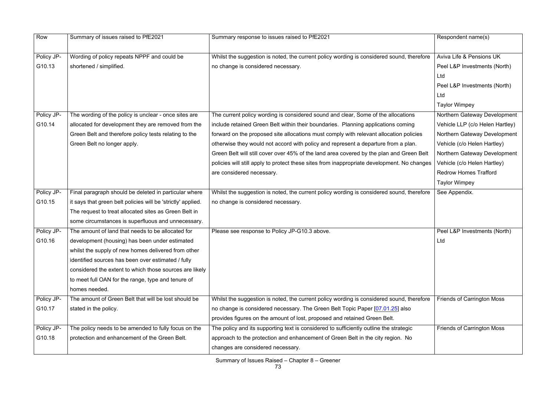| Row        | Summary of issues raised to PfE2021                          | Summary response to issues raised to PfE2021                                                | Respondent name(s)                |
|------------|--------------------------------------------------------------|---------------------------------------------------------------------------------------------|-----------------------------------|
|            |                                                              |                                                                                             |                                   |
|            |                                                              |                                                                                             | Aviva Life & Pensions UK          |
| Policy JP- | Wording of policy repeats NPPF and could be                  | Whilst the suggestion is noted, the current policy wording is considered sound, therefore   |                                   |
| G10.13     | shortened / simplified.                                      | no change is considered necessary.                                                          | Peel L&P Investments (North)      |
|            |                                                              |                                                                                             | Ltd                               |
|            |                                                              |                                                                                             | Peel L&P Investments (North)      |
|            |                                                              |                                                                                             | Ltd                               |
|            |                                                              |                                                                                             | <b>Taylor Wimpey</b>              |
| Policy JP- | The wording of the policy is unclear - once sites are        | The current policy wording is considered sound and clear, Some of the allocations           | Northern Gateway Development      |
| G10.14     | allocated for development they are removed from the          | include retained Green Belt within their boundaries. Planning applications coming           | Vehicle LLP (c/o Helen Hartley)   |
|            | Green Belt and therefore policy tests relating to the        | forward on the proposed site allocations must comply with relevant allocation policies      | Northern Gateway Development      |
|            | Green Belt no longer apply.                                  | otherwise they would not accord with policy and represent a departure from a plan.          | Vehicle (c/o Helen Hartley)       |
|            |                                                              | Green Belt will still cover over 45% of the land area covered by the plan and Green Belt    | Northern Gateway Development      |
|            |                                                              | policies will still apply to protect these sites from inappropriate development. No changes | Vehicle (c/o Helen Hartley)       |
|            |                                                              | are considered necessary.                                                                   | <b>Redrow Homes Trafford</b>      |
|            |                                                              |                                                                                             | <b>Taylor Wimpey</b>              |
| Policy JP- | Final paragraph should be deleted in particular where        | Whilst the suggestion is noted, the current policy wording is considered sound, therefore   | See Appendix.                     |
| G10.15     | it says that green belt policies will be 'strictly' applied. | no change is considered necessary.                                                          |                                   |
|            | The request to treat allocated sites as Green Belt in        |                                                                                             |                                   |
|            | some circumstances is superfluous and unnecessary.           |                                                                                             |                                   |
| Policy JP- | The amount of land that needs to be allocated for            | Please see response to Policy JP-G10.3 above.                                               | Peel L&P Investments (North)      |
| G10.16     | development (housing) has been under estimated               |                                                                                             | Ltd                               |
|            | whilst the supply of new homes delivered from other          |                                                                                             |                                   |
|            | identified sources has been over estimated / fully           |                                                                                             |                                   |
|            | considered the extent to which those sources are likely      |                                                                                             |                                   |
|            | to meet full OAN for the range, type and tenure of           |                                                                                             |                                   |
|            | homes needed.                                                |                                                                                             |                                   |
| Policy JP- | The amount of Green Belt that will be lost should be         | Whilst the suggestion is noted, the current policy wording is considered sound, therefore   | <b>Friends of Carrington Moss</b> |
| G10.17     | stated in the policy.                                        | no change is considered necessary. The Green Belt Topic Paper [07.01.25] also               |                                   |
|            |                                                              | provides figures on the amount of lost, proposed and retained Green Belt.                   |                                   |
| Policy JP- | The policy needs to be amended to fully focus on the         | The policy and its supporting text is considered to sufficiently outline the strategic      | <b>Friends of Carrington Moss</b> |
| G10.18     | protection and enhancement of the Green Belt.                | approach to the protection and enhancement of Green Belt in the city region. No             |                                   |
|            |                                                              | changes are considered necessary.                                                           |                                   |
|            |                                                              |                                                                                             |                                   |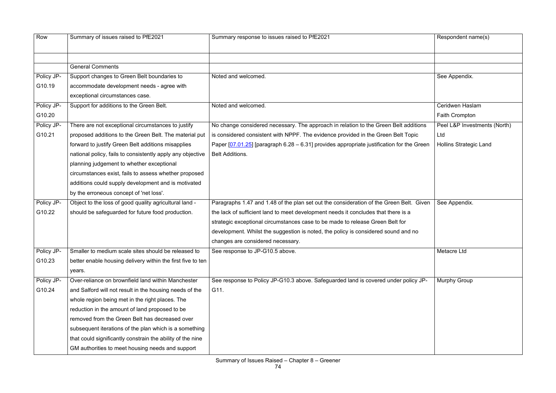| Row        | Summary of issues raised to PfE2021                         | Summary response to issues raised to PfE2021                                                | Respondent name(s)            |
|------------|-------------------------------------------------------------|---------------------------------------------------------------------------------------------|-------------------------------|
|            |                                                             |                                                                                             |                               |
|            | <b>General Comments</b>                                     |                                                                                             |                               |
| Policy JP- | Support changes to Green Belt boundaries to                 | Noted and welcomed.                                                                         | See Appendix.                 |
| G10.19     | accommodate development needs - agree with                  |                                                                                             |                               |
|            | exceptional circumstances case.                             |                                                                                             |                               |
| Policy JP- | Support for additions to the Green Belt.                    | Noted and welcomed.                                                                         | Ceridwen Haslam               |
| G10.20     |                                                             |                                                                                             | Faith Crompton                |
| Policy JP- | There are not exceptional circumstances to justify          | No change considered necessary. The approach in relation to the Green Belt additions        | Peel L&P Investments (North)  |
| G10.21     | proposed additions to the Green Belt. The material put      | is considered consistent with NPPF. The evidence provided in the Green Belt Topic           | Ltd                           |
|            | forward to justify Green Belt additions misapplies          | Paper $[07.01.25]$ [paragraph 6.28 – 6.31] provides appropriate justification for the Green | <b>Hollins Strategic Land</b> |
|            | national policy, fails to consistently apply any objective  | <b>Belt Additions.</b>                                                                      |                               |
|            | planning judgement to whether exceptional                   |                                                                                             |                               |
|            | circumstances exist, fails to assess whether proposed       |                                                                                             |                               |
|            | additions could supply development and is motivated         |                                                                                             |                               |
|            | by the erroneous concept of 'net loss'.                     |                                                                                             |                               |
| Policy JP- | Object to the loss of good quality agricultural land -      | Paragraphs 1.47 and 1.48 of the plan set out the consideration of the Green Belt. Given     | See Appendix.                 |
| G10.22     | should be safeguarded for future food production.           | the lack of sufficient land to meet development needs it concludes that there is a          |                               |
|            |                                                             | strategic exceptional circumstances case to be made to release Green Belt for               |                               |
|            |                                                             | development. Whilst the suggestion is noted, the policy is considered sound and no          |                               |
|            |                                                             | changes are considered necessary.                                                           |                               |
| Policy JP- | Smaller to medium scale sites should be released to         | See response to JP-G10.5 above.                                                             | Metacre Ltd                   |
| G10.23     | better enable housing delivery within the first five to ten |                                                                                             |                               |
|            | years.                                                      |                                                                                             |                               |
| Policy JP- | Over-reliance on brownfield land within Manchester          | See response to Policy JP-G10.3 above. Safeguarded land is covered under policy JP-         | <b>Murphy Group</b>           |
| G10.24     | and Salford will not result in the housing needs of the     | G11.                                                                                        |                               |
|            | whole region being met in the right places. The             |                                                                                             |                               |
|            | reduction in the amount of land proposed to be              |                                                                                             |                               |
|            | removed from the Green Belt has decreased over              |                                                                                             |                               |
|            | subsequent iterations of the plan which is a something      |                                                                                             |                               |
|            | that could significantly constrain the ability of the nine  |                                                                                             |                               |
|            | GM authorities to meet housing needs and support            |                                                                                             |                               |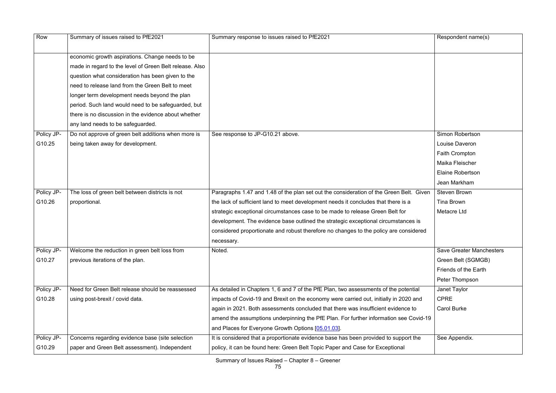| Row        | Summary of issues raised to PfE2021                     | Summary response to issues raised to PfE2021                                            | Respondent name(s)              |
|------------|---------------------------------------------------------|-----------------------------------------------------------------------------------------|---------------------------------|
|            | economic growth aspirations. Change needs to be         |                                                                                         |                                 |
|            | made in regard to the level of Green Belt release. Also |                                                                                         |                                 |
|            | question what consideration has been given to the       |                                                                                         |                                 |
|            | need to release land from the Green Belt to meet        |                                                                                         |                                 |
|            | longer term development needs beyond the plan           |                                                                                         |                                 |
|            | period. Such land would need to be safeguarded, but     |                                                                                         |                                 |
|            | there is no discussion in the evidence about whether    |                                                                                         |                                 |
|            | any land needs to be safeguarded.                       |                                                                                         |                                 |
| Policy JP- | Do not approve of green belt additions when more is     | See response to JP-G10.21 above.                                                        | Simon Robertson                 |
| G10.25     | being taken away for development.                       |                                                                                         | <b>Louise Daveron</b>           |
|            |                                                         |                                                                                         | Faith Crompton                  |
|            |                                                         |                                                                                         | Maika Fleischer                 |
|            |                                                         |                                                                                         | <b>Elaine Robertson</b>         |
|            |                                                         |                                                                                         | Jean Markham                    |
| Policy JP- | The loss of green belt between districts is not         | Paragraphs 1.47 and 1.48 of the plan set out the consideration of the Green Belt. Given | <b>Steven Brown</b>             |
| G10.26     | proportional.                                           | the lack of sufficient land to meet development needs it concludes that there is a      | Tina Brown                      |
|            |                                                         | strategic exceptional circumstances case to be made to release Green Belt for           | <b>Metacre Ltd</b>              |
|            |                                                         | development. The evidence base outlined the strategic exceptional circumstances is      |                                 |
|            |                                                         | considered proportionate and robust therefore no changes to the policy are considered   |                                 |
|            |                                                         | necessary.                                                                              |                                 |
| Policy JP- | Welcome the reduction in green belt loss from           | Noted.                                                                                  | <b>Save Greater Manchesters</b> |
| G10.27     | previous iterations of the plan.                        |                                                                                         | Green Belt (SGMGB)              |
|            |                                                         |                                                                                         | Friends of the Earth            |
|            |                                                         |                                                                                         | Peter Thompson                  |
| Policy JP- | Need for Green Belt release should be reassessed        | As detailed in Chapters 1, 6 and 7 of the PfE Plan, two assessments of the potential    | Janet Taylor                    |
| G10.28     | using post-brexit / covid data.                         | impacts of Covid-19 and Brexit on the economy were carried out, initially in 2020 and   | <b>CPRE</b>                     |
|            |                                                         | again in 2021. Both assessments concluded that there was insufficient evidence to       | <b>Carol Burke</b>              |
|            |                                                         | amend the assumptions underpinning the PfE Plan. For further information see Covid-19   |                                 |
|            |                                                         | and Places for Everyone Growth Options [05.01.03].                                      |                                 |
| Policy JP- | Concerns regarding evidence base (site selection        | It is considered that a proportionate evidence base has been provided to support the    | See Appendix.                   |
| G10.29     | paper and Green Belt assessment). Independent           | policy, it can be found here: Green Belt Topic Paper and Case for Exceptional           |                                 |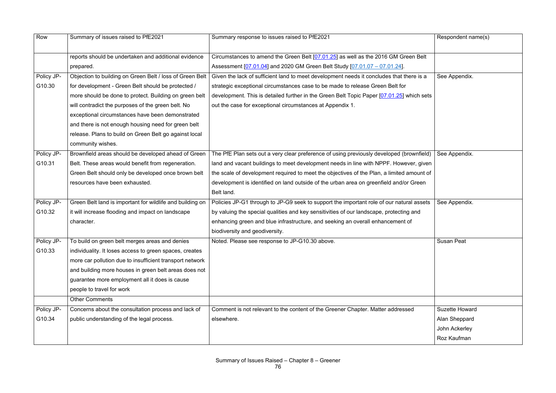| Row        | Summary of issues raised to PfE2021                       | Summary response to issues raised to PfE2021                                              | Respondent name(s)    |
|------------|-----------------------------------------------------------|-------------------------------------------------------------------------------------------|-----------------------|
|            | reports should be undertaken and additional evidence      | Circumstances to amend the Green Belt [07.01.25] as well as the 2016 GM Green Belt        |                       |
|            | prepared.                                                 | Assessment [07.01.04] and 2020 GM Green Belt Study [07.01.07 - 07.01.24].                 |                       |
| Policy JP- | Objection to building on Green Belt / loss of Green Belt  | Given the lack of sufficient land to meet development needs it concludes that there is a  | See Appendix.         |
| G10.30     | for development - Green Belt should be protected /        | strategic exceptional circumstances case to be made to release Green Belt for             |                       |
|            | more should be done to protect. Building on green belt    | development. This is detailed further in the Green Belt Topic Paper [07.01.25] which sets |                       |
|            | will contradict the purposes of the green belt. No        | out the case for exceptional circumstances at Appendix 1.                                 |                       |
|            | exceptional circumstances have been demonstrated          |                                                                                           |                       |
|            | and there is not enough housing need for green belt       |                                                                                           |                       |
|            | release. Plans to build on Green Belt go against local    |                                                                                           |                       |
|            | community wishes.                                         |                                                                                           |                       |
| Policy JP- | Brownfield areas should be developed ahead of Green       | The PfE Plan sets out a very clear preference of using previously developed (brownfield)  | See Appendix.         |
| G10.31     | Belt. These areas would benefit from regeneration.        | land and vacant buildings to meet development needs in line with NPPF. However, given     |                       |
|            | Green Belt should only be developed once brown belt       | the scale of development required to meet the objectives of the Plan, a limited amount of |                       |
|            | resources have been exhausted.                            | development is identified on land outside of the urban area on greenfield and/or Green    |                       |
|            |                                                           | Belt land.                                                                                |                       |
| Policy JP- | Green Belt land is important for wildlife and building on | Policies JP-G1 through to JP-G9 seek to support the important role of our natural assets  | See Appendix.         |
| G10.32     | it will increase flooding and impact on landscape         | by valuing the special qualities and key sensitivities of our landscape, protecting and   |                       |
|            | character.                                                | enhancing green and blue infrastructure, and seeking an overall enhancement of            |                       |
|            |                                                           | biodiversity and geodiversity.                                                            |                       |
| Policy JP- | To build on green belt merges areas and denies            | Noted. Please see response to JP-G10.30 above.                                            | <b>Susan Peat</b>     |
| G10.33     | individuality. It loses access to green spaces, creates   |                                                                                           |                       |
|            | more car pollution due to insufficient transport network  |                                                                                           |                       |
|            | and building more houses in green belt areas does not     |                                                                                           |                       |
|            | guarantee more employment all it does is cause            |                                                                                           |                       |
|            | people to travel for work                                 |                                                                                           |                       |
|            | <b>Other Comments</b>                                     |                                                                                           |                       |
| Policy JP- | Concerns about the consultation process and lack of       | Comment is not relevant to the content of the Greener Chapter. Matter addressed           | <b>Suzette Howard</b> |
| G10.34     | public understanding of the legal process.                | elsewhere.                                                                                | Alan Sheppard         |
|            |                                                           |                                                                                           | John Ackerley         |
|            |                                                           |                                                                                           | Roz Kaufman           |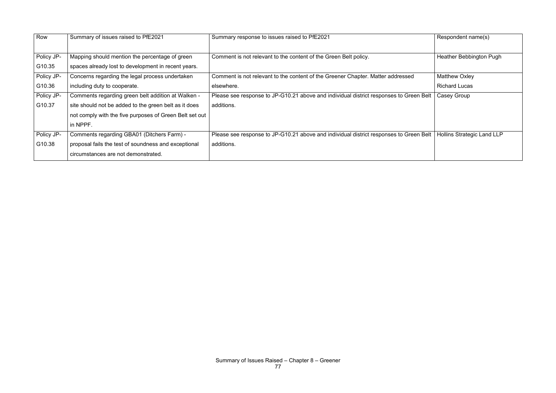| Row        | Summary of issues raised to PfE2021                     | Summary response to issues raised to PfE2021                                           | Respondent name(s)         |
|------------|---------------------------------------------------------|----------------------------------------------------------------------------------------|----------------------------|
|            |                                                         |                                                                                        |                            |
| Policy JP- | Mapping should mention the percentage of green          | Comment is not relevant to the content of the Green Belt policy.                       | Heather Bebbington Pugh    |
| G10.35     | spaces already lost to development in recent years.     |                                                                                        |                            |
| Policy JP- | Concerns regarding the legal process undertaken         | Comment is not relevant to the content of the Greener Chapter. Matter addressed        | <b>Matthew Oxley</b>       |
| G10.36     | including duty to cooperate.                            | elsewhere.                                                                             | <b>Richard Lucas</b>       |
| Policy JP- | Comments regarding green belt addition at Walken -      | Please see response to JP-G10.21 above and individual district responses to Green Belt | Casey Group                |
| G10.37     | site should not be added to the green belt as it does   | additions.                                                                             |                            |
|            | not comply with the five purposes of Green Belt set out |                                                                                        |                            |
|            | in NPPF.                                                |                                                                                        |                            |
| Policy JP- | Comments regarding GBA01 (Ditchers Farm) -              | Please see response to JP-G10.21 above and individual district responses to Green Belt | Hollins Strategic Land LLP |
| G10.38     | proposal fails the test of soundness and exceptional    | additions.                                                                             |                            |
|            | circumstances are not demonstrated.                     |                                                                                        |                            |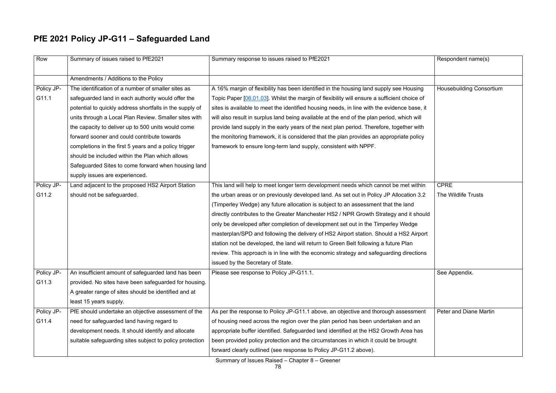Summary of Issues Raised – Chapter 8 – Greener

# **PfE 2021 Policy JP-G11 – Safeguarded Land**

| Row        | Summary of issues raised to PfE2021                      | Summary response to issues raised to PfE2021                                                | Respondent name(s)              |
|------------|----------------------------------------------------------|---------------------------------------------------------------------------------------------|---------------------------------|
|            | Amendments / Additions to the Policy                     |                                                                                             |                                 |
| Policy JP- | The identification of a number of smaller sites as       | A 16% margin of flexibility has been identified in the housing land supply see Housing      | <b>Housebuilding Consortium</b> |
| G11.1      | safeguarded land in each authority would offer the       | Topic Paper [06.01.03]. Whilst the margin of flexibility will ensure a sufficient choice of |                                 |
|            | potential to quickly address shortfalls in the supply of | sites is available to meet the identified housing needs, in line with the evidence base, it |                                 |
|            | units through a Local Plan Review. Smaller sites with    | will also result in surplus land being available at the end of the plan period, which will  |                                 |
|            | the capacity to deliver up to 500 units would come       | provide land supply in the early years of the next plan period. Therefore, together with    |                                 |
|            | forward sooner and could contribute towards              | the monitoring framework, it is considered that the plan provides an appropriate policy     |                                 |
|            | completions in the first 5 years and a policy trigger    | framework to ensure long-term land supply, consistent with NPPF.                            |                                 |
|            | should be included within the Plan which allows          |                                                                                             |                                 |
|            | Safeguarded Sites to come forward when housing land      |                                                                                             |                                 |
|            | supply issues are experienced.                           |                                                                                             |                                 |
| Policy JP- | Land adjacent to the proposed HS2 Airport Station        | This land will help to meet longer term development needs which cannot be met within        | <b>CPRE</b>                     |
| G11.2      | should not be safeguarded.                               | the urban areas or on previously developed land. As set out in Policy JP Allocation 3.2     | The Wildlife Trusts             |
|            |                                                          | (Timperley Wedge) any future allocation is subject to an assessment that the land           |                                 |
|            |                                                          | directly contributes to the Greater Manchester HS2 / NPR Growth Strategy and it should      |                                 |
|            |                                                          | only be developed after completion of development set out in the Timperley Wedge            |                                 |
|            |                                                          | masterplan/SPD and following the delivery of HS2 Airport station. Should a HS2 Airport      |                                 |
|            |                                                          | station not be developed, the land will return to Green Belt following a future Plan        |                                 |
|            |                                                          | review. This approach is in line with the economic strategy and safeguarding directions     |                                 |
|            |                                                          | issued by the Secretary of State.                                                           |                                 |
| Policy JP- | An insufficient amount of safeguarded land has been      | Please see response to Policy JP-G11.1.                                                     | See Appendix.                   |
| G11.3      | provided. No sites have been safeguarded for housing.    |                                                                                             |                                 |
|            | A greater range of sites should be identified and at     |                                                                                             |                                 |
|            | least 15 years supply.                                   |                                                                                             |                                 |
| Policy JP- | PfE should undertake an objective assessment of the      | As per the response to Policy JP-G11.1 above, an objective and thorough assessment          | Peter and Diane Martin          |
| G11.4      | need for safeguarded land having regard to               | of housing need across the region over the plan period has been undertaken and an           |                                 |
|            | development needs. It should identify and allocate       | appropriate buffer identified. Safeguarded land identified at the HS2 Growth Area has       |                                 |
|            | suitable safeguarding sites subject to policy protection | been provided policy protection and the circumstances in which it could be brought          |                                 |
|            |                                                          | forward clearly outlined (see response to Policy JP-G11.2 above).                           |                                 |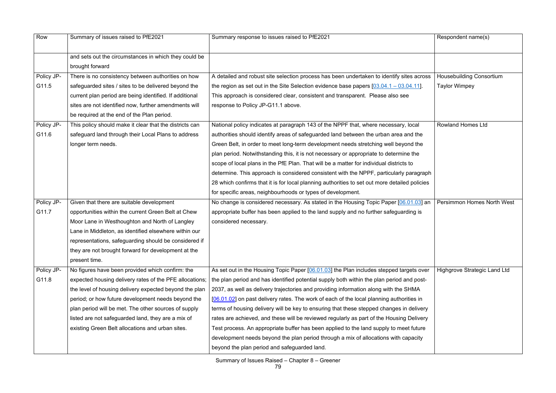| Row        | Summary of issues raised to PfE2021                     | Summary response to issues raised to PfE2021                                                  | Respondent name(s)                  |
|------------|---------------------------------------------------------|-----------------------------------------------------------------------------------------------|-------------------------------------|
|            | and sets out the circumstances in which they could be   |                                                                                               |                                     |
|            | brought forward                                         |                                                                                               |                                     |
| Policy JP- | There is no consistency between authorities on how      | A detailed and robust site selection process has been undertaken to identify sites across     | <b>Housebuilding Consortium</b>     |
| G11.5      | safeguarded sites / sites to be delivered beyond the    | the region as set out in the Site Selection evidence base papers $[03.04.1 - 03.04.11]$ .     | <b>Taylor Wimpey</b>                |
|            | current plan period are being identified. If additional | This approach is considered clear, consistent and transparent. Please also see                |                                     |
|            | sites are not identified now, further amendments will   | response to Policy JP-G11.1 above.                                                            |                                     |
|            | be required at the end of the Plan period.              |                                                                                               |                                     |
| Policy JP- | This policy should make it clear that the districts can | National policy indicates at paragraph 143 of the NPPF that, where necessary, local           | <b>Rowland Homes Ltd</b>            |
| G11.6      | safeguard land through their Local Plans to address     | authorities should identify areas of safeguarded land between the urban area and the          |                                     |
|            | longer term needs.                                      | Green Belt, in order to meet long-term development needs stretching well beyond the           |                                     |
|            |                                                         | plan period. Notwithstanding this, it is not necessary or appropriate to determine the        |                                     |
|            |                                                         | scope of local plans in the PfE Plan. That will be a matter for individual districts to       |                                     |
|            |                                                         | determine. This approach is considered consistent with the NPPF, particularly paragraph       |                                     |
|            |                                                         | 28 which confirms that it is for local planning authorities to set out more detailed policies |                                     |
|            |                                                         | for specific areas, neighbourhoods or types of development.                                   |                                     |
| Policy JP- | Given that there are suitable development               | No change is considered necessary. As stated in the Housing Topic Paper [06.01.03] an         | <b>Persimmon Homes North West</b>   |
| G11.7      | opportunities within the current Green Belt at Chew     | appropriate buffer has been applied to the land supply and no further safeguarding is         |                                     |
|            | Moor Lane in Westhoughton and North of Langley          | considered necessary.                                                                         |                                     |
|            | Lane in Middleton, as identified elsewhere within our   |                                                                                               |                                     |
|            | representations, safeguarding should be considered if   |                                                                                               |                                     |
|            | they are not brought forward for development at the     |                                                                                               |                                     |
|            | present time.                                           |                                                                                               |                                     |
| Policy JP- | No figures have been provided which confirm: the        | As set out in the Housing Topic Paper [06.01.03] the Plan includes stepped targets over       | <b>Highgrove Strategic Land Ltd</b> |
| G11.8      | expected housing delivery rates of the PFE allocations; | the plan period and has identified potential supply both within the plan period and post-     |                                     |
|            | the level of housing delivery expected beyond the plan  | 2037, as well as delivery trajectories and providing information along with the SHMA          |                                     |
|            | period; or how future development needs beyond the      | [06.01.02] on past delivery rates. The work of each of the local planning authorities in      |                                     |
|            | plan period will be met. The other sources of supply    | terms of housing delivery will be key to ensuring that these stepped changes in delivery      |                                     |
|            | listed are not safeguarded land, they are a mix of      | rates are achieved, and these will be reviewed regularly as part of the Housing Delivery      |                                     |
|            | existing Green Belt allocations and urban sites.        | Test process. An appropriate buffer has been applied to the land supply to meet future        |                                     |
|            |                                                         | development needs beyond the plan period through a mix of allocations with capacity           |                                     |
|            |                                                         | beyond the plan period and safeguarded land.                                                  |                                     |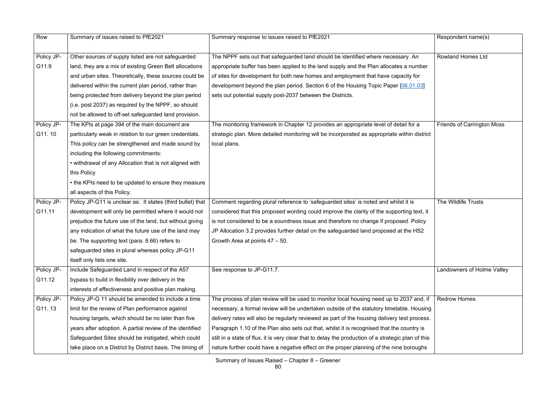| Row        | Summary of issues raised to PfE2021                        | Summary response to issues raised to PfE2021                                                        | Respondent name(s)                |
|------------|------------------------------------------------------------|-----------------------------------------------------------------------------------------------------|-----------------------------------|
|            |                                                            |                                                                                                     |                                   |
| Policy JP- | Other sources of supply listed are not safeguarded         | The NPPF sets out that safeguarded land should be identified where necessary. An                    | <b>Rowland Homes Ltd</b>          |
| G11.9      | land, they are a mix of existing Green Belt allocations    | appropriate buffer has been applied to the land supply and the Plan allocates a number              |                                   |
|            | and urban sites. Theoretically, these sources could be     | of sites for development for both new homes and employment that have capacity for                   |                                   |
|            | delivered within the current plan period, rather than      | development beyond the plan period. Section 6 of the Housing Topic Paper [06.01.03]                 |                                   |
|            | being protected from delivery beyond the plan period       | sets out potential supply post-2037 between the Districts.                                          |                                   |
|            | (i.e. post 2037) as required by the NPPF, so should        |                                                                                                     |                                   |
|            | not be allowed to off-set safeguarded land provision.      |                                                                                                     |                                   |
| Policy JP- | The KPIs at page 394 of the main document are              | The monitoring framework in Chapter 12 provides an appropriate level of detail for a                | <b>Friends of Carrington Moss</b> |
| G11.10     | particularly weak in relation to our green credentials.    | strategic plan. More detailed monitoring will be incorporated as appropriate within district        |                                   |
|            | This policy can be strengthened and made sound by          | local plans.                                                                                        |                                   |
|            | including the following commitments:                       |                                                                                                     |                                   |
|            | • withdrawal of any Allocation that is not aligned with    |                                                                                                     |                                   |
|            | this Policy                                                |                                                                                                     |                                   |
|            | • the KPIs need to be updated to ensure they measure       |                                                                                                     |                                   |
|            | all aspects of this Policy.                                |                                                                                                     |                                   |
| Policy JP- | Policy JP-G11 is unclear as: It states (third bullet) that | Comment regarding plural reference to 'safeguarded sites' is noted and whilst it is                 | The Wildlife Trusts               |
| G11.11     | development will only be permitted where it would not      | considered that this proposed wording could improve the clarity of the supporting text, it          |                                   |
|            | prejudice the future use of the land, but without giving   | is not considered to be a soundness issue and therefore no change if proposed. Policy               |                                   |
|            | any indication of what the future use of the land may      | JP Allocation 3.2 provides further detail on the safeguarded land proposed at the HS2               |                                   |
|            | be. The supporting text (para. 8.66) refers to             | Growth Area at points $47 - 50$ .                                                                   |                                   |
|            | safeguarded sites in plural whereas policy JP-G11          |                                                                                                     |                                   |
|            | itself only lists one site.                                |                                                                                                     |                                   |
| Policy JP- | Include Safeguarded Land in respect of the A57             | See response to JP-G11.7.                                                                           | Landowners of Holme Valley        |
| G11.12     | bypass to build in flexibility over delivery in the        |                                                                                                     |                                   |
|            | interests of effectiveness and positive plan making.       |                                                                                                     |                                   |
| Policy JP- | Policy JP-G 11 should be amended to include a time         | The process of plan review will be used to monitor local housing need up to 2037 and, if            | <b>Redrow Homes</b>               |
| G11.13     | limit for the review of Plan performance against           | necessary, a formal review will be undertaken outside of the statutory timetable. Housing           |                                   |
|            | housing targets, which should be no later than five        | delivery rates will also be regularly reviewed as part of the housing delivery test process.        |                                   |
|            | years after adoption. A partial review of the identified   | Paragraph 1.10 of the Plan also sets out that, whilst it is recognised that the country is          |                                   |
|            | Safeguarded Sites should be instigated, which could        | still in a state of flux, it is very clear that to delay the production of a strategic plan of this |                                   |
|            | take place on a District by District basis. The timing of  | nature further could have a negative effect on the proper planning of the nine boroughs             |                                   |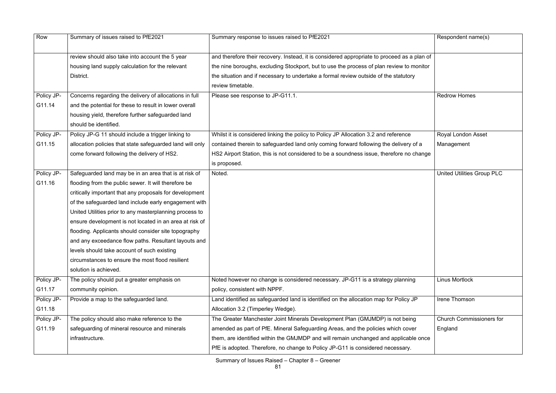| Row        | Summary of issues raised to PfE2021                       | Summary response to issues raised to PfE2021                                                | Respondent name(s)                |
|------------|-----------------------------------------------------------|---------------------------------------------------------------------------------------------|-----------------------------------|
|            |                                                           |                                                                                             |                                   |
|            | review should also take into account the 5 year           | and therefore their recovery. Instead, it is considered appropriate to proceed as a plan of |                                   |
|            | housing land supply calculation for the relevant          | the nine boroughs, excluding Stockport, but to use the process of plan review to monitor    |                                   |
|            | District.                                                 | the situation and if necessary to undertake a formal review outside of the statutory        |                                   |
|            |                                                           | review timetable.                                                                           |                                   |
| Policy JP- | Concerns regarding the delivery of allocations in full    | Please see response to JP-G11.1.                                                            | <b>Redrow Homes</b>               |
| G11.14     | and the potential for these to result in lower overall    |                                                                                             |                                   |
|            | housing yield, therefore further safeguarded land         |                                                                                             |                                   |
|            | should be identified.                                     |                                                                                             |                                   |
| Policy JP- | Policy JP-G 11 should include a trigger linking to        | Whilst it is considered linking the policy to Policy JP Allocation 3.2 and reference        | Royal London Asset                |
| G11.15     | allocation policies that state safeguarded land will only | contained therein to safeguarded land only coming forward following the delivery of a       | Management                        |
|            | come forward following the delivery of HS2.               | HS2 Airport Station, this is not considered to be a soundness issue, therefore no change    |                                   |
|            |                                                           | is proposed.                                                                                |                                   |
| Policy JP- | Safeguarded land may be in an area that is at risk of     | Noted.                                                                                      | <b>United Utilities Group PLC</b> |
| G11.16     | flooding from the public sewer. It will therefore be      |                                                                                             |                                   |
|            | critically important that any proposals for development   |                                                                                             |                                   |
|            | of the safeguarded land include early engagement with     |                                                                                             |                                   |
|            | United Utilities prior to any masterplanning process to   |                                                                                             |                                   |
|            | ensure development is not located in an area at risk of   |                                                                                             |                                   |
|            | flooding. Applicants should consider site topography      |                                                                                             |                                   |
|            | and any exceedance flow paths. Resultant layouts and      |                                                                                             |                                   |
|            | levels should take account of such existing               |                                                                                             |                                   |
|            | circumstances to ensure the most flood resilient          |                                                                                             |                                   |
|            | solution is achieved.                                     |                                                                                             |                                   |
| Policy JP- | The policy should put a greater emphasis on               | Noted however no change is considered necessary. JP-G11 is a strategy planning              | <b>Linus Mortlock</b>             |
| G11.17     | community opinion.                                        | policy, consistent with NPPF.                                                               |                                   |
| Policy JP- | Provide a map to the safeguarded land.                    | Land identified as safeguarded land is identified on the allocation map for Policy JP       | Irene Thomson                     |
| G11.18     |                                                           | Allocation 3.2 (Timperley Wedge).                                                           |                                   |
| Policy JP- | The policy should also make reference to the              | The Greater Manchester Joint Minerals Development Plan (GMJMDP) is not being                | <b>Church Commissioners for</b>   |
| G11.19     | safeguarding of mineral resource and minerals             | amended as part of PfE. Mineral Safeguarding Areas, and the policies which cover            | England                           |
|            | infrastructure.                                           | them, are identified within the GMJMDP and will remain unchanged and applicable once        |                                   |
|            |                                                           | PfE is adopted. Therefore, no change to Policy JP-G11 is considered necessary.              |                                   |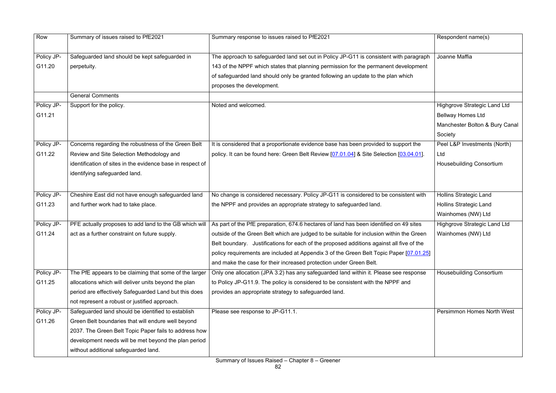| Row        | Summary of issues raised to PfE2021                        | Summary response to issues raised to PfE2021                                             | Respondent name(s)                  |
|------------|------------------------------------------------------------|------------------------------------------------------------------------------------------|-------------------------------------|
| Policy JP- | Safeguarded land should be kept safeguarded in             | The approach to safeguarded land set out in Policy JP-G11 is consistent with paragraph   | Joanne Maffia                       |
|            |                                                            |                                                                                          |                                     |
| G11.20     | perpetuity.                                                | 143 of the NPPF which states that planning permission for the permanent development      |                                     |
|            |                                                            | of safeguarded land should only be granted following an update to the plan which         |                                     |
|            |                                                            | proposes the development.                                                                |                                     |
|            | <b>General Comments</b>                                    |                                                                                          |                                     |
| Policy JP- | Support for the policy.                                    | Noted and welcomed.                                                                      | <b>Highgrove Strategic Land Ltd</b> |
| G11.21     |                                                            |                                                                                          | <b>Bellway Homes Ltd</b>            |
|            |                                                            |                                                                                          | Manchester Bolton & Bury Canal      |
|            |                                                            |                                                                                          | Society                             |
| Policy JP- | Concerns regarding the robustness of the Green Belt        | It is considered that a proportionate evidence base has been provided to support the     | Peel L&P Investments (North)        |
| G11.22     | Review and Site Selection Methodology and                  | policy. It can be found here: Green Belt Review [07.01.04] & Site Selection [03.04.01].  | Ltd                                 |
|            | identification of sites in the evidence base in respect of |                                                                                          | <b>Housebuilding Consortium</b>     |
|            | identifying safeguarded land.                              |                                                                                          |                                     |
|            |                                                            |                                                                                          |                                     |
| Policy JP- | Cheshire East did not have enough safeguarded land         | No change is considered necessary. Policy JP-G11 is considered to be consistent with     | <b>Hollins Strategic Land</b>       |
| G11.23     | and further work had to take place.                        | the NPPF and provides an appropriate strategy to safeguarded land.                       | <b>Hollins Strategic Land</b>       |
|            |                                                            |                                                                                          | Wainhomes (NW) Ltd                  |
| Policy JP- | PFE actually proposes to add land to the GB which will     | As part of the PfE preparation, 674.6 hectares of land has been identified on 49 sites   | <b>Highgrove Strategic Land Ltd</b> |
| G11.24     | act as a further constraint on future supply.              | outside of the Green Belt which are judged to be suitable for inclusion within the Green | Wainhomes (NW) Ltd                  |
|            |                                                            | Belt boundary. Justifications for each of the proposed additions against all five of the |                                     |
|            |                                                            | policy requirements are included at Appendix 3 of the Green Belt Topic Paper [07.01.25]  |                                     |
|            |                                                            | and make the case for their increased protection under Green Belt.                       |                                     |
| Policy JP- | The PfE appears to be claiming that some of the larger     | Only one allocation (JPA 3.2) has any safeguarded land within it. Please see response    | <b>Housebuilding Consortium</b>     |
| G11.25     | allocations which will deliver units beyond the plan       | to Policy JP-G11.9. The policy is considered to be consistent with the NPPF and          |                                     |
|            | period are effectively Safeguarded Land but this does      | provides an appropriate strategy to safeguarded land.                                    |                                     |
|            | not represent a robust or justified approach.              |                                                                                          |                                     |
| Policy JP- | Safeguarded land should be identified to establish         | Please see response to JP-G11.1.                                                         | <b>Persimmon Homes North West</b>   |
| G11.26     | Green Belt boundaries that will endure well beyond         |                                                                                          |                                     |
|            | 2037. The Green Belt Topic Paper fails to address how      |                                                                                          |                                     |
|            | development needs will be met beyond the plan period       |                                                                                          |                                     |
|            | without additional safeguarded land.                       |                                                                                          |                                     |
|            |                                                            |                                                                                          |                                     |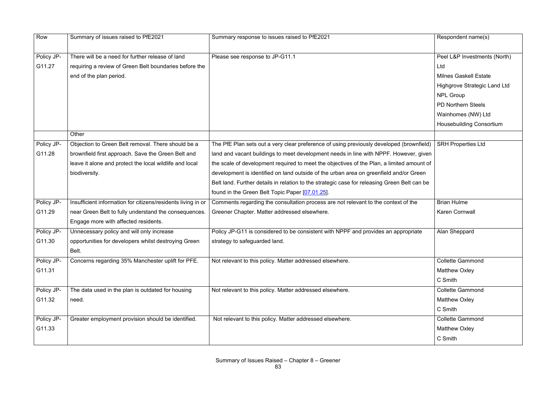| Row        | Summary of issues raised to PfE2021                          | Summary response to issues raised to PfE2021                                                 | Respondent name(s)                  |
|------------|--------------------------------------------------------------|----------------------------------------------------------------------------------------------|-------------------------------------|
|            |                                                              |                                                                                              |                                     |
| Policy JP- | There will be a need for further release of land             | Please see response to JP-G11.1                                                              | Peel L&P Investments (North)        |
| G11.27     | requiring a review of Green Belt boundaries before the       |                                                                                              | Ltd                                 |
|            | end of the plan period.                                      |                                                                                              | <b>Milnes Gaskell Estate</b>        |
|            |                                                              |                                                                                              | <b>Highgrove Strategic Land Ltd</b> |
|            |                                                              |                                                                                              | <b>NPL Group</b>                    |
|            |                                                              |                                                                                              | <b>PD Northern Steels</b>           |
|            |                                                              |                                                                                              | Wainhomes (NW) Ltd                  |
|            |                                                              |                                                                                              | <b>Housebuilding Consortium</b>     |
|            | Other                                                        |                                                                                              |                                     |
| Policy JP- | Objection to Green Belt removal. There should be a           | The PfE Plan sets out a very clear preference of using previously developed (brownfield)     | <b>SRH Properties Ltd</b>           |
| G11.28     | brownfield first approach. Save the Green Belt and           | land and vacant buildings to meet development needs in line with NPPF. However, given        |                                     |
|            | leave it alone and protect the local wildlife and local      | the scale of development required to meet the objectives of the Plan, a limited amount of    |                                     |
|            | biodiversity.                                                | development is identified on land outside of the urban area on greenfield and/or Green       |                                     |
|            |                                                              | Belt land. Further details in relation to the strategic case for releasing Green Belt can be |                                     |
|            |                                                              | found in the Green Belt Topic Paper [07.01.25].                                              |                                     |
| Policy JP- | Insufficient information for citizens/residents living in or | Comments regarding the consultation process are not relevant to the context of the           | <b>Brian Hulme</b>                  |
| G11.29     | near Green Belt to fully understand the consequences.        | Greener Chapter. Matter addressed elsewhere.                                                 | <b>Karen Cornwall</b>               |
|            | Engage more with affected residents.                         |                                                                                              |                                     |
| Policy JP- | Unnecessary policy and will only increase                    | Policy JP-G11 is considered to be consistent with NPPF and provides an appropriate           | Alan Sheppard                       |
| G11.30     | opportunities for developers whilst destroying Green         | strategy to safeguarded land.                                                                |                                     |
|            | Belt.                                                        |                                                                                              |                                     |
| Policy JP- | Concerns regarding 35% Manchester uplift for PFE.            | Not relevant to this policy. Matter addressed elsewhere.                                     | <b>Collette Gammond</b>             |
| G11.31     |                                                              |                                                                                              | <b>Matthew Oxley</b>                |
|            |                                                              |                                                                                              | C Smith                             |
| Policy JP- | The data used in the plan is outdated for housing            | Not relevant to this policy. Matter addressed elsewhere.                                     | <b>Collette Gammond</b>             |
| G11.32     | need.                                                        |                                                                                              | <b>Matthew Oxley</b>                |
|            |                                                              |                                                                                              | C Smith                             |
| Policy JP- | Greater employment provision should be identified.           | Not relevant to this policy. Matter addressed elsewhere.                                     | <b>Collette Gammond</b>             |
| G11.33     |                                                              |                                                                                              | <b>Matthew Oxley</b>                |
|            |                                                              |                                                                                              | C Smith                             |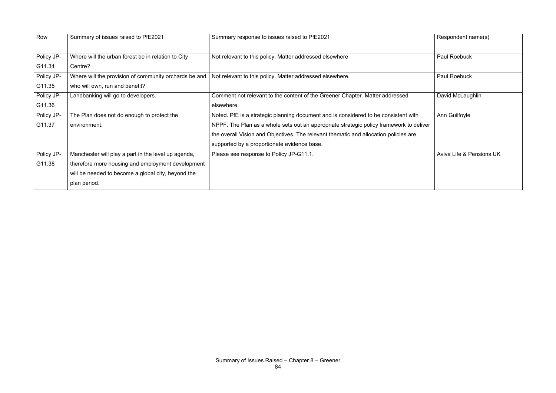| Row        | Summary of issues raised to PfE2021                   | Summary response to issues raised to PfE2021                                            | Respondent name(s)                  |
|------------|-------------------------------------------------------|-----------------------------------------------------------------------------------------|-------------------------------------|
|            |                                                       |                                                                                         |                                     |
| Policy JP- | Where will the urban forest be in relation to City    | Not relevant to this policy. Matter addressed elsewhere                                 | Paul Roebuck                        |
| G11.34     | Centre?                                               |                                                                                         |                                     |
| Policy JP- | Where will the provision of community orchards be and | Not relevant to this policy. Matter addressed elsewhere.                                | <b>Paul Roebuck</b>                 |
| G11.35     | who will own, run and benefit?                        |                                                                                         |                                     |
| Policy JP- | Landbanking will go to developers.                    | Comment not relevant to the content of the Greener Chapter. Matter addressed            | David McLaughlin                    |
| G11.36     |                                                       | elsewhere.                                                                              |                                     |
| Policy JP- | The Plan does not do enough to protect the            | Noted. PfE is a strategic planning document and is considered to be consistent with     | Ann Guilfoyle                       |
| G11.37     | environment.                                          | NPPF. The Plan as a whole sets out an appropriate strategic policy framework to deliver |                                     |
|            |                                                       | the overall Vision and Objectives. The relevant thematic and allocation policies are    |                                     |
|            |                                                       | supported by a proportionate evidence base.                                             |                                     |
| Policy JP- | Manchester will play a part in the level up agenda,   | Please see response to Policy JP-G11.1.                                                 | <b>Aviva Life &amp; Pensions UK</b> |
| G11.38     | therefore more housing and employment development     |                                                                                         |                                     |
|            | will be needed to become a global city, beyond the    |                                                                                         |                                     |
|            | plan period.                                          |                                                                                         |                                     |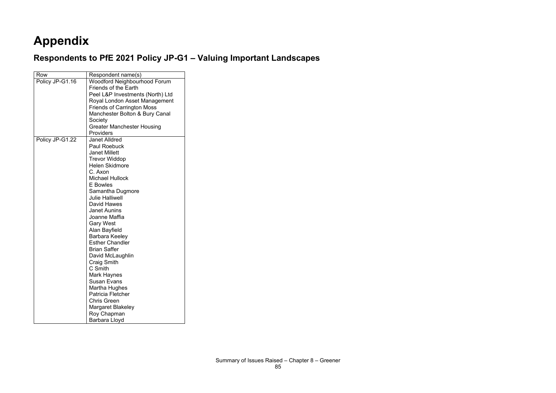# **Appendix**

# **Respondents to PfE 2021 Policy JP-G1 – Valuing Important Landscapes**

| Row             | Respondent name(s)                |
|-----------------|-----------------------------------|
| Policy JP-G1.16 | Woodford Neighbourhood Forum      |
|                 | <b>Friends of the Earth</b>       |
|                 | Peel L&P Investments (North) Ltd  |
|                 | Royal London Asset Management     |
|                 | <b>Friends of Carrington Moss</b> |
|                 | Manchester Bolton & Bury Canal    |
|                 | Society                           |
|                 | <b>Greater Manchester Housing</b> |
|                 | Providers                         |
| Policy JP-G1.22 | <b>Janet Alldred</b>              |
|                 | <b>Paul Roebuck</b>               |
|                 | <b>Janet Millett</b>              |
|                 | <b>Trevor Widdop</b>              |
|                 | <b>Helen Skidmore</b>             |
|                 | C. Axon                           |
|                 | <b>Michael Hullock</b>            |
|                 | <b>E</b> Bowles                   |
|                 | Samantha Dugmore                  |
|                 | <b>Julie Halliwell</b>            |
|                 | David Hawes                       |
|                 | <b>Janet Aunins</b>               |
|                 | Joanne Maffia                     |
|                 | <b>Gary West</b>                  |
|                 | <b>Alan Bayfield</b>              |
|                 | Barbara Keeley                    |
|                 | <b>Esther Chandler</b>            |
|                 | <b>Brian Saffer</b>               |
|                 | David McLaughlin                  |
|                 | <b>Craig Smith</b>                |
|                 | C Smith                           |
|                 | Mark Haynes                       |
|                 | <b>Susan Evans</b>                |
|                 | Martha Hughes                     |
|                 | <b>Patricia Fletcher</b>          |
|                 | <b>Chris Green</b>                |
|                 | Margaret Blakeley                 |
|                 | Roy Chapman                       |
|                 | <b>Barbara Lloyd</b>              |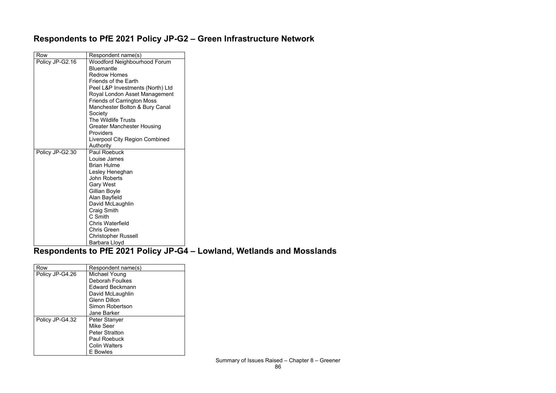## **Respondents to PfE 2021 Policy JP-G2 – Green Infrastructure Network**

| Row             | Respondent name(s)                |
|-----------------|-----------------------------------|
| Policy JP-G2.16 | Woodford Neighbourhood Forum      |
|                 | <b>Bluemantle</b>                 |
|                 | <b>Redrow Homes</b>               |
|                 | <b>Friends of the Earth</b>       |
|                 | Peel L&P Investments (North) Ltd  |
|                 | Royal London Asset Management     |
|                 | <b>Friends of Carrington Moss</b> |
|                 | Manchester Bolton & Bury Canal    |
|                 | Society                           |
|                 | <b>The Wildlife Trusts</b>        |
|                 | <b>Greater Manchester Housing</b> |
|                 | <b>Providers</b>                  |
|                 | Liverpool City Region Combined    |
|                 | Authority                         |
| Policy JP-G2.30 | <b>Paul Roebuck</b>               |
|                 | Louise James                      |
|                 | <b>Brian Hulme</b>                |
|                 | Lesley Heneghan                   |
|                 | <b>John Roberts</b>               |
|                 | <b>Gary West</b>                  |
|                 | Gillian Boyle                     |
|                 | Alan Bayfield                     |
|                 | David McLaughlin                  |
|                 | <b>Craig Smith</b>                |
|                 | C Smith                           |
|                 | <b>Chris Waterfield</b>           |
|                 | <b>Chris Green</b>                |
|                 | <b>Christopher Russell</b>        |
|                 | Barbara Lloyd                     |

## **Respondents to PfE 2021 Policy JP-G4 – Lowland, Wetlands and Mosslands**

| Row             | Respondent name(s)     |
|-----------------|------------------------|
| Policy JP-G4.26 | Michael Young          |
|                 | <b>Deborah Foulkes</b> |
|                 | Edward Beckmann        |
|                 | David McLaughlin       |
|                 | <b>Glenn Dillon</b>    |
|                 | Simon Robertson        |
|                 | <b>Jane Barker</b>     |
| Policy JP-G4.32 | Peter Stanyer          |
|                 | Mike Seer              |
|                 | <b>Peter Stratton</b>  |
|                 | Paul Roebuck           |
|                 | <b>Colin Walters</b>   |
|                 | E Bowles               |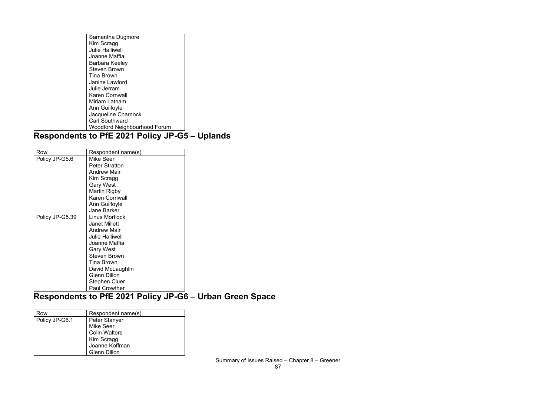| Kim Scragg                          |
|-------------------------------------|
|                                     |
| <b>Julie Halliwell</b>              |
| Joanne Maffia                       |
| Barbara Keeley                      |
| <b>Steven Brown</b>                 |
| <b>Tina Brown</b>                   |
| Janine Lawford                      |
| Julie Jerram                        |
| <b>Karen Cornwall</b>               |
| Miriam Latham                       |
| Ann Guilfoyle                       |
| Jacqueline Charnock                 |
| <b>Carl Southward</b>               |
| <b>Woodford Neighbourhood Forum</b> |

# **Respondents to PfE 2021 Policy JP-G5 – Uplands**

| Row             | Respondent name(s)     |
|-----------------|------------------------|
| Policy JP-G5.6  | Mike Seer              |
|                 | <b>Peter Stratton</b>  |
|                 | <b>Andrew Mair</b>     |
|                 | Kim Scragg             |
|                 | <b>Gary West</b>       |
|                 | Martin Rigby           |
|                 | <b>Karen Cornwall</b>  |
|                 | Ann Guilfoyle          |
|                 | <b>Jane Barker</b>     |
| Policy JP-G5.39 | <b>Linus Mortlock</b>  |
|                 | <b>Janet Millett</b>   |
|                 | <b>Andrew Mair</b>     |
|                 | <b>Julie Halliwell</b> |
|                 | Joanne Maffia          |
|                 | <b>Gary West</b>       |
|                 | <b>Steven Brown</b>    |
|                 | <b>Tina Brown</b>      |
|                 | David McLaughlin       |
|                 | <b>Glenn Dillon</b>    |
|                 | <b>Stephen Cluer</b>   |
|                 | <b>Paul Crowther</b>   |

#### **Respondents to PfE 2021 Policy JP-G6 – Urban Green Space**

| Row            | Respondent name(s)   |
|----------------|----------------------|
| Policy JP-G6.1 | <b>Peter Stanyer</b> |
|                | <b>Mike Seer</b>     |
|                | <b>Colin Walters</b> |
|                | Kim Scragg           |
|                | Joanne Koffman       |
|                | <b>Glenn Dillon</b>  |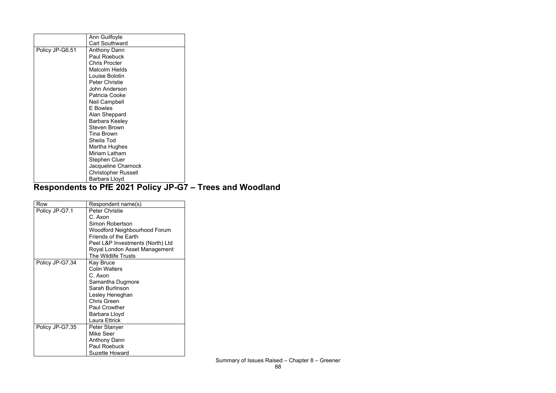|                 | Ann Guilfoyle              |
|-----------------|----------------------------|
|                 | <b>Carl Southward</b>      |
| Policy JP-G6.51 | <b>Anthony Dann</b>        |
|                 | <b>Paul Roebuck</b>        |
|                 | <b>Chris Procter</b>       |
|                 | <b>Malcolm Hields</b>      |
|                 | Louise Bolotin             |
|                 | <b>Peter Christie</b>      |
|                 | John Anderson              |
|                 | Patricia Cooke             |
|                 | <b>Neil Campbell</b>       |
|                 | <b>E</b> Bowles            |
|                 | Alan Sheppard              |
|                 | Barbara Keeley             |
|                 | <b>Steven Brown</b>        |
|                 | <b>Tina Brown</b>          |
|                 | Sheila Tod                 |
|                 | Martha Hughes              |
|                 | Miriam Latham              |
|                 | <b>Stephen Cluer</b>       |
|                 | Jacqueline Charnock        |
|                 | <b>Christopher Russell</b> |
|                 | Barbara Lloyd              |

#### **Respondents to PfE 2021 Policy JP-G7 – Trees and Woodland**

| Row             | Respondent name(s)               |
|-----------------|----------------------------------|
| Policy JP-G7.1  | <b>Peter Christie</b>            |
|                 | C. Axon                          |
|                 | <b>Simon Robertson</b>           |
|                 | Woodford Neighbourhood Forum     |
|                 | <b>Friends of the Earth</b>      |
|                 | Peel L&P Investments (North) Ltd |
|                 | Royal London Asset Management    |
|                 | <b>The Wildlife Trusts</b>       |
| Policy JP-G7.34 | Kay Bruce                        |
|                 | <b>Colin Walters</b>             |
|                 | C. Axon                          |
|                 | Samantha Dugmore                 |
|                 | Sarah Burlinson                  |
|                 | Lesley Heneghan                  |
|                 | <b>Chris Green</b>               |
|                 | <b>Paul Crowther</b>             |
|                 | Barbara Lloyd                    |
|                 | <b>Laura Ettrick</b>             |
| Policy JP-G7.35 | Peter Stanyer                    |
|                 | Mike Seer                        |
|                 | <b>Anthony Dann</b>              |
|                 | <b>Paul Roebuck</b>              |
|                 | <b>Suzette Howard</b>            |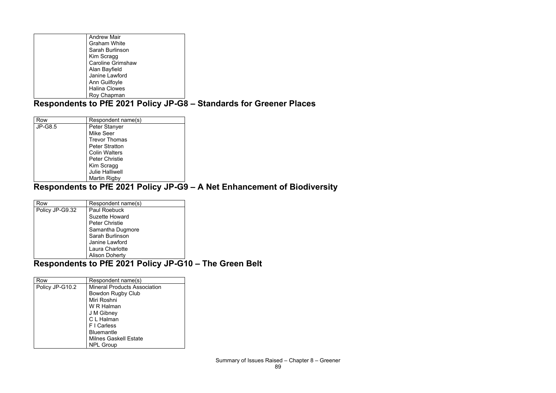| <b>Andrew Mair</b>       |
|--------------------------|
| <b>Graham White</b>      |
| Sarah Burlinson          |
| Kim Scragg               |
| <b>Caroline Grimshaw</b> |
| Alan Bayfield            |
| Janine Lawford           |
| Ann Guilfoyle            |
| <b>Halina Clowes</b>     |
| Roy Chapman              |

### **Respondents to PfE 2021 Policy JP-G8 – Standards for Greener Places**

| Row            | Respondent name(s)     |
|----------------|------------------------|
| <b>JP-G8.5</b> | <b>Peter Stanyer</b>   |
|                | <b>Mike Seer</b>       |
|                | <b>Trevor Thomas</b>   |
|                | <b>Peter Stratton</b>  |
|                | <b>Colin Walters</b>   |
|                | <b>Peter Christie</b>  |
|                | Kim Scragg             |
|                | <b>Julie Halliwell</b> |
|                | <b>Martin Rigby</b>    |

#### **Respondents to PfE 2021 Policy JP-G9 – A Net Enhancement of Biodiversity**

| Row             | Respondent name(s)    |
|-----------------|-----------------------|
| Policy JP-G9.32 | <b>Paul Roebuck</b>   |
|                 | <b>Suzette Howard</b> |
|                 | <b>Peter Christie</b> |
|                 | Samantha Dugmore      |
|                 | Sarah Burlinson       |
|                 | Janine Lawford        |
|                 | Laura Charlotte       |
|                 | <b>Alison Doherty</b> |

#### **Respondents to PfE 2021 Policy JP-G10 – The Green Belt**

| Row             | Respondent name(s)                  |
|-----------------|-------------------------------------|
| Policy JP-G10.2 | <b>Mineral Products Association</b> |
|                 | <b>Bowdon Rugby Club</b>            |
|                 | Miri Roshni                         |
|                 | W R Halman                          |
|                 | J M Gibney                          |
|                 | C L Halman                          |
|                 | F I Carless                         |
|                 | <b>Bluemantle</b>                   |
|                 | <b>Milnes Gaskell Estate</b>        |
|                 | <b>NPL Group</b>                    |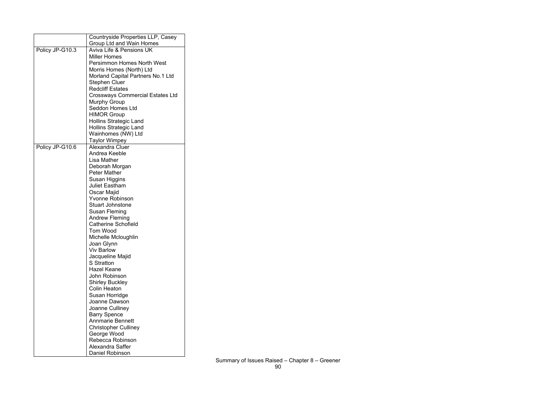|                 | Countryside Properties LLP, Casey       |
|-----------------|-----------------------------------------|
|                 | Group Ltd and Wain Homes                |
| Policy JP-G10.3 | <b>Aviva Life &amp; Pensions UK</b>     |
|                 | <b>Miller Homes</b>                     |
|                 | <b>Persimmon Homes North West</b>       |
|                 | Morris Homes (North) Ltd                |
|                 | Morland Capital Partners No.1 Ltd       |
|                 | <b>Stephen Cluer</b>                    |
|                 | <b>Redcliff Estates</b>                 |
|                 | <b>Crossways Commercial Estates Ltd</b> |
|                 | <b>Murphy Group</b>                     |
|                 | <b>Seddon Homes Ltd</b>                 |
|                 | <b>HIMOR Group</b>                      |
|                 | <b>Hollins Strategic Land</b>           |
|                 | <b>Hollins Strategic Land</b>           |
|                 | Wainhomes (NW) Ltd                      |
|                 | <b>Taylor Wimpey</b>                    |
| Policy JP-G10.6 | Alexandra Cluer                         |
|                 | Andrea Keeble                           |
|                 | Lisa Mather                             |
|                 | Deborah Morgan                          |
|                 | <b>Peter Mather</b>                     |
|                 | Susan Higgins                           |
|                 | <b>Juliet Eastham</b>                   |
|                 | Oscar Majid                             |
|                 | <b>Yvonne Robinson</b>                  |
|                 | <b>Stuart Johnstone</b>                 |
|                 | Susan Fleming                           |
|                 | <b>Andrew Fleming</b>                   |
|                 | <b>Catherine Schofield</b>              |
|                 | <b>Tom Wood</b>                         |
|                 | Michelle Mcloughlin                     |
|                 | Joan Glynn                              |
|                 | <b>Viv Barlow</b>                       |
|                 | Jacqueline Majid                        |
|                 | <b>S</b> Stratton                       |
|                 | <b>Hazel Keane</b>                      |
|                 | John Robinson                           |
|                 | <b>Shirley Buckley</b>                  |
|                 | <b>Colin Heaton</b>                     |
|                 | Susan Horridge                          |
|                 | Joanne Dawson                           |
|                 | Joanne Culliney                         |
|                 | <b>Barry Spence</b>                     |
|                 | <b>Annmarie Bennett</b>                 |
|                 | <b>Christopher Culliney</b>             |
|                 | George Wood                             |
|                 | Rebecca Robinson                        |
|                 | Alexandra Saffer                        |
|                 | <b>Daniel Robinson</b>                  |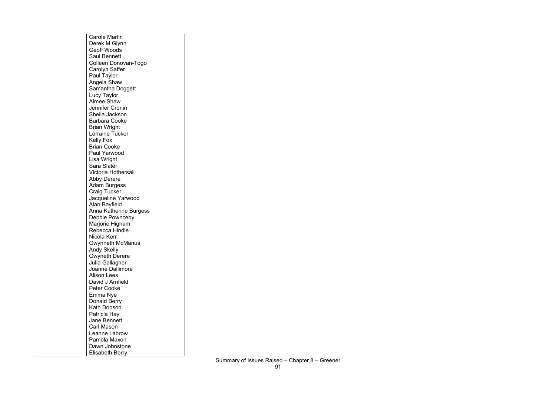| <b>Carole Martin</b>                          |
|-----------------------------------------------|
| Derek M Glynn                                 |
| <b>Geoff Woods</b>                            |
| <b>Saul Bennett</b>                           |
| Colleen Donovan-Togo                          |
| <b>Carolyn Saffer</b>                         |
| Paul Taylor                                   |
| Angela Shaw                                   |
| Samantha Doggett                              |
| Lucy Taylor                                   |
| <b>Aimee Shaw</b>                             |
| <b>Jennifer Cronin</b>                        |
| Sheila Jackson                                |
| <b>Barbara Cooke</b>                          |
|                                               |
| <b>Brian Wright</b><br><b>Lorraine Tucker</b> |
|                                               |
| <b>Kelly Fox</b>                              |
| <b>Brian Cooke</b>                            |
| Paul Yarwood                                  |
| Lisa Wright                                   |
| Sara Slater                                   |
| <b>Victoria Hothersall</b>                    |
| <b>Abby Derere</b>                            |
| <b>Adam Burgess</b>                           |
| <b>Craig Tucker</b>                           |
| Jacqueline Yarwood                            |
| Alan Bayfield                                 |
| Anna Katherine Burgess                        |
| Debbie Pownceby                               |
| Marjorie Higham                               |
| Rebecca Hindle                                |
| Nicola Kerr                                   |
| <b>Gwynneth McManus</b>                       |
| <b>Andy Skelly</b>                            |
| <b>Gwyneth Derere</b>                         |
| Julia Gallagher                               |
| <b>Joanne Dallimore</b>                       |
| <b>Alison Lees</b>                            |
| David J Arnfield                              |
| <b>Peter Cooke</b>                            |
| Emma Nye                                      |
| <b>Donald Berry</b>                           |
| <b>Kath Dobson</b>                            |
| Patricia Hay                                  |
| <b>Jane Bennett</b>                           |
| <b>Carl Mason</b>                             |
| Leanne Labrow                                 |
| Pamela Maxon                                  |
| Dawn Johnstone                                |
| Elisabeth Berry                               |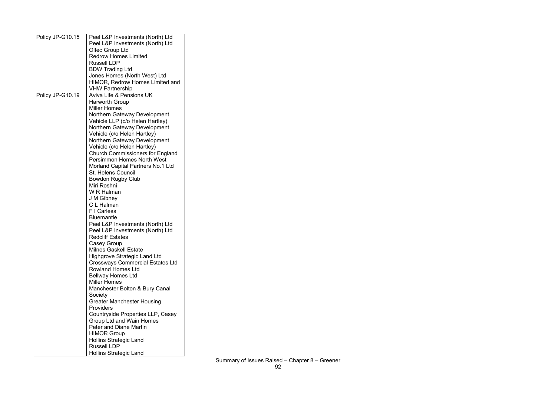| HIMOR, Redrow Homes Limited and         |
|-----------------------------------------|
|                                         |
|                                         |
|                                         |
|                                         |
|                                         |
|                                         |
|                                         |
|                                         |
|                                         |
|                                         |
|                                         |
| <b>Church Commissioners for England</b> |
|                                         |
|                                         |
|                                         |
|                                         |
|                                         |
|                                         |
|                                         |
|                                         |
|                                         |
|                                         |
|                                         |
|                                         |
|                                         |
|                                         |
|                                         |
|                                         |
| <b>Crossways Commercial Estates Ltd</b> |
|                                         |
|                                         |
|                                         |
|                                         |
|                                         |
|                                         |
|                                         |
| Countryside Properties LLP, Casey       |
|                                         |
|                                         |
|                                         |
|                                         |
|                                         |
|                                         |
|                                         |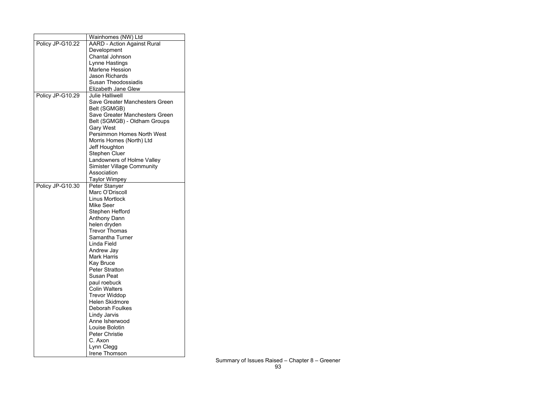|                  | Wainhomes (NW) Ltd                    |
|------------------|---------------------------------------|
| Policy JP-G10.22 | <b>AARD - Action Against Rural</b>    |
|                  | Development                           |
|                  | <b>Chantal Johnson</b>                |
|                  | Lynne Hastings                        |
|                  | <b>Marlene Hession</b>                |
|                  | <b>Jason Richards</b>                 |
|                  | <b>Susan Theodossiadis</b>            |
|                  | <b>Elizabeth Jane Glew</b>            |
| Policy JP-G10.29 | <b>Julie Halliwell</b>                |
|                  | Save Greater Manchesters Green        |
|                  | Belt (SGMGB)                          |
|                  |                                       |
|                  | <b>Save Greater Manchesters Green</b> |
|                  | Belt (SGMGB) - Oldham Groups          |
|                  | <b>Gary West</b>                      |
|                  | <b>Persimmon Homes North West</b>     |
|                  | Morris Homes (North) Ltd              |
|                  | Jeff Houghton                         |
|                  | <b>Stephen Cluer</b>                  |
|                  | Landowners of Holme Valley            |
|                  | <b>Simister Village Community</b>     |
|                  | Association                           |
|                  | Taylor Wimpey                         |
| Policy JP-G10.30 | Peter Stanyer                         |
|                  | Marc O'Driscoll                       |
|                  | <b>Linus Mortlock</b>                 |
|                  | <b>Mike Seer</b>                      |
|                  | Stephen Hefford                       |
|                  | <b>Anthony Dann</b>                   |
|                  | helen dryden                          |
|                  | <b>Trevor Thomas</b>                  |
|                  | Samantha Turner                       |
|                  | Linda Field                           |
|                  | Andrew Jay                            |
|                  | <b>Mark Harris</b>                    |
|                  | <b>Kay Bruce</b>                      |
|                  | <b>Peter Stratton</b>                 |
|                  | <b>Susan Peat</b>                     |
|                  | paul roebuck                          |
|                  | <b>Colin Walters</b>                  |
|                  | <b>Trevor Widdop</b>                  |
|                  | <b>Helen Skidmore</b>                 |
|                  | <b>Deborah Foulkes</b>                |
|                  | <b>Lindy Jarvis</b>                   |
|                  | Anne Isherwood                        |
|                  | Louise Bolotin                        |
|                  | <b>Peter Christie</b>                 |
|                  | C. Axon                               |
|                  | Lynn Clegg                            |
|                  | Irene Thomson                         |
|                  |                                       |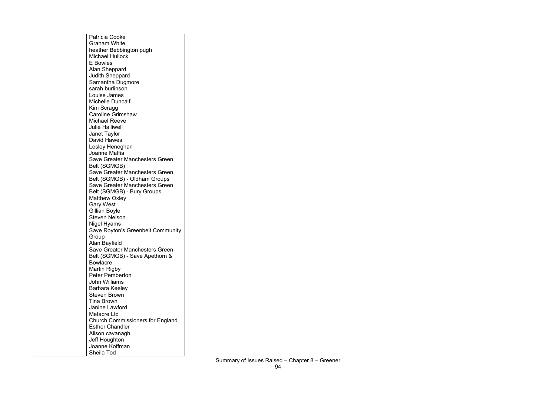| Patricia Cooke                          |
|-----------------------------------------|
| <b>Graham White</b>                     |
| heather Bebbington pugh                 |
| <b>Michael Hullock</b>                  |
| <b>E</b> Bowles                         |
| Alan Sheppard                           |
| <b>Judith Sheppard</b>                  |
|                                         |
| Samantha Dugmore                        |
| sarah burlinson                         |
| Louise James                            |
| <b>Michelle Duncalf</b>                 |
| Kim Scragg                              |
| <b>Caroline Grimshaw</b>                |
| <b>Michael Reeve</b>                    |
| <b>Julie Halliwell</b>                  |
| Janet Taylor                            |
| David Hawes                             |
|                                         |
| Lesley Heneghan                         |
| Joanne Maffia                           |
| <b>Save Greater Manchesters Green</b>   |
| Belt (SGMGB)                            |
| <b>Save Greater Manchesters Green</b>   |
| Belt (SGMGB) - Oldham Groups            |
| <b>Save Greater Manchesters Green</b>   |
| Belt (SGMGB) - Bury Groups              |
| <b>Matthew Oxley</b>                    |
| <b>Gary West</b>                        |
| Gillian Boyle                           |
|                                         |
| <b>Steven Nelson</b>                    |
| Nigel Hyams                             |
| Save Royton's Greenbelt Community       |
| Group                                   |
| Alan Bayfield                           |
| <b>Save Greater Manchesters Green</b>   |
| Belt (SGMGB) - Save Apethorn &          |
| <b>Bowlacre</b>                         |
| Martin Rigby                            |
| <b>Peter Pemberton</b>                  |
|                                         |
| <b>John Williams</b>                    |
| <b>Barbara Keeley</b>                   |
| <b>Steven Brown</b>                     |
| <b>Tina Brown</b>                       |
| Janine Lawford                          |
| Metacre Ltd                             |
| <b>Church Commissioners for England</b> |
| <b>Esther Chandler</b>                  |
| Alison cavanagh                         |
|                                         |
| Jeff Houghton                           |
| Joanne Koffman                          |
| Sheila Tod                              |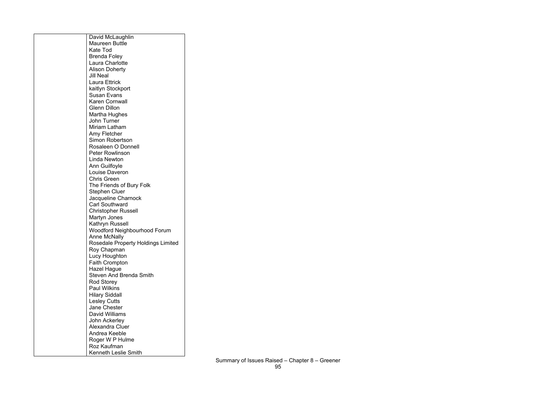| David McLaughlin                          |
|-------------------------------------------|
| <b>Maureen Buttle</b>                     |
| Kate Tod                                  |
| <b>Brenda Foley</b>                       |
| <b>Laura Charlotte</b>                    |
| <b>Alison Doherty</b>                     |
| <b>Jill Neal</b>                          |
| Laura Ettrick                             |
| kaitlyn Stockport                         |
| <b>Susan Evans</b>                        |
| <b>Karen Cornwall</b>                     |
| <b>Glenn Dillon</b>                       |
| Martha Hughes                             |
| John Turner                               |
| Miriam Latham                             |
| Amy Fletcher                              |
| <b>Simon Robertson</b>                    |
| Rosaleen O Donnell                        |
| <b>Peter Rowlinson</b>                    |
| Linda Newton                              |
|                                           |
| Ann Guilfoyle<br><b>Louise Daveron</b>    |
| <b>Chris Green</b>                        |
|                                           |
| The Friends of Bury Folk                  |
| <b>Stephen Cluer</b>                      |
| Jacqueline Charnock                       |
| <b>Carl Southward</b>                     |
| <b>Christopher Russell</b>                |
| Martyn Jones                              |
| Kathryn Russell                           |
| <b>Woodford Neighbourhood Forum</b>       |
| <b>Anne McNally</b>                       |
| <b>Rosedale Property Holdings Limited</b> |
| Roy Chapman                               |
| Lucy Houghton                             |
| <b>Faith Crompton</b>                     |
| Hazel Hague                               |
| <b>Steven And Brenda Smith</b>            |
| <b>Rod Storey</b>                         |
| <b>Paul Wilkins</b>                       |
| <b>Hilary Siddall</b>                     |
| <b>Lesley Cutts</b>                       |
| Jane Chester                              |
| David Williams                            |
| John Ackerley                             |
| Alexandra Cluer                           |
| Andrea Keeble                             |
| Roger W P Hulme                           |
| Roz Kaufman                               |
| <b>Kenneth Leslie Smith</b>               |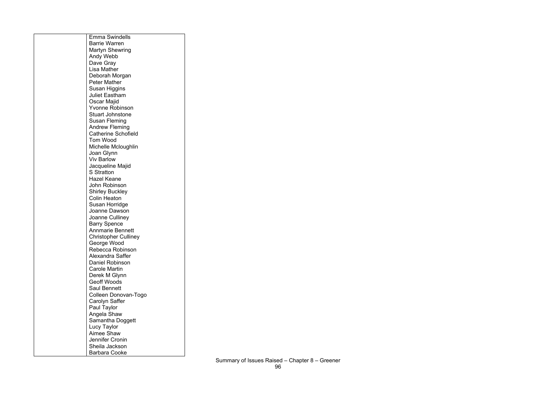| <b>Emma Swindells</b>       |
|-----------------------------|
| <b>Barrie Warren</b>        |
| <b>Martyn Shewring</b>      |
| Andy Webb                   |
| Dave Gray                   |
| Lisa Mather                 |
|                             |
| Deborah Morgan              |
| <b>Peter Mather</b>         |
| <b>Susan Higgins</b>        |
| <b>Juliet Eastham</b>       |
| Oscar Majid                 |
| <b>Yvonne Robinson</b>      |
| <b>Stuart Johnstone</b>     |
| Susan Fleming               |
| <b>Andrew Fleming</b>       |
| <b>Catherine Schofield</b>  |
| <b>Tom Wood</b>             |
| Michelle Mcloughlin         |
| Joan Glynn                  |
| <b>Viv Barlow</b>           |
| Jacqueline Majid            |
| <b>S</b> Stratton           |
| <b>Hazel Keane</b>          |
| John Robinson               |
| <b>Shirley Buckley</b>      |
| <b>Colin Heaton</b>         |
| Susan Horridge              |
| Joanne Dawson               |
| Joanne Culliney             |
| <b>Barry Spence</b>         |
| <b>Annmarie Bennett</b>     |
| <b>Christopher Culliney</b> |
| George Wood                 |
| Rebecca Robinson            |
| <b>Alexandra Saffer</b>     |
| <b>Daniel Robinson</b>      |
| <b>Carole Martin</b>        |
| Derek M Glynn               |
| <b>Geoff Woods</b>          |
| <b>Saul Bennett</b>         |
| Colleen Donovan-Togo        |
| Carolyn Saffer              |
| Paul Taylor                 |
| Angela Shaw                 |
| Samantha Doggett            |
| Lucy Taylor                 |
| Aimee Shaw                  |
| <b>Jennifer Cronin</b>      |
| Sheila Jackson              |
| <b>Barbara Cooke</b>        |
|                             |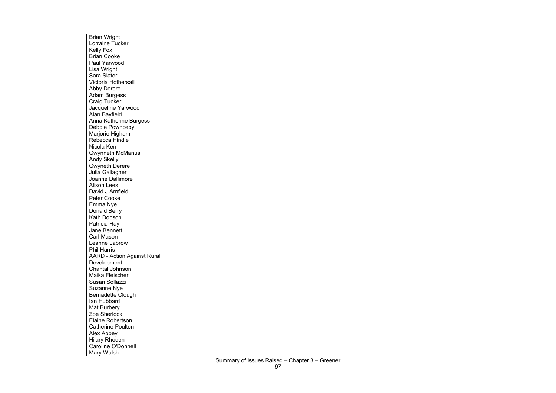| <b>Brian Wright</b>                |
|------------------------------------|
| <b>Lorraine Tucker</b>             |
| <b>Kelly Fox</b>                   |
| <b>Brian Cooke</b>                 |
| Paul Yarwood                       |
| Lisa Wright                        |
| Sara Slater                        |
| <b>Victoria Hothersall</b>         |
| <b>Abby Derere</b>                 |
| <b>Adam Burgess</b>                |
| <b>Craig Tucker</b>                |
| Jacqueline Yarwood                 |
| Alan Bayfield                      |
| Anna Katherine Burgess             |
| Debbie Pownceby                    |
| Marjorie Higham                    |
| Rebecca Hindle                     |
| Nicola Kerr                        |
| <b>Gwynneth McManus</b>            |
| <b>Andy Skelly</b>                 |
| <b>Gwyneth Derere</b>              |
| Julia Gallagher                    |
| <b>Joanne Dallimore</b>            |
| <b>Alison Lees</b>                 |
| David J Arnfield                   |
| <b>Peter Cooke</b>                 |
| Emma Nye                           |
| Donald Berry                       |
| Kath Dobson                        |
| Patricia Hay                       |
| <b>Jane Bennett</b>                |
| Carl Mason                         |
| <b>Leanne Labrow</b>               |
| <b>Phil Harris</b>                 |
| <b>AARD - Action Against Rural</b> |
| Development                        |
| <b>Chantal Johnson</b>             |
| Maika Fleischer                    |
| <b>Susan Sollazzi</b>              |
| <b>Suzanne Nye</b>                 |
| <b>Bernadette Clough</b>           |
| lan Hubbard                        |
| Mat Burbery                        |
| Zoe Sherlock                       |
| <b>Elaine Robertson</b>            |
| <b>Catherine Poulton</b>           |
| Alex Abbey                         |
| <b>Hilary Rhoden</b>               |
| <b>Caroline O'Donnell</b>          |
| Mary Walsh                         |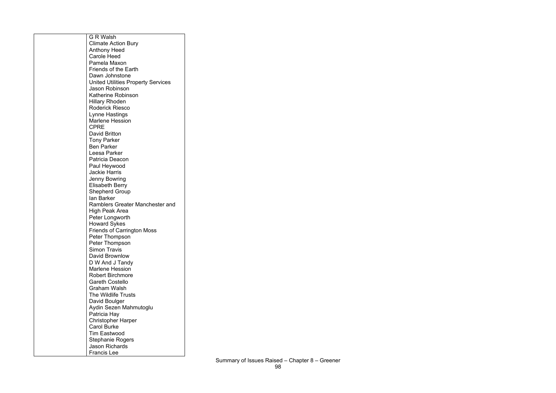| <b>G R Walsh</b>                          |
|-------------------------------------------|
| <b>Climate Action Bury</b>                |
| <b>Anthony Heed</b>                       |
| <b>Carole Heed</b>                        |
| Pamela Maxon                              |
| <b>Friends of the Earth</b>               |
| Dawn Johnstone                            |
| <b>United Utilities Property Services</b> |
| Jason Robinson                            |
| <b>Katherine Robinson</b>                 |
| <b>Hillary Rhoden</b>                     |
| <b>Roderick Riesco</b>                    |
| Lynne Hastings                            |
| <b>Marlene Hession</b>                    |
| <b>CPRE</b>                               |
| <b>David Britton</b>                      |
| <b>Tony Parker</b>                        |
| <b>Ben Parker</b>                         |
| Leesa Parker                              |
| Patricia Deacon                           |
| Paul Heywood                              |
| <b>Jackie Harris</b>                      |
| Jenny Bowring                             |
| <b>Elisabeth Berry</b>                    |
| <b>Shepherd Group</b>                     |
| lan Barker                                |
| Ramblers Greater Manchester and           |
| High Peak Area                            |
| Peter Longworth                           |
| <b>Howard Sykes</b>                       |
| <b>Friends of Carrington Moss</b>         |
| Peter Thompson                            |
| Peter Thompson                            |
| <b>Simon Travis</b>                       |
| David Brownlow                            |
| D W And J Tandy                           |
| <b>Marlene Hession</b>                    |
| <b>Robert Birchmore</b>                   |
| <b>Gareth Costello</b>                    |
| Graham Walsh                              |
| <b>The Wildlife Trusts</b>                |
| David Boulger                             |
| Aydin Sezen Mahmutoglu                    |
| Patricia Hay                              |
| <b>Christopher Harper</b>                 |
| <b>Carol Burke</b>                        |
| <b>Tim Eastwood</b>                       |
| <b>Stephanie Rogers</b>                   |
| <b>Jason Richards</b>                     |
| Francis Lee                               |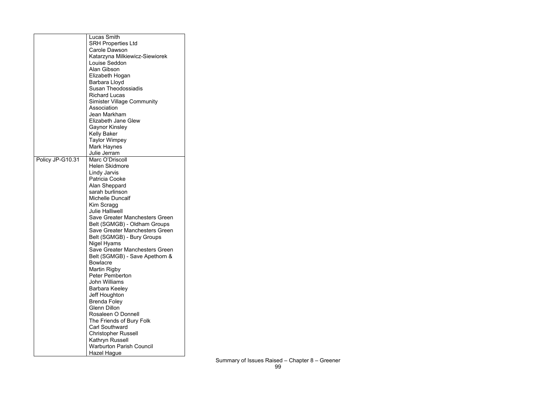| <b>SRH Properties Ltd</b><br><b>Carole Dawson</b><br>Katarzyna Milkiewicz-Siewiorek<br>Louise Seddon<br><b>Alan Gibson</b><br>Elizabeth Hogan<br>Barbara Lloyd<br><b>Susan Theodossiadis</b><br><b>Richard Lucas</b><br><b>Simister Village Community</b><br>Association<br>Jean Markham<br><b>Elizabeth Jane Glew</b><br><b>Gaynor Kinsley</b><br><b>Kelly Baker</b><br><b>Taylor Wimpey</b><br><b>Mark Haynes</b><br>Julie Jerram<br>Marc O'Driscoll<br>Policy JP-G10.31<br><b>Helen Skidmore</b><br><b>Lindy Jarvis</b><br><b>Patricia Cooke</b><br>Alan Sheppard<br>sarah burlinson<br><b>Michelle Duncalf</b><br>Kim Scragg<br><b>Julie Halliwell</b><br><b>Save Greater Manchesters Green</b><br>Belt (SGMGB) - Oldham Groups<br><b>Save Greater Manchesters Green</b><br>Belt (SGMGB) - Bury Groups<br>Nigel Hyams<br><b>Save Greater Manchesters Green</b><br>Belt (SGMGB) - Save Apethorn &<br><b>Bowlacre</b><br><b>Martin Rigby</b><br><b>Peter Pemberton</b> |
|--------------------------------------------------------------------------------------------------------------------------------------------------------------------------------------------------------------------------------------------------------------------------------------------------------------------------------------------------------------------------------------------------------------------------------------------------------------------------------------------------------------------------------------------------------------------------------------------------------------------------------------------------------------------------------------------------------------------------------------------------------------------------------------------------------------------------------------------------------------------------------------------------------------------------------------------------------------------------|
|                                                                                                                                                                                                                                                                                                                                                                                                                                                                                                                                                                                                                                                                                                                                                                                                                                                                                                                                                                          |
|                                                                                                                                                                                                                                                                                                                                                                                                                                                                                                                                                                                                                                                                                                                                                                                                                                                                                                                                                                          |
|                                                                                                                                                                                                                                                                                                                                                                                                                                                                                                                                                                                                                                                                                                                                                                                                                                                                                                                                                                          |
|                                                                                                                                                                                                                                                                                                                                                                                                                                                                                                                                                                                                                                                                                                                                                                                                                                                                                                                                                                          |
|                                                                                                                                                                                                                                                                                                                                                                                                                                                                                                                                                                                                                                                                                                                                                                                                                                                                                                                                                                          |
|                                                                                                                                                                                                                                                                                                                                                                                                                                                                                                                                                                                                                                                                                                                                                                                                                                                                                                                                                                          |
|                                                                                                                                                                                                                                                                                                                                                                                                                                                                                                                                                                                                                                                                                                                                                                                                                                                                                                                                                                          |
|                                                                                                                                                                                                                                                                                                                                                                                                                                                                                                                                                                                                                                                                                                                                                                                                                                                                                                                                                                          |
|                                                                                                                                                                                                                                                                                                                                                                                                                                                                                                                                                                                                                                                                                                                                                                                                                                                                                                                                                                          |
|                                                                                                                                                                                                                                                                                                                                                                                                                                                                                                                                                                                                                                                                                                                                                                                                                                                                                                                                                                          |
|                                                                                                                                                                                                                                                                                                                                                                                                                                                                                                                                                                                                                                                                                                                                                                                                                                                                                                                                                                          |
|                                                                                                                                                                                                                                                                                                                                                                                                                                                                                                                                                                                                                                                                                                                                                                                                                                                                                                                                                                          |
|                                                                                                                                                                                                                                                                                                                                                                                                                                                                                                                                                                                                                                                                                                                                                                                                                                                                                                                                                                          |
|                                                                                                                                                                                                                                                                                                                                                                                                                                                                                                                                                                                                                                                                                                                                                                                                                                                                                                                                                                          |
|                                                                                                                                                                                                                                                                                                                                                                                                                                                                                                                                                                                                                                                                                                                                                                                                                                                                                                                                                                          |
|                                                                                                                                                                                                                                                                                                                                                                                                                                                                                                                                                                                                                                                                                                                                                                                                                                                                                                                                                                          |
|                                                                                                                                                                                                                                                                                                                                                                                                                                                                                                                                                                                                                                                                                                                                                                                                                                                                                                                                                                          |
|                                                                                                                                                                                                                                                                                                                                                                                                                                                                                                                                                                                                                                                                                                                                                                                                                                                                                                                                                                          |
|                                                                                                                                                                                                                                                                                                                                                                                                                                                                                                                                                                                                                                                                                                                                                                                                                                                                                                                                                                          |
|                                                                                                                                                                                                                                                                                                                                                                                                                                                                                                                                                                                                                                                                                                                                                                                                                                                                                                                                                                          |
|                                                                                                                                                                                                                                                                                                                                                                                                                                                                                                                                                                                                                                                                                                                                                                                                                                                                                                                                                                          |
|                                                                                                                                                                                                                                                                                                                                                                                                                                                                                                                                                                                                                                                                                                                                                                                                                                                                                                                                                                          |
|                                                                                                                                                                                                                                                                                                                                                                                                                                                                                                                                                                                                                                                                                                                                                                                                                                                                                                                                                                          |
|                                                                                                                                                                                                                                                                                                                                                                                                                                                                                                                                                                                                                                                                                                                                                                                                                                                                                                                                                                          |
|                                                                                                                                                                                                                                                                                                                                                                                                                                                                                                                                                                                                                                                                                                                                                                                                                                                                                                                                                                          |
|                                                                                                                                                                                                                                                                                                                                                                                                                                                                                                                                                                                                                                                                                                                                                                                                                                                                                                                                                                          |
|                                                                                                                                                                                                                                                                                                                                                                                                                                                                                                                                                                                                                                                                                                                                                                                                                                                                                                                                                                          |
|                                                                                                                                                                                                                                                                                                                                                                                                                                                                                                                                                                                                                                                                                                                                                                                                                                                                                                                                                                          |
|                                                                                                                                                                                                                                                                                                                                                                                                                                                                                                                                                                                                                                                                                                                                                                                                                                                                                                                                                                          |
|                                                                                                                                                                                                                                                                                                                                                                                                                                                                                                                                                                                                                                                                                                                                                                                                                                                                                                                                                                          |
|                                                                                                                                                                                                                                                                                                                                                                                                                                                                                                                                                                                                                                                                                                                                                                                                                                                                                                                                                                          |
|                                                                                                                                                                                                                                                                                                                                                                                                                                                                                                                                                                                                                                                                                                                                                                                                                                                                                                                                                                          |
|                                                                                                                                                                                                                                                                                                                                                                                                                                                                                                                                                                                                                                                                                                                                                                                                                                                                                                                                                                          |
|                                                                                                                                                                                                                                                                                                                                                                                                                                                                                                                                                                                                                                                                                                                                                                                                                                                                                                                                                                          |
|                                                                                                                                                                                                                                                                                                                                                                                                                                                                                                                                                                                                                                                                                                                                                                                                                                                                                                                                                                          |
|                                                                                                                                                                                                                                                                                                                                                                                                                                                                                                                                                                                                                                                                                                                                                                                                                                                                                                                                                                          |
|                                                                                                                                                                                                                                                                                                                                                                                                                                                                                                                                                                                                                                                                                                                                                                                                                                                                                                                                                                          |
| <b>John Williams</b>                                                                                                                                                                                                                                                                                                                                                                                                                                                                                                                                                                                                                                                                                                                                                                                                                                                                                                                                                     |
| <b>Barbara Keeley</b>                                                                                                                                                                                                                                                                                                                                                                                                                                                                                                                                                                                                                                                                                                                                                                                                                                                                                                                                                    |
| Jeff Houghton                                                                                                                                                                                                                                                                                                                                                                                                                                                                                                                                                                                                                                                                                                                                                                                                                                                                                                                                                            |
| <b>Brenda Foley</b>                                                                                                                                                                                                                                                                                                                                                                                                                                                                                                                                                                                                                                                                                                                                                                                                                                                                                                                                                      |
| <b>Glenn Dillon</b>                                                                                                                                                                                                                                                                                                                                                                                                                                                                                                                                                                                                                                                                                                                                                                                                                                                                                                                                                      |
| Rosaleen O Donnell                                                                                                                                                                                                                                                                                                                                                                                                                                                                                                                                                                                                                                                                                                                                                                                                                                                                                                                                                       |
| The Friends of Bury Folk                                                                                                                                                                                                                                                                                                                                                                                                                                                                                                                                                                                                                                                                                                                                                                                                                                                                                                                                                 |
| <b>Carl Southward</b>                                                                                                                                                                                                                                                                                                                                                                                                                                                                                                                                                                                                                                                                                                                                                                                                                                                                                                                                                    |
| <b>Christopher Russell</b>                                                                                                                                                                                                                                                                                                                                                                                                                                                                                                                                                                                                                                                                                                                                                                                                                                                                                                                                               |
| <b>Kathryn Russell</b>                                                                                                                                                                                                                                                                                                                                                                                                                                                                                                                                                                                                                                                                                                                                                                                                                                                                                                                                                   |
| <b>Warburton Parish Council</b>                                                                                                                                                                                                                                                                                                                                                                                                                                                                                                                                                                                                                                                                                                                                                                                                                                                                                                                                          |
| Hazel Hague                                                                                                                                                                                                                                                                                                                                                                                                                                                                                                                                                                                                                                                                                                                                                                                                                                                                                                                                                              |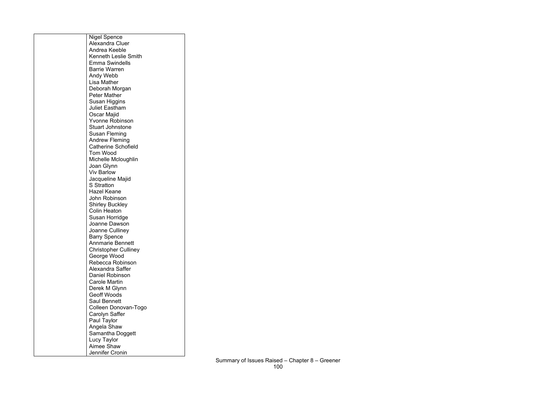| <b>Nigel Spence</b>         |
|-----------------------------|
| <b>Alexandra Cluer</b>      |
| Andrea Keeble               |
| <b>Kenneth Leslie Smith</b> |
| <b>Emma Swindells</b>       |
| <b>Barrie Warren</b>        |
| Andy Webb                   |
|                             |
| Lisa Mather                 |
| Deborah Morgan              |
| <b>Peter Mather</b>         |
| Susan Higgins               |
| <b>Juliet Eastham</b>       |
| Oscar Majid                 |
| <b>Yvonne Robinson</b>      |
| <b>Stuart Johnstone</b>     |
| Susan Fleming               |
| <b>Andrew Fleming</b>       |
| <b>Catherine Schofield</b>  |
| Tom Wood                    |
| Michelle Mcloughlin         |
| Joan Glynn                  |
| <b>Viv Barlow</b>           |
| Jacqueline Majid            |
| <b>S</b> Stratton           |
| <b>Hazel Keane</b>          |
| John Robinson               |
|                             |
| <b>Shirley Buckley</b>      |
| <b>Colin Heaton</b>         |
| Susan Horridge              |
| Joanne Dawson               |
| Joanne Culliney             |
| <b>Barry Spence</b>         |
| <b>Annmarie Bennett</b>     |
| <b>Christopher Culliney</b> |
| George Wood                 |
| Rebecca Robinson            |
| Alexandra Saffer            |
| Daniel Robinson             |
| <b>Carole Martin</b>        |
| Derek M Glynn               |
| <b>Geoff Woods</b>          |
| <b>Saul Bennett</b>         |
| Colleen Donovan-Togo        |
| Carolyn Saffer              |
|                             |
| Paul Taylor                 |
| Angela Shaw                 |
| Samantha Doggett            |
| <b>Lucy Taylor</b>          |
| <b>Aimee Shaw</b>           |
| Jennifer Cronin             |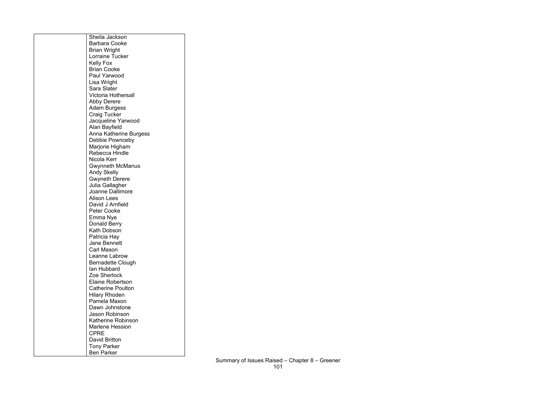| Sheila Jackson                             |
|--------------------------------------------|
| <b>Barbara Cooke</b>                       |
| <b>Brian Wright</b>                        |
| <b>Lorraine Tucker</b>                     |
| <b>Kelly Fox</b>                           |
| <b>Brian Cooke</b>                         |
| Paul Yarwood                               |
| Lisa Wright                                |
| Sara Slater                                |
| <b>Victoria Hothersall</b>                 |
| <b>Abby Derere</b>                         |
| <b>Adam Burgess</b>                        |
| <b>Craig Tucker</b>                        |
| Jacqueline Yarwood                         |
| Alan Bayfield                              |
| Anna Katherine Burgess                     |
| Debbie Pownceby                            |
| Marjorie Higham                            |
| Rebecca Hindle                             |
| Nicola Kerr                                |
| <b>Gwynneth McManus</b>                    |
| <b>Andy Skelly</b>                         |
| <b>Gwyneth Derere</b>                      |
| Julia Gallagher<br><b>Joanne Dallimore</b> |
| <b>Alison Lees</b>                         |
| David J Arnfield                           |
| <b>Peter Cooke</b>                         |
| Emma Nye                                   |
| Donald Berry                               |
| Kath Dobson                                |
| Patricia Hay                               |
| <b>Jane Bennett</b>                        |
| <b>Carl Mason</b>                          |
| Leanne Labrow                              |
| <b>Bernadette Clough</b>                   |
| lan Hubbard                                |
| Zoe Sherlock                               |
| <b>Elaine Robertson</b>                    |
| <b>Catherine Poulton</b>                   |
| <b>Hilary Rhoden</b>                       |
| Pamela Maxon                               |
| Dawn Johnstone                             |
| <b>Jason Robinson</b>                      |
| <b>Katherine Robinson</b>                  |
| <b>Marlene Hession</b>                     |
| <b>CPRE</b>                                |
| <b>David Britton</b>                       |
| <b>Tony Parker</b>                         |
| <b>Ben Parker</b>                          |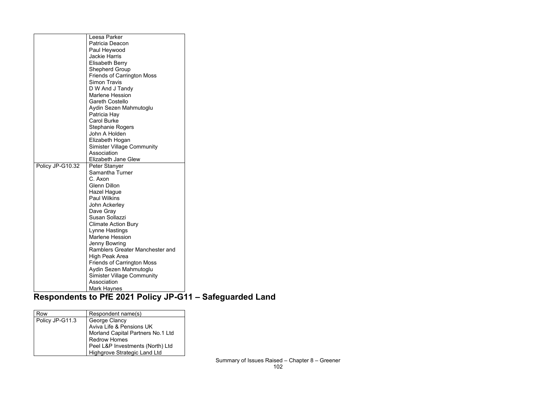|                  | Leesa Parker                      |
|------------------|-----------------------------------|
|                  | Patricia Deacon                   |
|                  | Paul Heywood                      |
|                  | <b>Jackie Harris</b>              |
|                  | <b>Elisabeth Berry</b>            |
|                  | <b>Shepherd Group</b>             |
|                  | <b>Friends of Carrington Moss</b> |
|                  | <b>Simon Travis</b>               |
|                  | D W And J Tandy                   |
|                  | <b>Marlene Hession</b>            |
|                  | <b>Gareth Costello</b>            |
|                  | Aydin Sezen Mahmutoglu            |
|                  | Patricia Hay                      |
|                  | <b>Carol Burke</b>                |
|                  | <b>Stephanie Rogers</b>           |
|                  | John A Holden                     |
|                  | Elizabeth Hogan                   |
|                  | <b>Simister Village Community</b> |
|                  | Association                       |
|                  | <b>Elizabeth Jane Glew</b>        |
| Policy JP-G10.32 | Peter Stanyer                     |
|                  | Samantha Turner                   |
|                  | C. Axon                           |
|                  | <b>Glenn Dillon</b>               |
|                  | Hazel Hague                       |
|                  | <b>Paul Wilkins</b>               |
|                  | John Ackerley                     |
|                  | Dave Gray                         |
|                  | Susan Sollazzi                    |
|                  | <b>Climate Action Bury</b>        |
|                  | Lynne Hastings                    |
|                  | <b>Marlene Hession</b>            |
|                  | <b>Jenny Bowring</b>              |
|                  | Ramblers Greater Manchester and   |
|                  | <b>High Peak Area</b>             |
|                  | <b>Friends of Carrington Moss</b> |
|                  | Aydin Sezen Mahmutoglu            |
|                  |                                   |
|                  | <b>Simister Village Community</b> |
|                  | Association<br>Mark Haynes        |

#### **Respondents to PfE 2021 Policy JP-G11 – Safeguarded Land**

| Row             | Respondent name(s)                  |
|-----------------|-------------------------------------|
| Policy JP-G11.3 | George Clancy                       |
|                 | Aviva Life & Pensions UK            |
|                 | Morland Capital Partners No.1 Ltd   |
|                 | <b>Redrow Homes</b>                 |
|                 | Peel L&P Investments (North) Ltd    |
|                 | <b>Highgrove Strategic Land Ltd</b> |